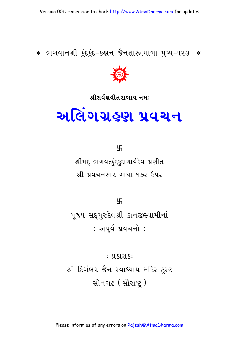: પ્ર<u>કાશક</u>: શ્રી દિગંબર જૈન સ્વાધ્યાય મંદિર ટ્રસ્ટ સોનગઢ (સૌરાષ્ટ)

પૂજ્ય સદ્ગુરુદેવશ્રી કાનજીસ્વામીનાં -: અપર્વ પ્રવચનો :-

卐

શ્રીમદ્દ ભગવત્કુંદકુદાચાર્યદેવ પ્રણીત શ્રી પ્રવચનસાર ગાથા ૧૭૨ ઉપર

卐

# અલિંગગ્રહણ પ્રવચન

શ્રીસર્વજ્ઞવીતરાગાય નમઃ



∗ ભગવાનશ્રી કુંદકુંદ-કહાન જૈનશાસ્ત્રમાળા પુષ્પ-૧૨૩ ∗

Version 001: remember to check http://www.AtmaDharma.com for updates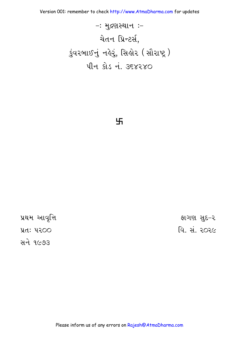Version 001: remember to check http://www.AtmaDharma.com for updates

 $-$ : મુદ્રણસ્થાન:-येतन प्रिन्टर्स, કુંવરબાઈનું નહેરું, સિહોર (સૌરાષ્ટ્ર) पीन डोड नं. उ६४२४०

卐

પ્રથમ આવૃત્તિ પ્રત: ૫૨૦૦ સને ૧૯૭૩

ફાગણ સુદ-૨ વિ. મં. ૨૦૨૯

Please inform us of any errors on Rajesh@AtmaDharma.com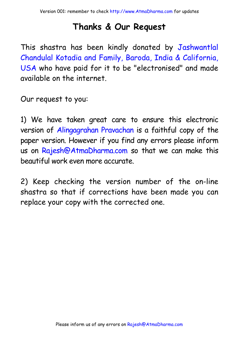# **Thanks & Our Request**

This shastra has been kindly donated by Jashwantlal Chandulal Kotadia and Family, Baroda, India & California, USA who have paid for it to be "electronised" and made available on the internet.

Our request to you:

1) We have taken great care to ensure this electronic version of Alingagrahan Pravachan is a faithful copy of the paper version. However if [you find any errors please inform](http://www.atmadharma.com/donate)  us on Rajesh@AtmaDharma.com so that we can make this beautiful work even more accurate.

2) Keep checking the version number of the on-line shastra so that if corrections have been made you can replace your copy with the corrected one.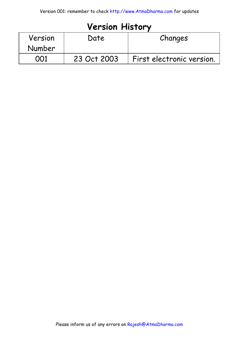# **Version History**

| Version | Date        | Changes                   |
|---------|-------------|---------------------------|
| Number  |             |                           |
| ററ1     | 23 Oct 2003 | First electronic version. |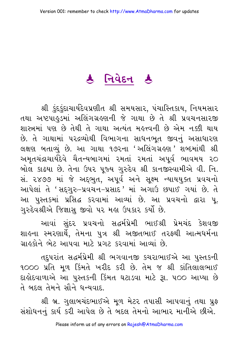# रु निवेहन ह

શ્રી કંદકંદાચાર્યદેવપ્રણીત શ્રી સમયસાર, પંચાસ્તિકાય, નિયમસાર તથા અષ્ટપાઢુડમાં અલિંગગ્રહણની જે ગાથા છે તે શ્રી પ્રવચનસારજી શાસ્ત્રમાં પણ છે તેથી તે ગાથા અત્યંત મહત્ત્વની છે એમ નક્કી થાય છે. તે ગાથામાં પરદ્રવ્યોથી વિભાગના સાધનભત જીવનું અસાધારણ લક્ષણ બતાવ્યું છે. આ ગાથા ૧૭૨ના 'અલિંગગ્રહણ' શબ્દમાંથી શ્રી અમૃતચંદ્રાચાર્યદેવે ચૈતન્યબાગમાં ૨મતાં ૨મતાં અપૂર્વ ભાવમય ૨૦ બોલ કાઢયા છે. તેના ઉપર પૂજ્ય ગુરુદેવ શ્રી કાનજીસ્વામીએ વી. નિ. સં. ૨૪૭૭ માં જે અદ્દભુત, અપૂર્વ અને સૂક્ષ્મ ન્યાયયુક્ત પ્રવચનો આપેલાં તે 'સદ્ગુરુ-પ્રવચન-પ્રસાદ 'માં અગાઉ છપાઈ ગયાં છે. તે આ પુસ્તકમાં પ્રસિદ્ધ કરવામાં આવ્યાં છે. આ પ્રવચનો દ્વારા પૂ. ગુરુદેવશ્રીએ જિજ્ઞાસુ જીવો પર મહા ઉપકાર કર્યો છે.

આવાં સુંદર પ્રવચનો સદ્ધર્મપ્રેમી ભાઈશ્રી પ્રેમચંદ કેશવજી શાલ્ના સ્મરણાર્થે, તેમના પુત્ર શ્રી અજીતભાઈ તરફથી આત્મધર્મના ગ્રાહકોને ભેટ આપવા માટે પગટ કરવામાં આવ્યાં છે

તદ્દપરાંત સદ્ધર્મપ્રેમી શ્રી ભગવાનજી કચરાભાઈએ આ પુસ્તકની ૧૦૦૦ પ્રતિ મૂળ કિંમતે ખરીદ કરી છે. તેમ જ શ્રી કાંતિલાલભાઈ દાહોદવાળાએ આ પુસ્તકની કિંમત ઘટાડવા માટે રૂા. ૫૦૦ આપ્યા છે ते બદલ तेमने सौने धन्यवाદ

શ્રી બ્ર. ગલાબચંદભાઈએ મળ મેટર તપાસી આપવાનું તથા પ્રફ સંશોધનનું કાર્ય કરી આપેલ છે તે બદલ તેમનો આભાર માનીએ છીએ.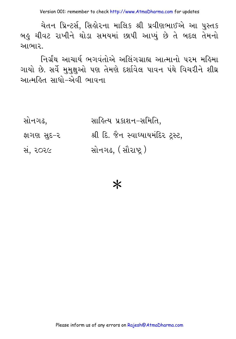ચેતન પ્રિન્ટર્સ, સિલોરના માલિક શ્રી પ્રવીણભાઈએ આ પુસ્તક બહુ ચીવટ રાખીને થોડા સમયમાં છાપી આપ્યું છે તે બદલ તેમનો આભાર.

નિર્ગ્રંથ આચાર્ય ભગવંતોએ અલિંગગ્રાહ્ય આત્માનો પરમ મહિમા ગાયો છે. સર્વે મુમુક્ષુઓ પણ તેમણે દર્શાવેલ પાવન પંથે વિચરીને શીઘ્ર આત્મહિત સાધો–એવી ભાવના

| સોનગઢ,     | સાહિત્ય પ્રકાશન–સમિતિ,             |
|------------|------------------------------------|
| ફાગણ સુદ−ર | શ્રી દિ. જૈન સ્વાધ્યાયમંદિર ટ્સ્ટ, |
| સં, ૨૦૨૯   | સોનગઢ, (સૌરાષ્ટ્ર)                 |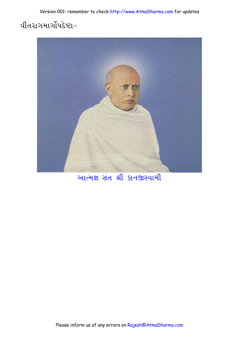# વીતરાગમાર્ગોપદેષ્ટા−



આત્મજ્ઞ સંત શ્રી કાનજીસ્વામી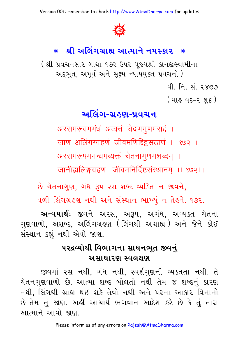Version 001: remember to check http://www.AtmaDharma.com for updates



# \* શ્રી અલિંગગ્રાહ્ય આત્માને નમસ્કાર \*

( શ્રી પ્રવચનસાર ગાથા ૧૭૨ ઉપર પૂજ્યશ્રી કાનજીસ્વામીના અદ્દભુત, અપૂર્વ અને સૂક્ષ્મ ન્યાયયુક્ત પ્રવચનો) વી નિ. સં. ૨૪૭૭

( માહ વદ-૨ શુ*ક* )

# <u>અલિંગ-ગ્રહણ-પ્રવચન</u>

अरसमरूवमगंधं अव्वत्तं चेदणगुणमसद्दं । जाण अलिंगग्गहणं जीवमणिद्दिइसठाणं ।। १७२।। अरसमरूपमगन्धमव्यक्तं चेतनागुणमशब्दम् । जानीह्यलिङ्गग्रहणं जीवमनिर्दिष्टसंस्थानम् ।। १७२।।

છે ચેતનાગુણ, ગંધ-રૂપ-રસ-શબ્દ-વ્યક્તિ ન જીવને,

વળી લિંગગ્રહણ નથી અને સંસ્થાન ભાખ્યું ન તેહને. ૧૭૨.

**અન્વયાર્થ:** જીવને અરસ, અરૂપ, અગંધ, અવ્યક્ત ચેતના ગુણવાળો, અશબ્દ, અલિંગગ્રહણ (લિંગથી અગ્રાહ્ય ) અને જેને કોઈ સંસ્થાન કહ્યું નથી એવો જાણ.

### ૫૨દ્રવ્યોથી વિભાગના સાધનભૂત જીવનું અસાધારણ સ્વલક્ષણ

જીવમાં ૨સ નથી, ગંધ નથી, સ્પર્શગુણની વ્યક્તતા નથી. તે ચેતનગુણવાળો છે. આત્મા શબ્દ બોલતો નથી તેમ જ શબ્દનું કારણ નથી, લિંગથી ગ્રાહ્ય થઈ શકે તેવો નથી અને પરના આકાર વિનાનો છે–તેમ તું જાણ. અહીં આચાર્ય ભગવાન આદેશ કરે છે કે તું તારા આત્માને આવો જાણ.

Please inform us of any errors on Rajesh@AtmaDharma.com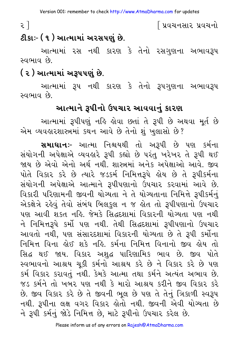૨ ]

| પ્રવચનસાર પ્રવચનો

# ટીકાઃ- ( ૧ ) આત્મામાં અરસપણું છે.

આત્મામાં રસ નથી કારણ કે તેનો રસગુણના અભાવરૂપ સ્વભાવ છે.

# ( ૨ ) આત્મામાં અરૂપપણું છે.

આત્મામાં રૂપ નથી કારણ કે તેનો રૂપગુણના અભાવરૂપ સ્વભાવ છે.

# આત્માને રૂપીનો ઉપચાર આવવાનું કારણ

આત્મામાં રૂપીપણું નહિ હોવા છતાં તે રૂપી છે અથવા મૂર્ત છે એમ વ્યવહારશાસ્ત્રમાં કથન આવે છે તેનો શું ખુલાસો છે?

સમાધાનઃ- આત્મા નિશ્ચયથી તો અરૂપી છે પણ કર્મના સંયોગની અપેક્ષાએ વ્યવહારે રૂપી કહ્યો છે પરંતુ ખરેખર તે રૂપી થઈ જાય છે એવો એનો અર્થ નથી. શાસ્ત્રમાં અનેક અપેક્ષાઓ આવે. જીવ પોતે વિકાર કરે છે ત્યારે જડકર્મ નિમિત્તરૂપે હોય છે તે રૂપીકર્મના સંયોગની અપેક્ષાએ આત્માને રૂપીપણાનો ઉપચાર કરવામાં આવે છે. વિકારી પરિણામની જીવની યોગ્યતા ને તે યોગ્યતાના નિમિત્તે રૂપીકર્મનું એકક્ષેત્રે રહેવું તેવો સંબંધ બિલકુલ ન જ હોત તો રૂપીપણાનો ઉપચાર પણ આવી શકત નહિ. જેમકે સિદ્ધદશામાં વિકારની યોગ્યતા પણ નથી ને નિમિત્તરૂપે કર્મો પણ નથી. તેથી સિદ્ધદશામાં રૂપીપણાનો ઉપચાર આવતો નથી, પણ સંસારદશામાં વિકારની યોગ્યતા છે તે રૂપી કર્મોના નિમિત્ત વિના ક્ષેઈ શકે નહિ. કર્મના નિમિત્ત વિનાનો જીવ ક્ષેય તો સિદ્ધ થઈ જાય. વિકાર અશુદ્ધ પારિણામિક ભાવ છે. જીવ પોતે સ્વભાવનો આશ્રય ચુકી કર્મનો આશ્રય કરે છે ને વિકાર કરે છે પણ કર્મ વિકાર કરાવતું નથી. કેમકે આત્મા તથા કર્મને અત્યંત અભાવ છે. જડ કર્મને તો ખબર પણ નથી કે મારો આશ્રય કરીને જીવ વિકાર કરે છે. જીવ વિકાર કરે છે તે જીવની ભૂલ છે પણ તે તેનું ત્રિકાળી સ્વરૂપ નથી. રૂપીના લક્ષ વગર વિકાર હોતો નથી. જીવની એવી યોગ્યતા છે ને રૂપી કર્મનું જોડે નિમિત્ત છે, માટે રૂપીનો ઉપચાર કરેલ છે.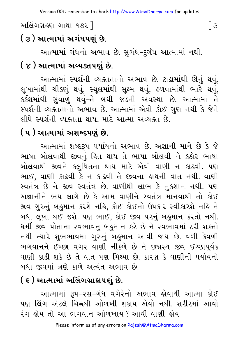# અલિંગગ્રહણ ગાથા ૧૭૨ ી

# ( ૩ ) આત્મામાં અગંધપણં છે.

આત્મામાં ગંધનો અભાવ છે. સુગંધ–દુર્ગંધ આત્મામાં નથી. ( ૪ ) આત્મામાં અવ્યક્તપણું છે.

આત્મામાં સ્પર્શની વ્યક્તતાનો અભાવ છે. ટાઢામાંથી ઊનું થવું, લૂખામાંથી ચીકણું થવું, સ્થૂલમાંથી સૂક્ષ્મ થવું, હળવામાંથી ભારે થવું, કર્કશમાંથી સુંવાળું થવું-તે બધી જડની અવસ્થા છે. આત્મામાં તે સ્પર્શની વ્યક્તતાનો અભાવ છે. આત્મામાં એવો કોઈ ગુણ નથી કે જેને લીધે સ્પર્શની વ્યક્તતા થાય. માટે આત્મા અવ્યક્ત છે.

# ( ૫ ) આત્મામાં અશબ્દપણું છે.

આત્મામાં શબ્દરૂપ પર્યાયનો અભાવ છે. અજ્ઞાની માને છે કે જે ભાષા બોલવાથી જીવનું હિત થાય તે ભાષા બોલવી ને કઠોર ભાષા બોલવાથી જીવને કલુષિતતા થાય માટે એવી વાણી ન કાઢવી. પણ ભાઈ, વાણી કાઢવી કે ન કાઢવી તે જીવના હાથની વાત નથી. વાણી સ્વતંત્ર છે ને જીવ સ્વતંત્ર છે. વાણીથી લાભ કે નુકશાન નથી. પણ અજ્ઞાનીને ભય લાગે છે કે આમ વાણીને સ્વતંત્ર માનવાથી તો કોઈ જીવ ગુરુનું બહુમાન કરશે નહિ, કોઈ કોઈનો ઉપકાર સ્વીકારશે નહિ ને બધા લૂખા થઈ જશે. પણ ભાઈ, કોઈ જીવ પરનું બહુમાન કરતો નથી. ધર્મી જીવ પોતાના સ્વભાવનું બહુમાન કરે છે ને સ્વભાવમાં ઠરી શકતો નથી ત્યારે શુભભાવમાં ગુરુનું બહુમાન આવી જાય છે. વળી કેવળી ભગવાનને ઈચ્છા વગર વાણી નીકળે છે ને છદ્મસ્થ જીવ ઈચ્છાપૂર્વક વાણી કાઢી શકે છે તે વાત પણ મિથ્યા છે. કારણ કે વાણીની પર્યાયનો બધા જીવમાં ત્રણે કાળે અત્યંત અભાવ છે.

# ( ૬ ) આત્મામાં અલિંગગ્રાહ્યપણું છે.

આત્મામાં રૂપ–રસ–ગંધ વગેરેનો અભાવ કોવાથી આત્મા કોઈ પણ લિંગ એટલે ચિહ્નથી ઓળખી શકાય એવો નથી. શરીરમાં આવો રંગ લોય તો આ ભગવાન ઓળખાય ? આવી વાણી લોય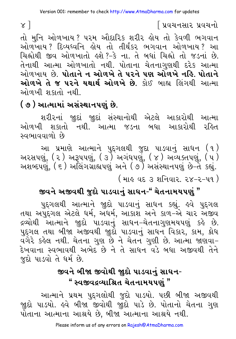∫ પ્રવચનસાર પ્રવચનો

તો મુનિ ઓળખાય? પરમ ઔદારિક શરીર હોય તો કેવળી ભગવાન ઓળખાય ? દિવ્યધ્વનિ હોય તો તીર્થંકર ભગવાન ઓળખાય ? આ ચિહ્નોથી જીવ ઓળખાતો હશે?-કે ના. તે બધાં ચિહ્નો તો જડનાં છે. તેનાથી આત્મા ઓળખાતો નથી. પોતાના ચેતનાગુણથી દરેક આત્મા ઓળખાય છે. પોતાને ન ઓળખે તે પરને પણ ઓળખે નહિ. પોતાને **ઓળખે તે જ પરને યથાર્થ ઓળખે છે.** કોઈ બાહ્ય લિંગથી આત્મા ઓળખી શકાતો નથી.

# ( ૭ ) આત્મામાં અસંસ્થાનપણં છે.

શરીરનાં જીુદાં જીુદાં સંસ્થાનોથી એટલે આકારોથી આત્મા ઓળખી શકાતો નથી. આત્મા જડના બધા આકારોથી રહિત સ્વભાવવાળો છે

આ પ્રમાણે આત્માને પુદ્દગલથી જુદા પાડવાનું સાધન (૧)<br>અરસપણું, (૨) અરૂપપણું, (૩) અગંધપણું, (૪) અવ્યક્તપણું, (૫)<br>અશબ્દપણું, (૬) અલિંગગ્રાહ્યપણું અને (૭) અસંસ્થાનપણું છે−તે કહ્યું. ( માઙ઼ વદ ૩ શનિવાર. ૨૪-૨-૫૧ )

# જીવને અજીવથી જુદો પાડવાનું સાધન-" ચેતનામયપણું "

પુદ્દગલથી આત્માને જીદો પાડવાનું સાધન કહ્યું. હવે પુદ્દગલ તથા અપુદ્ગલ એટલે ધર્મ, અંધર્મ, આકાશ અને કાળ-એ ચાર અંજીવ દ્રવ્યોથી આત્માને જીદો પાડવાનું સાધન–ચેતનાગુણમયપણું કહે છે. પુદ્ગલ તથા બીજા અજીવથી જીુદો પાડવાનું સાધન વિકાર, કામ, ક્રોધ વગેરે કહેલ નથી. ચેતના ગુણ છે ને ચેતન ગુણી છે. આત્મા જાણવા– દેખવાના સ્વભાવથી અભેદ છે ને તે સાધન વડે બધા અજીવથી તેને જુદો પાડવો તે ધર્મ છે.

# જીવને બીજા જીવોથી જાુદો પાડવાનું સાઘન-" સ્વજીવદ્રવ્યાશ્રિત ચેતનામયપણં "

આત્માને પ્રથમ પુદ્દગલોથી જુદો પાડયો. પછી બીજા અજીવથી જીદો પાડયો. હવે બીજા જીવોથી જીદો પાડે છે. પોતાનો ચેતના ગુણ પોતાના આત્માના આશ્રયે છે, બીજા આત્માના આશ્રયે નથી.

 $\alpha$ ]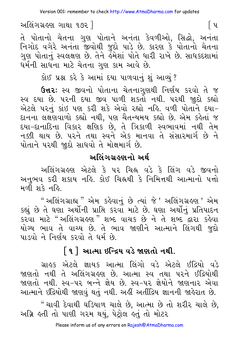અલિંગગ્રહણ ગાથા ૧૭૨ ]

તે પોતાનો ચેતના ગુણ પોતાને અનંતા કેવળીઓ, સિદ્ધો, અનંતા નિગોદ વગેરે અનંતા જીવોથી જુદો પાડે છે. કારણ કે પોતાનો ચેતના ગુણ પોતાનું સ્વલક્ષણ છે. તેને ર્લ્મેશાં પોતે ધારી રાખે છે. સાધકદશામાં ધર્મની સાધના માટે ચેતના ગુણ કામ આવે છે.

કોઈ પ્રશ્ન કરે કે આમાં દયા પાળવાનું શું આવ્યું?

**ઉત્તરઃ** સ્વ જીવનો પોતાના ચેતનાગણથી નિર્ણય કરવો તે જ સ્વ દયા છે. ૫૨ની દયા જીવ પાળી શકતો નથી. ૫૨થી જ઼ાદો કહ્યો એટલે પરનું કાંઇ પણ કરી શકે એવો રહ્યો નહિ. વળી પોતાને દયા-દાનના લક્ષણવાળો કહ્યો નથી, પણ ચૈતન્યમય કહ્યો છે. એમ કહેતાં જ દયા-દાનાદિના વિકાર ક્ષણિક છે, તે ત્રિકાળી સ્વભાવમાં નથી તેમ નક્કી થાય છે. પરને તથા સ્વને એક માનવા તે સંસારમાર્ગ છે ને પોતાને પરથી જાદો સાધવો તે મોક્ષમાર્ગ છે.

### અલિંગગ્રહણનો અર્થ

અલિંગગ્રહણ એટલે કે ૫૨ ચિહ્ન વડે કે લિંગ વડે જીવનો અનુભવ કરી શકાય નહિ. કોઈ ચિહ્નથી કે નિમિત્તથી આત્માનો પત્તો મળી શકે નહિ.

" અલિંગગ્રાહ્ય " એમ કહેવાનું છે ત્યાં જે ' અલિંગગ્રહ્ણ ' એમ કહ્યું છે તે ઘણા અર્થોની પ્રાપ્તિ કરવા માટે છે. ઘણા અર્થોનું પ્રતિપાદન કરવા માટે "અલિંગગ્રહણ" શબ્દ વાચક છે ને તે શબ્દ દ્વારા કહેવા યોગ્ય ભાવ તે વાચ્ય છે. તે ભાવ જાણીને આત્માને લિંગથી જદો પાડવો ને નિર્ણય કરવો તે ધર્મ છે.

# [૧] આત્મા ઇન્દ્રિય વડે જાણતો નથી.

ગ્રાહક એટલે જ્ઞાયક આત્મા લિંગો વડે એટલે ઈંદ્રિયો વડે જાણતો નથી તે અલિંગગ્રહણ છે. આત્મા સ્વ તથા પરને ઈંદ્રિયોથી જાણતો નથી. સ્વ−૫૨ બન્ને જ્ઞેય છે. સ્વ−૫૨ જ્ઞેયોને જાણનાર એવા આત્માને ઇંદ્રિયોથી જાણવું થતું નથી. અહીં અતીંદ્રિય જ્ઞાનની જાહેરાત છે.

" ચાવી દેવાથી ઘડિયાળ ચાલે છે, આત્મા છે તો શરીર ચાલે છે, અગ્નિ હતી તો પાણી ગરમ થયું, પેટ્રોલ હતું તો મોટર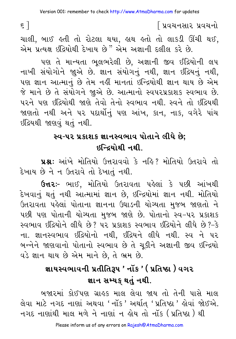# ∫ પ્રવચનસાર પ્રવચનો

ચાલી. બાઈ હતી તો રોટલા થયા, હાથ હતો તો લાકડી ઊંચી થઈ, એમ પ્રત્યક્ષ ઇંદ્રિયોથી દેખાય છે" એમ અજ્ઞાની દલીલ કરે છે.

પણ તે માન્યતા ભુલભરેલી છે, અજ્ઞાની જીવ ઈંદ્રિયોની લપ નાખી સંયોગોને જાૂએ છે. જ્ઞાન સંયોગનું નથી, જ્ઞાન ઇંદ્રિયનું નથી, પણ જ્ઞાન આત્માનું છે તેમ નહીં માનતાં ઇન્દ્રિયોથી જ્ઞાન થાય છે એમ જે માને છે તે સંયોગને જાુએ છે. આત્માનો સ્વપરપ્રકાશક સ્વભાવ છે. પરને પણ ઇંદ્રિયોથી જાણે તેવો તેનો સ્વભાવ નથી. સ્વને તો ઇંદ્રિયથી જાણતો નથી અને પર પદાર્થોનું પણ આંખ, કાન, નાક, વગેરે પાંચ ઇંદ્રિયથી જાણવું થતું નથી.

# સ્વ-૫૨ પ્રકાશક જ્ઞાનસ્વભાવ પોતાને લીધે છે; ઇન્દિયોથી નથી

**પ્રશ્ન:** આંખે મોતિયો ઉત્તરાવવો કે નહિ? મોતિયો ઉતરાવે તો દેખાય છે ને ન ઉતરાવે તો દેખાતું નથી.

**ઉત્તરઃ-** ભાઈ, મોતિયો ઉતરાવતા પહેલાં કે પછી આંખથી દેખવાનું થતું નથી આત્મામાં જ્ઞાન છે, ઇન્દ્રિયોમાં જ્ઞાન નથી. મોતિયો ઉતરાવતા પહેલાં પોતાના જ્ઞાનના ઉઘાડની યોગ્યતા મજબ જાણતો ને પછી પણ પોતાની યોગ્યતા મજબ જાણે છે. પોતાનો સ્વ-પર પ્રકાશક સ્વભાવ ઇંદ્રિયોને લીધે છે? પર પ્રકાશક સ્વભાવ ઇંદ્રિયોને લીધે છે?-કે ના. જ્ઞાનસ્વભાવ ઇંદ્રિયોનો નથી, ઇંદ્રિયને લીધે નથી. સ્વ ને પર બન્નેને જાણવાનો પોતાનો સ્વભાવ છે તે ચૂકીને અજ્ઞાની જીવ ઇન્દ્રિયો વડે જ્ઞાન થાય છે એમ માને છે, તે ભ્રમ છે.

# જ્ઞાયસ્વભાવની પ્રતીતિરૂપ ' નૉક ' ( પ્રતિષ્ઠા ) વગર જ્ઞાન સમ્યક થતું નથી.

બજારમાં કોઈપણ ગ્રાહક માલ લેવા જાય તો તેની પાસે માલ લેવા માટે નગદ નાણાં અથવા 'નૉક' અર્થાત્ 'પ્રતિષ્ઠા' હોવાં જોઈએ. નગદ નાણાંથી માલ મળે ને નાણાં ન ોય તો નૉક ( પ્રતિષ્ઠા ) થી

 $\epsilon$  ]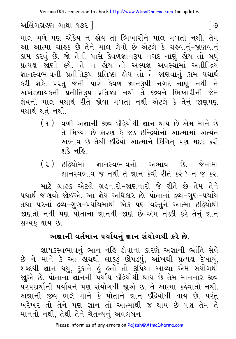અલિંગગ્રહણ ગાથા ૧૭૨ |

માલ મળે પણ એકેય ન હોય તો ભિખારીને માલ મળતો નથી. તેમ આ આત્મા ગ્રાહક છે તેને માલ લેવો છે એટલે કે ગ્રહવાનું-જાણવાનું કામ કરવું છે. જો તેની પાસે કેવળજ્ઞાનરૂપ નગદ નાણું હોય તો બધું પ્રત્યક્ષ જાણી લ્યે. તે ન હોય તો અલ્પજ્ઞ અવસ્થામાં અતીન્દ્રિય જ્ઞાનસ્વભાવની પ્રતીતિરૂપ પ્રતિષ્ઠા હોય તો તે જાણવાનું કામ યથાર્થ કરી શકે. પરંતુ જેની પાસે કેવળ જ્ઞાનરૂપી નગદ નાણું નથી ને અખંડજ્ઞાયકની પ્રતીતિરૂપ પ્રતિષ્ઠા નથી તે જીવને ભિખારીની જેમ જ્ઞેયનો માલ યથાર્થ રીતે જોવા મળતો નથી એટલે કે તેનું જાણુપણું યથાર્થ થતં નથી.

- (૧) વળી અજ્ઞાની જીવ ઇંદ્રિયોથી જ્ઞાન થાય છે એમ માને છે તે મિથ્યા છે કારણ કે જડ ઇન્દ્રિયોનો આત્મામાં અત્યંત અભાવ છે તેથી ઇંદ્રિયો આત્માને કિંચિત પણ મદદ કરી श ेर नर्छि
- (૨) ઇંદ્રિયોમાં જ્ઞાનસ્વભાવનો અભાવ છે. જેનામાં જ્ઞાનસ્વભાવ જ નથી તે જ્ઞાન કેવી રીતે કરે?-ન જ કરે.

માટે ગ્રાહક એટલે ગ્રહનારો-જાણનારો જે રીતે છે તેમ તેને યથાર્થ જાણવો જોઈએ. આ જ્ઞેય અધિકાર છે. પોતાનાં દ્રવ્ય–ગણ–પર્યાય તથા પરનાં દ્રવ્ય-ગુણ-પર્યાયમાંથી એક પણ વસ્તને આત્મા ઇંદ્રિયોથી જાણતો નથી પણ પોતાના જ્ઞાનથી જાણે છે-એમ નક્કી કરે તેનું જ્ઞાન સમ્યક થાય છે.

# અજ્ઞાની વર્તમાન પર્યાયનું જ્ઞાન સંયોગથી કરે છે.

જ્ઞાયકસ્વભાવનું ભાન નહિ હોવાના કારણે અજ્ઞાની ભ્રાંતિ સેવે છે ને માને કે આ હાથથી લાકડું ઊપડયું, આંખથી પ્રત્યક્ષ દેખાયું, શબ્દથી જ્ઞાન થયું, દુકાને હું હતો તો રૂપિયા આવ્યા એમ સંયોગથી જાુએ છે. પોતાના જ્ઞાનની પર્યાય ઇંદ્રિયોથી થાય છે તેમ માનનાર જીવ પરપદાર્થોની પર્યાયને પણ સંયોગથી જાૂએ છે. તે આત્મા કહેવાતો નથી. અજ્ઞાની જીવ ભલે માને કે પોતાને જ્ઞાન ઇંદ્રિયોથી થાય છે. પરંત ખરેખર તો તેને પણ જ્ઞાન તો આત્માથી જ થાય છે પણ તેમ તે માનતો નથી, તેથી તેને ચૈતન્યનું અવલંબન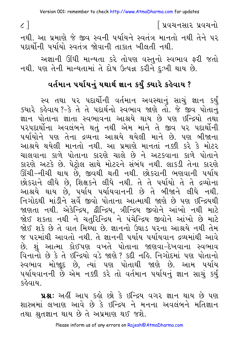∫ પ્રવચનસાર પ્રવચનો

નથી. આ પ્રમાણે જે જીવ સ્વની પર્યાયને સ્વતંત્ર માનતો નથી તેને પર पहार्थोनी पर्यायो स्वतंत्र श्रेवानी तान्नत ખीલती नथी.

અજ્ઞાની ઊંધી માન્યતા કરે તોપણ વસ્તુનો સ્વભાવ ફરી જતો નથી. પણ તેની માન્યતામાં તે દોષ ઉત્પન્ન કરીને દુઃખી થાય છે.

# વર્તમાન પર્યાયનું યથાર્થ જ્ઞાન કર્યું ક્યારે કહેવાય ?

સ્વ તથા ૫૨ પદાર્થોની વર્તમાન અવસ્થાનું સાચું જ્ઞાન કર્યું ક્યારે કહેવાય?-કે તે તે પદાર્થનો સ્વભાવ જાણે તો. જે જીવ પોતાનું જ્ઞાન પોતાના જ્ઞાતા સ્વભાવના આશ્રયે થાય છે પણ ઇન્દ્રિયો તથા પરપદાર્થોના અવલંબને થતું નથી એમ માને તે જીવ પર પદાર્થોની પર્યાયોને પણ તેના દ્રવ્યના આશ્રયે થયેલી માને છે. પણ બીજાના આશ્રયે થયેલી માનતો નથી. આ પ્રમાણે માનતાં નક્કી કરે કે મોટર ચાલવાના કાળે પોતાના કારણે ચાલે છે ને અટકવાના કાળે પોતાને કારણે અટકે છે. પેટોલ સાથે મોટરને સંબંધ નથી. લાકડી તેના કારણે ઊંચી-નીચી થાય છે, જીવથી થતી નથી. છોકરાની ભણવાની પર્યાય છોકરાને લીધે છે, શિક્ષકને લીધે નથી. તે તે પર્યાયો તે તે દ્રવ્યોના આશ્રયે થાય છે, પર્યાય પર્યાયવાનની છે તે બીજાને લીધે નથી. નિગોદથી માંડીને સર્વે જીવો પોતાના આત્માથી જાણે છે પણ ઇન્દ્રિયથી જાણતા નથી. એકેન્દ્રિય, દ્વીન્દ્રિય, ત્રીન્દ્રિય જીવોને આંખો નથી માટે જોઈ શકતા નથી ને ચતુરિન્દ્રિય ને પંચેન્દ્રિય જીવોને આંખો છે માટે જોઈ શકે છે તે વાત મિથ્યા છે. જ્ઞાનનો ઉઘાડ પરના આશ્રયે નથી તેમ જ પરમાંથી આવતો નથી. તે જ્ઞાનની પર્યાય પર્યાયવાન દ્રવ્યમાંથી આવે છે. શું આત્મા કોઈપણ વખતે પોતાના જાણવા–દેખવાના સ્વભાવ વિનાનો છે કે તે ઇન્દ્રિયો વડે જાણે ? કદી નહિ. નિગોદમાં પણ પોતાનો સ્વભાવ મોજાૂદ છે, ત્યાં પણ પોતાથી જાણે છે. આમ પર્યાય પર્યાયવાનની છે એમ નક્કી કરે તો વર્તમાન પર્યાયનું જ્ઞાન સાચું કર્યું કહેવાયા

પ્રશ્ન: અહીં આપ કહો છો કે ઇન્દ્રિય વગર જ્ઞાન થાય છે પણ શાસ્ત્રમાં લખાણ આવે છે કે ઇન્દ્રિય ને મનના અવલંબને મતિજ્ઞાન તથા શ્રુતજ્ઞાન થાય છે તે અપ્રમાણ થઈ જશે.

 $\zeta$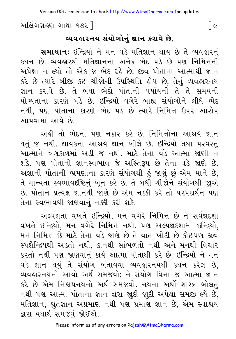અલિંગગ્રહણ ગાથા ૧૭૨ ી

### વ્યવહારનય સંયોગોનું જ્ઞાન કરાવે છે.

સમાધાન: ઇન્દ્રિયો ને મન વડે મતિજ્ઞાન થાય છે તે વ્યવહારનું કથન છે. વ્યવહારથી મતિજ્ઞાનના અનેક ભેદ ૫ડે છે પણ નિમિત્તની અપેક્ષા ન લ્યો તો એક જ ભેદ રહે છે. જીવ પોતાના આત્માથી જ્ઞાન કરે છે ત્યારે બીજી કઈ ચીજોની ઉપસ્થિતિ હોય છે, તેનું વ્યવહારનય જ્ઞાન કરાવે છે. તે બધા ભેદો પોતાની પર્યાયની તે તે સમયની યોગ્યતાના કારણે પડે છે. ઇન્દ્રિયો વગેરે બાહ્ય સંયોગોને લીધે ભેદ નથી, પણ પોતાના કારણે ભેદ પડે છે ત્યારે નિમિત્ત ઉપર આરોપ આપવામાં આવે છે

અહીં તો ભેદનો પણ નકાર કરે છે. નિમિત્તોના આશ્રયે જ્ઞાન થતું જ નથી. જ્ઞાયકના આશ્રયે જ્ઞાન ખીલે છે. ઇન્દ્રિયો તથા પરવસ્તુ આત્માને ત્રણકાળમાં અડી જ નથી. માટે તેના વડે આત્મા જાણી ન શકે. પણ પોતાનો જ્ઞાનસ્વભાવ જે અસ્તિરૂપ છે તેના વડે જાણે છે. અજ્ઞાની પોતાની ભ્રમણાના કારણે સંયોગથી હું જાણું છું એમ માને છે, તે માન્યતા સ્વભાવદષ્ટિનું ખૂન કરે છે. તે બધી ચીજોને સંયોગથી જાૂએ છે. પોતાને પ્રત્યક્ષ જ્ઞાનથી જાણે છે એમ નક્કી કરે તો પરપદાર્થને પણ તેના સ્વભાવથી જાણવાનું નક્કી કરી શકે.

અલ્પજ્ઞતા વખતે ઇન્દ્રિયો, મન વગેરે નિમિત્ત છે ને સર્વજ્ઞદશા વખતે ઇન્દ્રિયો, મન વગેરે નિમિત્ત નથી. પણ અલ્પજ્ઞદશામાં ઇન્દ્રિયો, મન નિમિત્ત છે માટે તેના વડે જાણે છે તે વાત ખોટી છે કોઈપણ જીવ સ્પર્શેન્દ્રિયથી અડતો નથી, કાનથી સાંભળતો નથી અને મનથી વિચાર કરતો નથી પણ જાણવાનું કાર્ય આત્મા પોતાથી કરે છે. ઇન્દ્રિયો ને મન વડે જ્ઞાન થયું તે સંયોગ બતાવવા વ્યવહારનયથી કથન કરેલ છે. વ્યવહારનયનો આવો અર્થ સમજવો: ને સંયોગ વિના જ આત્મા જ્ઞાન કરે છે એમ નિશ્ચયનયનો અર્થ સમજવો. નયના અર્થો શાસ્ત્ર બોલતં નથી પણ આત્મા પોતાના જ્ઞાન દ્વારા જાુદી જાુદી અપેક્ષા સમજી લ્યે છે, મતિજ્ઞાન, શ્રુતજ્ઞાન અપ્રમાણ નથી પણ પ્રમાણ જ્ઞાન છે, એમ સ્વાશ્રય દ્વારા યથાર્થ સમજવું જોઈએ.

<u> [ ૯</u>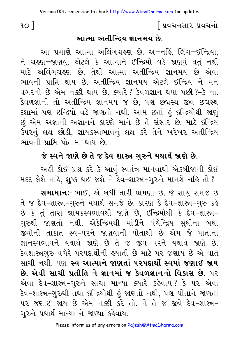### ∣ પ્રવચનસાર પ્રવચનો

 $90<sup>1</sup>$ 

### આત્મા અતીન્દ્રિય જ્ઞાનમય છે.

આ પ્રમાણે આત્મા અલિંગગ્રહણ છે. અ=નહિં, લિંગ=ઈન્દ્રિયો, ને ગ્રહણ=જાણવું. એટલે કે આત્માને ઈન્દ્રિયો વડે જાણવું થતું નથી માટે અલિંગગ્રહણ છે. તેથી આત્મા અતીન્દ્રિય જ્ઞાનમય છે એવા ભાવની પ્રાપ્તિ થાય છે. અતીન્દ્રિય જ્ઞાનમય એટલે ઈન્દ્રિય ને મન વગરનો છે એમ નક્કી થાય છે. ક્યારે? કેવળજ્ઞાન થયા પછી ?-કે ના. કેવળજ્ઞાની તો અતીન્દ્રિય જ્ઞાનમય જ છે, પણ છદ્મસ્થ જીવ છદ્મસ્થ દશામાં પણ ઇન્દ્રિયો વડે જાણતો નથી. આમ છતાં કું ઇન્દ્રિયોથી જાણું છું એમ અજ્ઞાની અજ્ઞાનને કારણે માને છે તે સંસાર છે. માટે ઇન્દ્રિય ઉપરનું લક્ષ છોડી, જ્ઞાયકસ્વભાવનું લક્ષ કરે તેને ખરેખર અતીન્દ્રિય ભાવની પ્રાપ્તિ પોતામાં થાય છે.

### જે સ્વને જાણે છે તે જ દેવ-શાસ્ત્ર-ગુરુને યથાર્થ જાણે છે.

અહીં કોઈ પ્રશ્ન કરે કે આવું સ્વતંત્ર માનવાથી એકબીજાની કોઈ મદદ લેશે નહિ, શુષ્ક થઈ જશે ને દેવ-શાસ્ત્ર-ગુરુને માનશે નહિ તો ?

સમાઘાનઃ- ભાઈ, એ બધી તારી ભ્રમણા છે. જે સાચું સમજે છે તે જ દેવ-શાસ્ત્ર-ગુરુને યથાર્થ સમજે છે. કારણ કે દેવ-શાસ્ત્ર-ગુરુ કહે છે કે તું તારા જ્ઞાયકસ્વભાવથી જાણે છે, ઇન્દ્રિયોથી કે દેવ-શાસ્ત્ર-ગુરુથી જાણતો નથી. એકેન્દ્રિયથી માંડીને પંચેન્દ્રિય સુધીના બધા જીવોની તાકાત સ્વ-પરને જાણવાની પોતાથી છે એમ જે પોતાના જ્ઞાનસ્વભાવને યથાર્થ જાણે છે તે જ જીવ પરને યથાર્થ જાણે છે. દેવશાસ્ત્રગુરુ વગેરે પરપદાર્થોની હયાતી છે માટે પર જણાય છે એ વાત સાચી નથી. પણ સ્વ આત્માને જાણતાં પરપદાર્થો સ્વમાં જણાઈ જાય છે. એવી સાચી પ્રતીતિ ને જ્ઞાનમાં જ કેવળજ્ઞાનનો વિકાસ છે. ૫૨ એવા દેવ-શાસ્ત્ર-ગુરુને સાચા માન્યા ક્યારે કહેવાય? કે પર એવા દેવ−શાસ્ત્ર−ગુરુથી તથા ઇન્દ્રિયોથી હું જાણતો નથી, પણ પોતાને જાણતાં પર જણાઈ જાય છે એમ નક્કી કરે તો. ને તે જ જીવે દેવ-શાસ્ત્ર-ગુરુને યથાર્થ માન્યા ને જાણ્યા કહેવાય.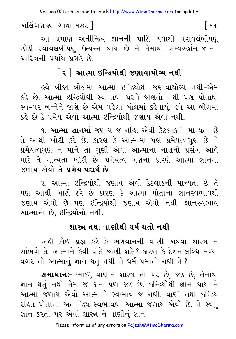અલિંગગ્રહણ ગાથા ૧૭૨ ]

 $\lceil 99 \rceil$ 

આ પ્રમાણે અતીન્દ્રિય જ્ઞાનની પ્રાપ્તિ થવાથી પરાવલંબીપણું છોડી સ્વાવલંબીપણું ઉત્પન્ન થાય છે ને તેમાંથી સમ્યગ્દર્શન-જ્ઞાન-ચારિત્રની પર્યાય પ્રગટે છે.

# <u>[ ૨ ] આત્મા ઇન્દ્રિયોથી જણાવાયોગ્ય નથી</u>

હવે બીજા બોલમાં આત્મા ઇન્દ્રિયોથી જણાવાયોગ્ય નથી-એમ કહે છે. આત્મા ઇન્દ્રિયોથી સ્વ તથા પરને જાણતો નથી પણ પોતાથી સ્વ-૫૨ બન્નેને જાણે છે એમ પહેલા બોલમાં કહેવાયું. હવે આ બોલમાં કર્લ્ડ છે કે પ્રમેય એવો આત્મા ઇન્દ્રિયોથી જણાય એવો નથી.

૧. આત્મા જ્ઞાનમાં જણાય જ નહિ. એવી કેટલાકની માન્યતા છે તે આથી ખોટી કરે છે. કારણ કે આત્મામાં પણ પ્રમેયત્વગણ છે ને પ્રમેયત્વગૃણ ન માને તો ગૃણી એવા આત્માના નાશનો પ્રસંગ આવે માટે તે માન્યતા ખોટી છે. પ્રમેયત્વ ગુણના કારણે આત્મા જ્ઞાનમાં જણાય એવો તે પ્રમેય પદાર્થ છે

ર, આત્મા ઇન્દ્રિયોથી જણાય એવી કેટલાકની માન્યતા છે તે પણ આથી ખોટી ઠરે છે કારણ કે આત્મા પોતાના જ્ઞાનસ્વભાવથી જણાય એવો છે પણ ઇન્દ્રિયોથી જણાય એવો નથી. જ્ઞાનસ્વભાવ આત્માનો છે. ઇન્દ્રિયોનો નથી.

# શાસ્ત્ર તથા વાણીથી ધર્મ થતો નથી

અહીં કોઈ પ્રશ્ન કરે કે ભગવાનની વાણી અથવા શાસ્ત્ર ન સાંભળે તે આત્માને કેવી રીતે જાણી શકે? કારણ કે દેશનાલબ્ધિ મળ્યા વગર તો આત્માનું જ્ઞાન થતું નથી ને ધર્મ ૫માતો નથી ને?

સમાઘાનઃ- ભાઈ, વાણીને શાસ્ત્ર તો પર છે. જડ છે, તેનાથી જ્ઞાન થતં નથી તેમ જ કાન પણ જડ છે. ઇન્દ્રિયોથી જ્ઞાન થાય ને આત્મા જણાય એવો આત્માનો સ્વભાવ જ નથી. વાણી તથા ઇન્દ્રિય રહિત પોતાના અતીન્દ્રિય સ્વભાવથી આત્મા જણાય એવો છે. ને સ્વનું જ્ઞાન કરતાં ૫૨ એવાં શાસ્ત્ર ને વાણીનું જ્ઞાન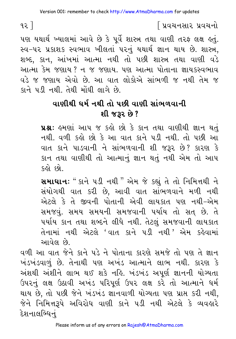# િપ્રવચનસાર પ્રવચનો

પણ યથાર્થ ખ્યાલમાં આવે છે કે પૂર્વે શાસ્ત્ર તથા વાણી તરફ લક્ષ હતું. સ્વ-૫૨ પ્રકાશક સ્વભાવ ખીલતાં ૫૨નું યથાર્થ જ્ઞાન થાય છે. શાસ્ત્ર, શબ્દ, કાન, આંખમાં આત્મા નથી તો પછી શાસ્ત્ર તથા વાણી વડે આત્મા કેમ જણાય ? ન જ જણાય. પણ આત્મા પોતાના જ્ઞાયકસ્વભાવ વડે જ જણાય એવો છે. આ વાત લોકોએ સાંભળી જ નથી તેમ જ ક્ષને પડી નથી. તેથી મોંઘી લાગે છે.

# વાણીથી ધર્મ નથી તો પછી વાણી સાંભળવાની શી જરૂર છે?

**પ્રશ્ન:** હુમણાં આપ જ કહો છો કે કાન તથા વાણીથી જ્ઞાન થતું નથી. વળી કહો છો કે આ વાત કાને પડી નથી. તો પછી આ વાત કાને પાડવાની ને સાંભળવાની શી જરૂર છે? કારણ કે કાન તથા વાણીથી તો આત્માનું જ્ઞાન થતું નથી એમ તો આપ કહો છો

**સમાધાન:** " કાને ૫ડી નથી " એમ જે કહ્યું તે તો નિમિત્તથી ને સંયોગથી વાત કરી છે. આવી વાત સાંભળવાને મળી નથી એટલે કે તે જીવની પોતાની એવી લાયકાત પણ નથી-એમ સમજવું. સમય સમયની સમજવાની પર્યાય તો સત છે. તે પર્યાય કાન તથા શબ્દને લીધે નથી. તેટલું સમજવાની લાયકાત તેનામાં નથી એટલે 'વાત કાને પડી નથી.' એમ કહેવામાં આવેલ છે.

વળી આ વાત જેને કાને પડે ને પોતાના કારણે સમજે તો પણ તે જ્ઞાન ખંડખંડવાળું છે. તેનાથી પણ અખંડ આત્માને લાભ નથી. કારણ કે અંશથી અંશીને લાભ થઈ શકે નહિ. ખંડખંડ અપૂર્ણ જ્ઞાનની યોગ્યતા ઉપરનું લક્ષ ઉઠાવી અખંડ પરિપૂર્ણ ઉપર લક્ષ કરે તો આત્માને ધર્મ થાય છે, તો પછી જેને ખંડખંડ જ્ઞાનવાળી યોગ્યતા પણ પ્રાપ્ત કરી નથી, જેને નિમિત્તરૂપે અવિરોધ વાણી કાને ૫ડી નથી એટલે કે વ્યવહારે દેશનાલબ્ધિનં

 $92$ ]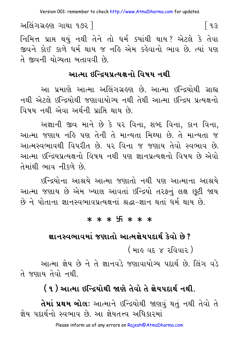Version 001: remember to check http://www.AtmaDharma.com for updates

અલિંગગ્રહણ ગાથા ૧૭૨ ] ြ ૧૩ નિમિત્ત પ્રાપ્ત થયું નથી તેને તો ધર્મ ક્યાંથી થાય? એટલે કે તેવા જીવને કોઈ કાળે ધર્મ થાય જ નહિ એમ કહેવાનો ભાવ છે. ત્યાં પણ તે જીવની યોગ્યતા બતાવવી છે.

### આત્મા ઇન્દિયપ્રત્યક્ષનો વિષય નથી

આ પ્રમાણે આત્મા અલિંગગ્રહણ છે. આત્મા ઇન્દ્રિયોથી ગ્રાહ્ય નથી એટલે ઇન્દ્રિયોથી જણાવાયોગ્ય નથી તેથી આત્મા ઇન્દ્રિય પ્રત્યક્ષનો વિષય નથી એવા અર્થની પ્રાપ્તિ થાય છે.

અજ્ઞાની જીવ માને છે કે ૫૨ વિના. શબ્દ વિના. કાન વિના. આત્મા જણાય નહિ પણ તેની તે માન્યતા મિથ્યા છે. તે માન્યતા જ આત્મસ્વભાવથી વિપરીત છે. પર વિના જ જણાય તેવો સ્વભાવ છે. આત્મા ઇન્દ્રિયપ્રત્યક્ષનો વિષય નથી પણ જ્ઞાનપ્રત્યક્ષનો વિષય છે એવો તેમાંથી ભાવ નીકળે છે

ઈન્દ્રિયોના આશ્રયે આત્મા જણાતો નથી પણ આત્માના આશ્રયે આત્મા જણાય છે એમ ખ્યાલ આવતાં ઇન્દ્રિયો તરફનું લક્ષ છુટી જાય છે ને પોતાના જ્ઞાનસ્વભાવપ્રત્યક્ષનાં શ્રદ્ધા-જ્ઞાન થતાં ધર્મ થાય છે.

#### \* \* \* 5 \* \* \*

### જ્ઞાનસ્વભાવમાં જણાતો આત્મજ્ઞેયપદાર્થ કેવો છે?

( માહ વદ ૪ રવિવાર )

આત્મા જ્ઞેય છે ને તે જ્ઞાનવડે જણાવાયોગ્ય પદાર્થ છે. લિંગ વડે તે જણાય તેવો નથી.

# (૧) આત્મા ઇન્દ્રિયોથી જાણે તેવો તે જ્ઞેયપદાર્થ નથી.

**તેમાં પ્રથમ બોલઃ** આત્માને ઇન્દ્રિયોથી જાણવું થતું નથી તેવો તે ज्ञेय पहार्थनो स्वભाव છે. આ ज्ञेयतत्त्व અधिश्वरुमां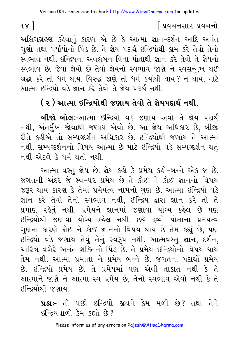### | પ્રવચનસાર પ્રવચન<del>ો</del>

અલિંગગ્રહણ કહેવાનું કારણ એ છે કે આત્મા જ્ઞાન-દર્શન આદિ અનંત ગુણો તથા પર્યાયોનો પિંડ છે. તે જ્ઞેય પદાર્થ ઇન્દ્રિયોથી કામ કરે તેવો તેનો સ્વભાવ નથી. ઇન્દ્રિયના અવલંબન વિના પોતાથી જ્ઞાન કરે તેવો તે જ્ઞેયનો સ્વભાવ છે. જેવાં જ્ઞેયો છે તેવો જ્ઞેયનો સ્વભાવ જાણે ને સ્વસન્મખ થઈ શ્રદ્ધા કરે તો ધર્મ થાય. વિરુદ્ધ જાણે તો ધર્મ ક્યાંથી થાય? ન થાય, માટે આત્મા ઇન્દ્રિયો વડે જ્ઞાન કરે તેવો તે જ્ઞેય પદાર્થ નથી.

# ( ૨ ) આત્મા ઇન્દ્રિયોથી જણાય તેવો તે જ્ઞેયપદાર્થ નથી.

**બીજો બોલઃ-**આત્મા ઇન્દ્રિયો વડે જણાય એવો તે જ્ઞેય પદાર્થ નથી, અંતર્મખ જોવાથી જણાય એવો છે. આ જ્ઞેય અધિકાર છે, બીજી રીતે કહીએ તો સમ્યગ્દર્શન અધિકાર છે. ઇન્દ્રિયોથી જણાય તે આત્મા નથી. સમ્યગ્દર્શનનો વિષય આત્મા છે માટે ઇન્દ્રિયો વડે સમ્યગ્દર્શન થતું નથી એટલે કે ધર્મ થતો નથી.

આત્મા વસ્તુ જ્ઞેય છે. જ્ઞેય કહ્યે કે પ્રમેય કહ્યે-બન્ને એક જ છે. જગતની અંદર જે સ્વ-પર પ્રમેય છે તે કોઈ ને કોઈ જ્ઞાનનો વિષય જરૂર થાય કારણ કે તેમાં પ્રમેયત્વ નામનો ગુણ છે. આત્મા ઇન્દ્રિયો વડે જ્ઞાન કરે તેવો તેનો સ્વભાવ નથી, ઈન્દ્રિય દ્વારા જ્ઞાન કરે તો તે પ્રમાણ રહેતં નથી. પ્રમેયને જ્ઞાનમાં જણાવા યોગ્ય કહેલ છે પણ ઇન્દ્રિયોથી જણાવા યોગ્ય કહેલ નથી. છયે દ્રવ્યો પોતાના પ્રમેયત્વ ગુણના કારણે કોઈ ને કોઈ જ્ઞાનનો વિષય થાય છે તેમ કહ્યું છે, પણ ઇન્દ્રિયો વડે જણાય તેવું તેનું સ્વરૂપ નથી. આત્મવસ્તુ જ્ઞાન, દર્શન, ચારિત્ર વગેરે અનંત શક્તિનો પિંડ છે. તે પ્રમેય ઇન્દ્રિયોનો વિષય થાય તેમ નથી. આત્મા પ્રમાતા ને પ્રમેય બન્ને છે. જગતના પદાર્થો પ્રમેય છે. ઇન્દ્રિયો પ્રમેય છે. તે પ્રમેયમાં પણ એવી તાકાત નથી કે તે આત્માને જાણે ને આત્મા સ્વ પ્રમેય છે. તેનો સ્વભાવ એવો નથી કે તે ઇન્દિયોથી જણાય

> **પ્રશ્નઃ**- તો પછી ઇન્દ્રિયો જીવને કેમ મળી છે? તથા તેને  $86$   $324$   $10$   $31$   $31$   $33$   $32$

 $98$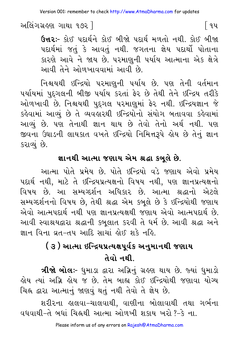અલિંગગ્રહણ ગાથા ૧૭૨ ]

ઉત્તરઃ- કોઈ પદાર્થને કોઈ બીજો પદાર્થ મળતો નથી. કોઈ બીજા પદાર્થમાં જતું કે આવતું નથી. જગતના જ્ઞેય પદાર્થો પોતાના કારણે આવે ને જાય છે. પરમાણુની પર્યાય આત્માના એક ક્ષેત્રે આવી તેને ઓળખાવવામાં આવી છે

નિશ્ચયથી ઇન્દ્રિયો પરમાણની પર્યાય છે. પણ તેની વર્તમાન પર્યાયમાં પુદ્દગલની બીજી પર્યાય કરતાં ફેર છે તેથી તેને ઇન્દ્રિય તરીકે ઓળખાવી છે. નિશ્ચયથી પુદ્ગલ પરમાણુમાં ફેર નથી. ઇન્દ્રિયજ્ઞાન જે કહેવામાં આવ્યું છે તે વ્યવહારથી ઇન્દ્રિયોનો સંયોગ બતાવવા કહેવામાં આવ્યું છે. પણ તેનાથી જ્ઞાન થાય છે તેવો તેનો અર્થ નથી. પણ જીવના ઉઘાડની લાયકાત વખતે ઇન્દ્રિયો નિમિત્તરૂપે હોય છે તેનું જ્ઞાન કરાવ્યું છે.

# જ્ઞાનથી આત્મા જણાય એમ શ્રદ્ધા કબૂલે છે.

આત્મા પોતે પ્રમેય છે. પોતે ઇન્દ્રિયો વડે જણાય એવો પ્રમેય પદાર્થ નથી, માટે તે ઇન્દ્રિયપ્રત્યક્ષનો વિષય નથી, પણ જ્ઞાનપ્રત્યક્ષનો વિષય છે. આ સમ્યગ્દર્શન અધિકાર છે. આત્મા શ્રદ્ધાનો એટલે સમ્યગ્દર્શનનો વિષય છે, તેથી શ્રદ્ધા એમ કબુલે છે કે ઇન્દ્રિયોથી જણાય એવો આત્મપદાર્થ નથી પણ જ્ઞાનપ્રત્યક્ષથી જણાય એવો આત્મપદાર્થ છે. આવી સ્વાશ્રયદ્વારા શ્રદ્ધાની કબૂલાત કરવી તે ધર્મ છે. આવી શ્રદ્ધા અને જ્ઞાન વિના વ્રત-તપ આદિ સાચાં શેઈ શકે નહિ.

# ( ૩ ) આત્મા ઇન્દ્રિયપ્રત્યક્ષપર્વક અનુમાનથી જણાય તેવો નથી

**ત્રીજો બોલઃ**- ધુમાડા દ્વારા અગ્નિનું ગ્રહણ થાય છે. જ્યાં ધુમાડો લોય ત્યાં અગ્નિ લોય જ છે. તેમ બાહ્ય કોઈ ઇન્દ્રિયોથી જણાવા યોગ્ય ચિહ્ન દ્વારા આત્માનું જાણવું થતું નથી તેવો તે જ્ઞેય છે.

વધવાથી–તે બધાં ચિહ્નથી આત્મા ઓળખી શકાય ખરો ?–કે ના

િવપ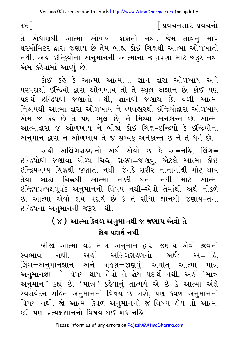િપ્રવચનસાર પ્રવચનો

તે એંધાણથી આત્મા ઓળખી શકાતો નથી. જેમ તાવનું માપ થરર્મોમિટર દ્વારા જણાય છે તેમ બાહ્ય કોઈ ચિહ્નથી આત્મા ઓળખાતો નથી. અહીં ઇન્દ્રિયોના અનુમાનની આત્માના જાણપણા માટે જરૂર નથી એમ કહેવામાં આવ્યં છે.

કોઈ કહે કે આત્મા આત્માના જ્ઞાન દ્વારા ઓળખાય અને પરપદાર્થો ઇન્દ્રિયો દ્વારા ઓળખાય તો તે સ્થૂલ અજ્ઞાન છે. કોઈ પણ પદાર્થ ઇન્દ્રિયથી જણાતો નથી, જ્ઞાનથી જણાય છે. વળી આત્મા નિશ્ચયથી આત્મા દ્વારા ઓળખાય ને વ્યવહારથી ઇન્દ્રિયોદ્વારા ઓળખાય એમ જે કહે છે તે પણ ભુલ છે, તે મિથ્યા અનેકાન્ત છે. આત્મા આત્માદ્વારા જ ઓળખાય ને બીજા કોઈ ચિહ્ન-ઇન્દ્રિયો કે ઇન્દ્રિયોના અનુમાન દ્વારા ન ઓળખાય તે જ સમ્યક અનેકાન્ત છે ને તે ધર્મ છે.

અહીં અલિંગગ્રહણનો અર્થ એવો છે કે અ=નહિ, લિંગ= ઇન્દ્રિયોથી જણાવા યોગ્ય ચિહ્ન, ગ્રહણ=જાણવં. એટલે આત્મા કોઈ ઇન્દ્રિયગમ્ય ચિહ્નથી જણાતો નથી. જેમકે શરીર નાનામાંથી મોટું થાય ચિહ્નથી આત્મા નક્કી થતો નથી માટે આત્મા તેવા બાહ્ય ઇન્દ્રિયપ્રત્યક્ષપૂર્વક અનુમાનનો વિષય નથી−એવો તેમાંથી અર્થ નીકળે છે. આત્મા એવો જ્ઞેય પદાર્થ છે કે તે સીધો જ્ઞાનથી જણાય-તેમાં छन्द्रियना अनुभाननी ४३२ नथी.

# ( ૪ ) આત્મા કેવળ અનુમાનથી જ જણાય એવો તે જ્ઞેય પદાર્થ નથી.

બીજા આત્મા વડે માત્ર અનુમાન દ્વારા જણાય એવો જીવનો સ્વભાવ નથી. અહીં અલિંગગ્રહણનો અર્થ: અ=નહિ. લિંગ=અનુમાનજ્ઞાન અને ગ્રઙ્ણ=જાણવં. અર્થાત આત્મા માત્ર અનુમાનજ્ઞાનનો વિષય થાય તેવો તે જ્ઞેય પદાર્થ નથી. અહીં 'માત્ર અનુમાન ' કહ્યું છે. 'માત્ર ' કહેવાનું તાત્પર્ય એ છે કે આત્મા અંશે સ્વસંવેદન સર્હિત અનુમાનનો વિષય છે ખરો, પણ કેવળ અનુમાનનો વિષય નથી. જો આત્મા કેવળ અનુમાનનો જ વિષય હોય તો આત્મા इटी पण प्रत्यक्षज्ञाननो विषय थई शक्ने नर्डि

 $95$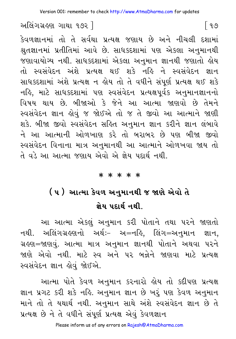અલિંગગ્રહણ ગાથા ૧૭૨ ]

કેવળજ્ઞાનમાં તો તે સર્વથા પ્રત્યક્ષ જણાય છે અને નીચલી દશામાં શ્નુતજ્ઞાનમાં પ્રતીતિમાં આવે છે. સાધકદશામાં પણ એકલા અનુમાનથી જણાવાયોગ્ય નથી. સાધકદશામાં એકલા અનુમાન જ્ઞાનથી જણાતો હોય તો સ્વસંવેદન અંશે પ્રત્યક્ષ થઈ શકે નહિ ને સ્વસંવેદન જ્ઞાન સાધકદશામાં અંશે પ્રત્યક્ષ ન હોય તો તે વધીને સંપૂર્ણ પ્રત્યક્ષ થઈ શકે નહિ, માટે સાધકદશામાં પણ સ્વસંવેદન પ્રત્યક્ષપૂર્વક અનુમાનજ્ઞાનનો વિષય થાય છે. બીજાઓ કે જેને આ આત્મા જાણવો છે તેમને સ્વસંવેદન જ્ઞાન હોવું જ જોઈએ તો જ તે જીવો આ આત્માને જાણી શકે. બીજા જીવો સ્વસંવેદન સહિત અનુમાન જ્ઞાન કરીને જ્ઞાન લંબાવે ને આ આત્માની ઓળખાણ કરે તો બરાબર છે પણ બીજા જીવો સ્વસંવેદન વિનાના માત્ર અનુમાનથી આ આત્માને ઓળખવા જાય તો તે વડે આ આત્મા જણાય એવો એ જ્ઞેય પદાર્થ નથી.

#### \* \* \* \* \*

# ( ૫ ) આત્મા કેવળ અનુમાનથી જ જાણે એવો તે જ્ઞેય પદાર્થ નથી

આ આત્મા એકલું અનુમાન કરી પોતાને તથા પરને જાણતો નથી. અલિંગગ્રહણનો અર્થઃ- અ=નહિ, લિંગ=અનુમાન જ્ઞાન, ગ્રહણ=જાણવું. આત્મા માત્ર અનુમાન જ્ઞાનથી પોતાને અથવા પરને જાણે એવો નથી. માટે સ્વ અને પર બન્નેને જાણવા માટે પ્રત્યક્ષ સ્વસંવેદન જ્ઞાન લેવું જોઈએ.

આત્મા પોતે કેવળ અનુમાન કરનારો હોય તો કદીપણ પ્રત્યક્ષ જ્ઞાન પ્રગટ કરી શકે નહિ. અનુમાન જ્ઞાન છે ખરું પણ કેવળ અનુમાન માને તો તે યથાર્થ નથી. અનુમાન સાથે અંશે સ્વસંવેદન જ્ઞાન છે તે પ્રત્યક્ષ છે ને તે વધીને સંપર્ણ પ્રત્યક્ષ એવું કેવળજ્ઞાન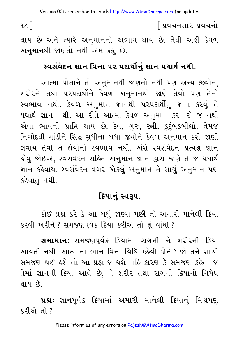∫ પ્રવચનસાર પ્રવચનો

 $\alpha$ ]

થાય છે અને ત્યારે અનુમાનનો અભાવ થાય છે. તેથી અહીં કેવળ અનુમાનથી જાણતો નથી એમ કહ્યું છે.

# સ્વસંવેદન જ્ઞાન વિના ૫૨ પદાર્થોનું જ્ઞાન યથાર્થ નથી.

આત્મા પોતાને તો અનુમાનથી જાણતો નથી પણ અન્ય જીવોને, શરીરને તથા પરપદાર્થોને કેવળ અનુમાનથી જાણે તેવો પણ તેનો સ્વભાવ નથી. કેવળ અનુમાન જ્ઞાનથી પરપદાર્થોનું જ્ઞાન કરવું તે યથાર્થ જ્ઞાન નથી. આ રીતે આત્મા કેવળ અનુમાન કરનારો જ નથી એવા ભાવની પ્રાપ્તિ થાય છે. દેવ, ગુરુ, સ્ત્રી, કુટુંબકબીલો, તેમજ નિગોદથી માંડીને સિદ્ધ સુધીના બધા જીવોને કેવળ અનુમાન કરી જાણી લેવાય તેવો તે જ્ઞેયોનો સ્વભાવ નથી. અંશે સ્વસંવેદન પ્રત્યક્ષ જ્ઞાન હોવું જોઈએ, સ્વસંવેદન સહિત અનુમાન જ્ઞાન દ્વારા જાણે તે જ યથાર્થ જ્ઞાન કહેવાય. સ્વસંવેદન વગર એકલું અનુમાન તે સાચું અનુમાન પણ કહેવાતું નથી.

# ક્રિયાનં સ્વરૂપ.

કોઈ પ્રશ્ન કરે કે આ બધું જાણ્યા પછી તો અમારી માનેલી ક્રિયા કરવી ખરીને? સમજણપૂર્વક ક્રિયા કરીએ તો શું વાંધો?

**સમાધાન:** સમજણપૂર્વક ક્રિયામાં રાગની ને શરીરની ક્રિયા આવતી નથી. આત્માના ભાન વિના વિધિ કહેવી કોને ? જો તને સાચી સમજણ થઈ હશે તો આ પ્રશ્ન જ થશે નહિ કારણ કે સમજણ કહેતાં જ તેમાં જ્ઞાનની ક્રિયા આવે છે, ને શરીર તથા રાગની ક્રિયાનો નિષેધ થાય છે.

પ્રશ્ન: જ્ઞાનપૂર્વક ક્રિયામાં અમારી માનેલી ક્રિયાનું મિશ્રપણું  $522$   $-12$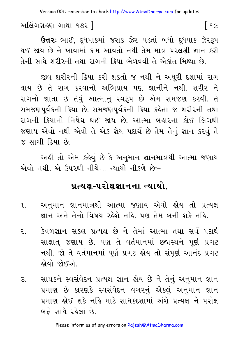Version 001: remember to check http://www.AtmaDharma.com for updates

અલિંગગ્રહણ ગાથા ૧૭૨ ] ြ ૧૯

**ઉત્તરઃ** ભાઈ, દ્ધપાકમાં જરાક ઝેર પડતાં બધો દ્ધપાક ઝેરરૂપ થઈ જાય છે ને ખાવામાં કામ આવતો નથી તેમ માત્ર પરલક્ષી જ્ઞાન કરી તેની સાથે શરીરની તથા રાગની કિયા ભેળવવી તે એકાંત મિથ્યા છે.

જીવ શરીરની ક્રિયા કરી શકતો જ નથી ને અધૂરી દશામાં રાગ થાય છે તે રાગ કરવાનો અભિપ્રાય પણ જ્ઞાનીને નથી. શરીર ને રાગનો જ્ઞાતા છે તેવું આત્માનું સ્વરૂપ છે એમ સમજણ કરવી. તે સમજણપૂર્વકની ક્રિયા છે. સમજણપૂર્વકની ક્રિયા કહેતાં જ શરીરની તથા રાગની કિયાનો નિષેધ થઈ જાય છે. આત્મા બહારના કોઈ લિંગથી જણાય એવો નથી એવો તે એક જ્ઞેય પદાર્થ છે તેમ તેનું જ્ઞાન કરવું તે જ સાચી ક્રિયા છે.

અહીં તો એમ કહેવું છે કે અનુમાન જ્ઞાનમાત્રથી આત્મા જણાય એવો નથી. એ ઉપરથી નીચેના ન્યાયો નીકળે છે:-

### <u>પત્યક્ષ-પરોક્ષજ્ઞાનના ન્યાયો</u>

- અનુમાન જ્ઞાનમાત્રથી આત્મા જણાય એવો હોય તો પ્રત્યક્ષ ٩. જ્ઞાન અને તેનો વિષય રહેશે નહિ. પણ તેમ બની શકે નહિ.
- કેવળજ્ઞાન સકલ પ્રત્યક્ષ છે ને તેમાં આત્મા તથા સર્વ પદાર્થ ર.. સાક્ષાત જણાય છે. પણ તે વર્તમાનમાં છદ્મસ્થને પૂર્ણ પ્રગટ નથી. જો તે વર્તમાનમાં પૂર્ણ પ્રગટ હોય તો સંપૂર્ણ આનંદ પ્રગટ લેવો જોઈએ.
- સાધકને સ્વસંવેદન પ્રત્યક્ષ જ્ઞાન હોય છે ને તેનું અનુમાન જ્ઞાન З. પ્રમાણ છે કારણકે સ્વસંવેદન વગરનું એકલું અનુમાન જ્ઞાન પ્રમાણ લોઈ શકે નહિ માટે સાધકદશામાં અંશે પ્રત્યક્ષ ને પરોક્ષ બન્ને સાથે રહેલાં છે.

Please inform us of any errors on Rajesh@AtmaDharma.com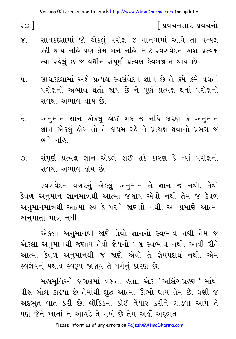२० ]

∫ પ્રવચનસાર પ્રવચનો

- સાધકદશામાં જો એકલું પરોક્ષ જ માનવામાં આવે તો પ્રત્યક્ષ  $X_{\alpha}$ કદી થાય નહિ પણ તેમ બને નહિ. માટે સ્વસંવેદન અંશ પ્રત્યક્ષ ત્યાં રહેલું છે જે વધીને સંપૂર્ણ પ્રત્યક્ષ કેવળજ્ઞાન થાય છે.
- સાધ કદશામાં અંશે પ્રત્યક્ષ સ્વસંવેદન જ્ઞાન છે તે ક્રમે ક્રમે વધતાં  $\mathbf{u}_{\cdot}$ પરોક્ષનો અભાવ થતો જાય છે ને પૂર્ણ પ્રત્યક્ષ થતાં પરોક્ષનો સર્વથા અભાવ થાય છે.
- અનુમાન જ્ઞાન એકલું હોઈ શકે જ નહિ કારણ કે અનુમાન  $\xi$ . જ્ઞાન એકલું હોય તો તે કાયમ રહે ને પ્રત્યક્ષ થવાનો પ્રસંગ જ બને નહિ.
- સંપૂર્ણ પ્રત્યક્ષ જ્ઞાન એકલું હોઈ શકે કારણ કે ત્યાં પરોક્ષનો  $\mathcal{O}$ . સર્વથા અભાવ હોય છે.

સ્વસંવેદન વગરનું એકલું અનુમાન તે જ્ઞાન જ નથી. તેથી કેવળ અનુમાન જ્ઞાનમાત્રથી આત્મા જણાય એવો નથી તેમ જ કેવળ અનુમાનમાત્રથી આત્મા સ્વ કે પરને જાણતો નથી. આ પ્રમાણે આત્મા અનમાતા માત્ર નથી.

એકલા અનુમાનથી જાણે તેવો જ્ઞાનનો સ્વભાવ નથી તેમ જ એકલા અનુમાનથી જણાય તેવો જ્ઞેયનો પણ સ્વભાવ નથી. આવી રીતે આત્મા કેવળ અનુમાનથી જ જાણે એવો તે જ્ઞેયપદાર્થ નથી. એમ સ્વજ્ઞેયનું યથાર્થ સ્વરૂપ જાણવું તે ધર્મનું કારણ છે.

મહામુનિઓ જંગલમાં વસતા હતા. એક 'અલિંગગ્રહણ ' માંથી વીસ બોલ કાઢયા છે તેમાંથી શુદ્ધ આત્મા ઊભો થાય તેમ છે. ઘણી જ અદ્દભુત વાત કરી છે. લૌકિકમાં કોઈ તૈયાર કરીને લાડવા આપે તે પણ જેને ખાતાં ન આવડે તે મુર્ખ છે તેમ અહીં અદ્દભુત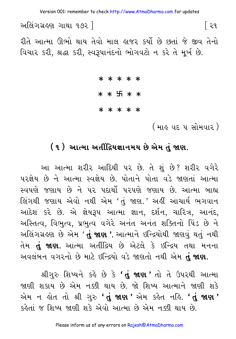Version 001: remember to check http://www.AtmaDharma.com for updates

અલિંગગ્રહણ ગાથા ૧૭૨ ] િરવ

રીતે આત્મા ઊભો થાય તેવો માલ હાજર કર્યો છે છતાં જે જીવ તેનો વિચાર કરી, શ્રદ્ધા કરી, સ્વરૂપાનંદનો ભોગવટો ન કરે તે મૂર્ખ છે.

> \* \* \* \* \* \* \* 5 \* \*

\* \* \* \* \*

( માહુ વદ ૫ સોમવાર )

### (૧) આત્મા અતીંદ્રિયજ્ઞાનમય છે એમ તું જાણ.

આ આત્મા શરીર આદિથી પર છે. તે શું છે? શરીર વગેરે પરજ્ઞેય છે ને આત્મા સ્વજ્ઞેય છે. પોતાને પોતા વડે જાણતાં આત્મા સ્વપણે જણાય છે ને પર પદાર્થી પરપણે જણાય છે. આત્મા બાહ્ય લિંગથી જણાય એવો નથી એમ 'તું જાણ.' અહીં આચાર્ય ભગવાન આદેશ કરે છે. એ જ્ઞેયરૂપ આત્મા જ્ઞાન, દર્શન, ચારિત્ર, આનંદ, અસ્તિત્વ, વિભુત્વ, પ્રભુત્વ વગેરે અનંત અનંત શક્તિનો પિંડ છે ને અલિંગગ્રહણ છે એમ '**તું જાણ '**. આત્માને ઇન્દ્રિયોથી જાણવું થતું નથી તેમ **તું જાણ.** આત્મા અતીંદ્રિય છે એટલે કે ઇન્દ્રિય તથા મનના અવલંબન વગરનો છે માટે ઇન્દ્રિયો વડે જાણતો નથી એમ તું જાણ.

શ્રીગુરુ શિષ્યને કહે છે કે **'તું જાણ'** તો તે ઉપરથી આત્મા જાણી શકાય છે એમ નક્કી થાય છે. જો શિષ્ય આત્માને જાણી શકે એમ ન હોત તો શ્રી ગરુ '**તં જાણ'** એમ કહેત નહિ. '**તં જાણ'** કઢેતાં જ શિષ્ય જાણી શકે એવો આત્મા છે એમ નક્કી થાય છે.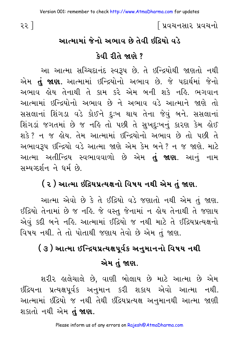∫ પ્રવચનસાર પ્રવચનો

# આત્મામાં જેનો અભાવ છે તેવી ઇંદિયો વડે કેવી રીતે જાણે ?

આ આત્મા સચ્ચિદાનંદ સ્વરૂપ છે. તે ઇન્દ્રિયોથી જાણતો નથી એમ **તું જાણ.** આત્મામાં ઇન્દ્રિયોનો અભાવ છે. જે પદાર્થમાં જેનો અભાવ ક્ષેય તેનાથી તે કામ કરે એમ બની શકે નહિ. ભગવાન આત્મામાં ઇન્દ્રિયોનો અભાવ છે ને અભાવ વડે આત્માને જાણે તો સસલાનાં શિંગડા વડે કોઈને દુઃખ થાય તેના જેવું બને. સસલાનાં શિંગડાં જગતમાં છે જ નહિ તો પછી તે સુખદુઃખનું કારણ કેમ હોઈ શકે? ન જ હોય. તેમ આત્મામાં ઇન્દ્રિયોનો અભાવ છે તો પછી તે અભાવરૂપ ઇન્દ્રિયો વડે આત્મા જાણે એમ કેમ બને? ન જ જાણે. માટે આત્મા અતીન્દ્રિય સ્વભાવવાળો છે એમ **તું જાણ**. આનું નામ સમ્યગ્દર્શન ને ધર્મ છે.

# ( ૨ ) આત્મા ઇંદ્રિયપ્રત્યક્ષનો વિષય નથી એમ તું જાણ.

આત્મા એવો છે કે તે ઈંદ્રિયો વડે જણાતો નથી એમ તું જાણ. ઈંદ્રિયો તેનામાં છે જ નહિ. જે વસ્તુ જેનામાં ન હોય તેનાથી તે જણાય એવું કદી બને નહિ. આત્મામાં ઇંદ્રિયો જ નથી માટે તે ઇંદ્રિયપ્રત્યક્ષનો વિષય નથી. તે તો પોતાથી જણાય તેવો છે એમ તું જાણ.

# ( ૩ ) આત્મા ઈન્દ્રિયપ્રત્યક્ષપૂર્વક અનુમાનનો વિષય નથી એમ તં જાણ.

શરીર હાલેચાલે છે, વાણી બોલાય છે માટે આત્મા છે એમ ઇંદ્રિયના પ્રત્યક્ષપૂર્વક અનુમાન કરી શકાય એવો આત્મા નથી. આત્મામાં ઇંદ્રિયો જ નથી તેથી ઇંદ્રિયપ્રત્યક્ષ અનુમાનથી આત્મા જાણી શકાતો નથી એમ **તું જાણ.** 

૨૨ ]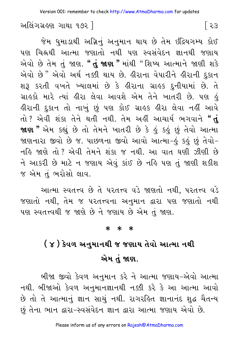અલિંગગ્રહણ ગાથા ૧૭૨ 1

જેમ ધુમાડાથી અગ્નિનું અનુમાન થાય છે તેમ ઇંદ્રિયગમ્ય કોઈ પણ ચિહ્નથી આત્મા જણાતો નથી પણ સ્વસંવેદન જ્ઞાનથી જણાય એવો છે તેમ તું જાણ. " તું જાણ " માંથી " શિષ્ય આત્માને જાણી શકે એવો છે" એવો અર્થ નક્કી થાય છે. હીરાના વેપારીને હીરાની દુકાન શરૂ કરતી વખતે ખ્યાલમાં છે કે હીરાના ગ્રાહક દુનીયામાં છે. તે ગ્રાહકો મારે ત્યાં હીરા લેવા આવશે એમ તેને ખાતરી છે. પણ હં હીરાની દુકાન તો નાખું છું પણ કોઈ ગ્રાહક હીરા લેવા નહીં આવે તો ? એવી શંકા તેને થતી નથી. તેમ અહીં આચાર્ય ભગવાને " $\dot{\mathbf{d}}$ **જાણ"** એમ કહ્યું છે તો તેમને ખાતરી છે કે કું કુકું છું તેવો આત્મા જાણનારા જીવો છે જ. પાછળના જીવો આવો આત્મા−હું કહું છું તેવો− નહિ જાણે તો ? એવી તેમને શંકા જ નથી. આ વાત ઘણી ઝીણી છે ને આકરી છે માટે ન જણાય એવું કાંઈ છે નહિ પણ તું જાણી શકીશ જ એમ તં ભરોસો લાવ.

આત્મા સ્વતત્ત્વ છે તે પરતત્ત્વ વડે જાણતો નથી, પરતત્ત્વ વડે જણાતો નથી, તેમ જ પરતત્ત્વના અનુમાન દ્વારા પણ જણાતો નથી પણ સ્વતત્ત્વથી જ જાણે છે ને જણાય છે એમ તં જાણ.

#### $* * *$

# ( ૪ ) કેવળ અનુમાનથી જ જણાય તેવો આત્મા નથી એમ તં જાણ.

બીજા જીવો કેવળ અનુમાન કરે ને આત્મા જણાય–એવો આત્મા નથી. બીજાઓ કેવળ અનુમાનજ્ઞાનથી નક્કી કરે કે આ આત્મા આવો છે તો તે આત્માનું જ્ઞાન સાચું નથી. રાગરહિત જ્ઞાનાનંદ શુદ્ધ ચૈતન્ય છું તેના ભાન દ્વારા-સ્વસંવેદન જ્ઞાન દ્વારા આત્મા જણાય એવો છે.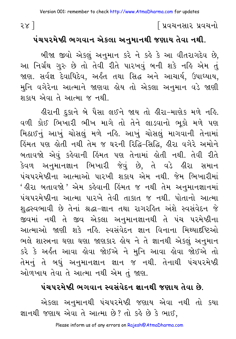# | પ્રવચનસાર પ્રવચનો

### પંચપરમેષ્ઠી ભગવાન એકલા અનુમાનથી જણાય તેવા નથી.

બીજા જીવો એકલું અનુમાન કરે ને કહે કે આ વીતરાગદેવ છે, આ નિર્ગ્રંથ ગુરુ છે તો તેવી રીતે પારખવું બની શકે નહિ એમ તું જાણ. સર્વજ્ઞ દેવાધિદેવ, અર્કંત તથા સિદ્ધ અને આચાર્ય, ઉપાધ્યાય, મુનિ વગેરેના આત્માને જાણવા હોય તો એકલા અનુમાન વડે જાણી શકાય એવા તે આત્મા જ નથી

ઙીરાની દુકાને બે પૈસા લઈને જાય તો ઙીરા−માણેક મળે નઙિ. વળી કોઈ ભિખારી ભીખ માગે તો તેને લાડવાનો ભૂકો મળે પણ મિઠાઈનું આખું ચોસલું મળે નહિ. આખું ચોસલું માગવાની તેનામાં કિંમત પણ ક્ષેતી નથી તેમ જ ઘરની રિદ્ધિ-સિદ્ધિ, ક્રીરા વગેરે અમોને બતાવજો એવું કહેવાની હિંમત પણ તેનામાં હોતી નથી. તેવી રીતે કેવળ અનુમાનજ્ઞાન ભિખારી જેવું છે, તે વડે હીરા સમાન પંચપરમેષ્ઠીના આત્માઓ પારખી શકાય એમ નથી. જેમ ભિખારીમાં ' હીરા બતાવજો ' એમ કહેવાની હિંમત જ નથી તેમ અનુમાનજ્ઞાનમાં પંચપરમેષ્ઠીના આત્મા પારખે તેવી તાકાત જ નથી. પોતાનો આત્મા શુદ્ધસ્વભાવી છે તેનાં શ્રદ્ધા-જ્ઞાન તથા રાગરહિત અંશે સ્વસંવેદન જે જીવમાં નથી તે જીવ એકલા અનુમાનજ્ઞાનથી તે પંચ પરમેષ્ઠીના આત્માઓ જાણી શકે નહિ. સ્વસંવેદન જ્ઞાન વિનાના મિથ્યાદષ્ટિઓ ભલે શાસ્ત્રના ઘણા ઘણા જાણકાર હોય ને તે જ્ઞાનથી એકલું અનુમાન કરે કે અર્કંત આવા કોવા જોઈએ ને મુનિ આવા કોવા જોઈએ તો તેમનું તે બધું અનુમાનજ્ઞાન જ્ઞાન જ નથી. તેનાથી પંચપરમેષ્ઠી ઓળખાય તેવા તે આત્મા નથી એમ તું જાણ.

### પંચપરમેષ્ઠી ભગવાન સ્વસંવેદન જ્ઞાનથી જણાય તેવા છે.

એકલા અનુમાનથી પંચપરમેષ્ઠી જણાય એવા નથી તો કયા જ્ઞાનથી જણાય એવા તે આત્મા છે? તો કહે છે કે ભાઈ.

२४ ]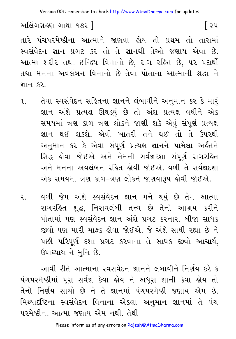િરપ

અલિંગગ્રહણ ગાથા ૧૭૨ ]

તારે પંચપરમેષ્ઠીના આત્માને જાણવા હોય તો પ્રથમ તો તારામાં સ્વસંવેદન જ્ઞાન પ્રગટ કર તો તે જ્ઞાનથી તેઓ જણાય એવા છે. આત્મા શરીર તથા ઈન્દ્રિય વિનાનો છે. રાગ રહિત છે. ૫૨ પદાર્થો તથા મનના અવલંબન વિનાનો છે તેવા પોતાના આત્માની શ્રદ્ધા ને ज्ञान ६२.

- તેવા સ્વસંવેદન સહિતના જ્ઞાનને લંબાવીને અનુમાન કર કે મારૂં  $\mathbf{q}$ જ્ઞાન અંશે પ્રત્યક્ષ ઊઘડયં છે તો અંશ પ્રત્યક્ષ વધીને એક સમયમાં ત્રણ કાળ ત્રણ લોકને જાણી શકે એવું સંપૂર્ણ પ્રત્યક્ષ જ્ઞાન થઈ શકશે એવી ખાતરી તને થઈ તો તે ઉપરથી અનુમાન કર કે એવા સંપૂર્ણ પ્રત્યક્ષ જ્ઞાનને પામેલા અર્લ્ડતને સિદ્ધ લેવા જોઈએ અને તેમની સર્વજ્ઞદશા સંપર્ણ રાગરહિત અને મનના અવલંબન રહિત હોવી જોઈએ. વળી તે સર્વજ્ઞદશા એક સમયમાં ત્રણ કાળ-ત્રણ લોકને જાણવારૂપ હોવી જોઈએ.
- વળી જેમ અંશે સ્વસંવેદન જ્ઞાન મને થયું છે તેમ આત્મા ર.. રાગરહિત શહ્ન. નિરાવલંબી તત્ત્વ છે તેનો આશ્રય કરીને પોતામાં પણ સ્વસંવેદન જ્ઞાન અંશે પ્રગટ કરનારા બીજા સાધક જીવો પણ મારી માફક લેવા જોઈએ. જે અંશે સાધી રહ્યા છે ને પછી પરિપૂર્ણ દશા પ્રગટ કરવાના તે સાધક જીવો આચાર્ય, ઉપાધ્યાય ને મુનિ છે.

આવી રીતે આત્માના સ્વસંવેદન જ્ઞાનને લંબાવીને નિર્ણય કરે કે પંચપરમેષ્ઠીમાં પરા સર્વજ્ઞ કેવા હોય ને અધરા જ્ઞાની કેવા હોય તો તેનો નિર્ણય સાચો છે ને તે જ્ઞાનમાં પંચપરમેષ્ઠી જણાય એમ છે. મિથ્યાદષ્ટિના સ્વસંવેદન વિનાના એકલા અનુમાન જ્ઞાનમાં તે પંચ परमेष्ठीना આત્મા જણાય એમ નથી તેથી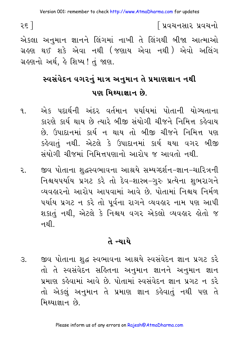∫ પ્રવચનસાર પ્રવચનો

ર૬ ]

એકલા અનુમાન જ્ઞાનને લિંગમાં નાખી તે લિંગથી બીજા આત્માઓ ગ્રહણ થઈ શકે એવા નથી (જણાય એવા નથી) એવો અલિંગ ગ્રહણનો અર્થ, હે શિષ્ય ! તું જાણ.

# સ્વસંવેદન વગરનું માત્ર અનુમાન તે પ્રમાણજ્ઞાન નથી પણ મિથ્યાજ્ઞાન છે.

- એક પદાર્થની અંદર વર્તમાન પર્યાયમાં પોતાની યોગ્યતાના 9. કારણે કાર્ય થાય છે ત્યારે બીજી સંયોગી ચીજને નિમિત્ત કહેવાય છે. ઉપાદાનમાં કાર્ય ન થાય તો બીજી ચીજને નિમિત્ત પણ કહેવાતં નથી. એટલે કે ઉપાદાનમાં કાર્ય થયા વગર બીજી સંયોગી ચીજમાં નિમિત્તપણાનો આરોપ જ આવતો નથી.
- જીવ પોતાના શુદ્ધસ્વભાવના આશ્રયે સમ્યગ્દર્શન–જ્ઞાન–ચારિત્રની ૨. નિશ્ચયપર્યાય પ્રગટ કરે તો દેવ-શાસ્ત્ર-ગુરુ પ્રત્યેના શુભરાગને વ્યવહારનો આરોપ આપવામાં આવે છે. પોતામાં નિશ્ચય નિર્મળ પર્યાય પ્રગટ ન કરે તો પૂર્વના રાગને વ્યવહાર નામ પણ આપી શકાતું નથી, એટલે કે નિશ્વય વગર એકલો વ્યવહાર હોતો જ નથી.

### તે ન્યાયે

જીવ પોતાના શુદ્ધ સ્વભાવના આશ્રયે સ્વસંવેદન જ્ઞાન પ્રગટ કરે  $\mathcal{S}$ . તો તે સ્વસંવેદન સહિતના અનુમાન જ્ઞાનને અનુમાન જ્ઞાન પ્રમાણ કહેવામાં આવે છે. પોતામાં સ્વસંવેદન જ્ઞાન પ્રગટ ન કરે તો એકલ અનુમાન તે પ્રમાણ જ્ઞાન કહેવાતું નથી પણ તે મિથ્યાજ્ઞાન છે.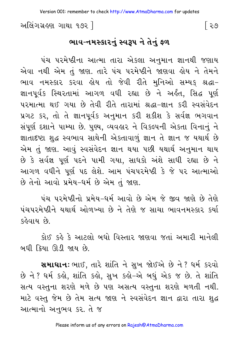અલિંગગ્રહણ ગાથા ૧૭૨ ]

ભાવ-નમસ્કારનું સ્વરૂપ ને તેનું ફળ

પંચ પરમેષ્ઠીના આત્મા તારા એકલા અનુમાન જ્ઞાનથી જણાય એવા નથી એમ તું જાણ. તારે પંચ પરમેષ્ઠીને જાણવા હોય ને તેમને ભાવ નમસ્કાર કરવા હોય તો જેવી રીતે મુનિઓ સમ્યક શ્રદ્ધા-જ્ઞાનપૂર્વક સ્થિરતામાં આગળ વધી રહ્યા છે ને અર્લત, સિદ્ધ પૂર્ણ પરમાત્મા થઈ ગયા છે તેવી રીતે તારામાં શ્રદ્ધા-જ્ઞાન કરી સ્વસંવેદન પ્રગટ કર, તો તે જ્ઞાનપૂર્વક અનુમાન કરી શકીશ કે સર્વજ્ઞ ભગવાન સંપૂર્ણ દશાને પામ્યા છે. પુણ્ય, વ્યવહાર ને વિકલ્પની એકતા વિનાનું ને જ્ઞાતાદષ્ટા શુદ્ધ સ્વભાવ સાથેની એકતાવાળું જ્ઞાન તે જ્ઞાન જ યથાર્થ છે એમ તું જાણ. આવું સ્વસંવેદન જ્ઞાન થયા પછી યથાર્થ અનુમાન થાય છે કે સર્વજ્ઞ પૂર્ણ પદને પામી ગયા, સાધકો અંશે સાધી રહ્યા છે ને આગળ વધીને પૂર્ણ પદ લેશે. આમ પંચપરમેષ્ઠી કે જે પર આત્માઓ છે તેનો આવો પ્રમેય-ધર્મ છે એમ તું જાણ.

પંચ પરમેષ્ઠીનો પ્રમેય-ધર્મ આવો છે એમ જે જીવ જાણે છે તેણે પંચપરમેષ્ઠીને યથાર્થ ઓળખ્યા છે ને તેણે જ સાચા ભાવનમસ્કાર કર્યા કહેવાય છે.

કોઈ કહે કે આટલો બધો વિસ્તાર જાણવા જતાં અમારી માનેલી <u>બધી ક્રિયા ઊડી જાય છે.</u>

**સમાધાનઃ** ભાઈ, તારે શાંતિ ને સુખ જોઈએ છે ને ? ધર્મ કરવો છે ને ? ધર્મ કહો, શાંતિ કહો, સુખ કહો–એ બધું એક જ છે. તે શાંતિ સત્ય વસ્તુના શરણે મળે છે પણ અસત્ય વસ્તુના શરણે મળતી નથી. માટે વસ્તુ જેમ છે તેમ સત્ય જાણ ને સ્વસંવેદન જ્ઞાન દ્વારા તારા શુદ્ધ આત્માનો અનભવ કર. તે જ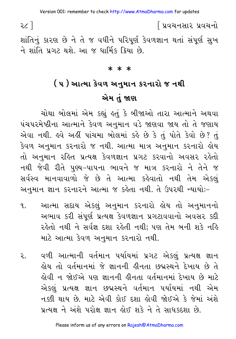∫ પ્રવચનસાર પ્રવચનો

શાંતિનું કારણ છે ને તે જ વધીને પરિપૂર્ણ કેવળજ્ઞાન થતાં સંપૂર્ણ સુખ ને શાંતિ પ્રગટ થશે. આ જ ધાર્મિક ક્રિયા છે.

#### $* * *$

# ( ૫ ) આત્મા કેવળ અનુમાન કરનારો જ નથી એમ તં જાણ

ચોથા બોલમાં એમ કહ્યું હતું કે બીજાઓ તારા આત્માને અથવા પંચપરમેષ્ઠીના આત્માને કેવળ અનુમાન વડે જાણવા જાય તો તે જણાય એવા નથી. હવે અહીં પાંચમા બોલમાં કહે છે કે તું પોતે કેવો છે? તું કેવળ અનુમાન કરનારો જ નથી. આત્મા માત્ર અનુમાન કરનારો હોય તો અનુમાન રહિત પ્રત્યક્ષ કેવળજ્ઞાન પ્રગટ કરવાનો અવસર રહેતો નથી જેવી રીતે પુણ્ય-પાપના ભાવને જ માત્ર કરનારો ને તેને જ સર્વસ્વ માનવાવાળો જે છે તે આત્મા કહેવાતો નથી તેમ એકલું અનુમાન જ્ઞાન કરનારને આત્મા જ કહેતા નથી. તે ઉપરથી ન્યાયોઃ-

- આત્મા સદાય એકલું અનુમાન કરનારો હોય તો અનુમાનનો ٩. અભાવ કરી સંપૂર્ણ પ્રત્યક્ષ કેવળજ્ઞાન પ્રગટાવવાનો અવસર કદી રહેતો નથી ને સર્વજ્ઞ દશા રહેતી નથી; પણ તેમ બની શકે નહિ માટે આત્મા કેવળ અનુમાન કરનારો નથી.
- વળી આત્માની વર્તમાન પર્યાયમાં પ્રગટ એકલું પ્રત્યક્ષ જ્ઞાન ર. હોય તો વર્તમાનમાં જે જ્ઞાનની હીનતા છદ્મસ્થને દેખાય છે તે લેવી ન જોઈએ પણ જ્ઞાનની લીનતા વર્તમાનમાં દેખાય છે માટે એકલું પ્રત્યક્ષ જ્ઞાન છદ્મસ્થને વર્તમાન પર્યાયમાં નથી એમ નક્કી થાય છે. માટે એવી કોઈ દશા લેવી જોઈએ કે જેમાં અંશે પ્રત્યક્ષ ને અંશે પરોક્ષ જ્ઞાન હોઈ શકે ને તે સાધકદશા છે.

Please inform us of any errors on Rajesh@AtmaDharma.com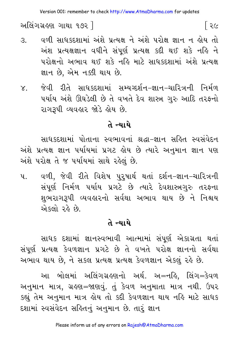અલિંગગ્રહણ ગાથા ૧૭૨ ]

- વળી સાધકદશામાં અંશે પ્રત્યક્ષ ને અંશે પરોક્ષ જ્ઞાન ન લોય તો  $\mathcal{E}$ . અંશ પ્રત્યક્ષજ્ઞાન વધીને સંપૂર્ણ પ્રત્યક્ષ કદી થઈ શકે નહિ ને પરોક્ષનો અભાવ થઈ શકે નહિ માટે સાધકદશામાં અંશે પ્રત્યક્ષ જ્ઞાન છે. એમ નક્કી થાય છે.
- ૪. જેવી રીતે સાધકદશામાં સમ્યગ્દર્શન–જ્ઞાન–ચારિત્રની નિર્મળ પર્યાય અંશે ઊઘડેલી છે તે વખતે દેવ શાસ્ત્ર ગુરુ આદિ તરફનો રાગરૂપી વ્યવહાર જોડે હોય છે.

#### તે ન્યાયે

સાધકદશામાં પોતાના સ્વભાવનાં શ્રદ્ધા-જ્ઞાન સહિત સ્વસંવેદન અંશે પ્રત્યક્ષ જ્ઞાન પર્યાયમાં પ્રગટ હોય છે ત્યારે અનુમાન જ્ઞાન પણ અંશે પરોક્ષ તે જ પર્યાયમાં સાથે રહેલું છે.

વળી, જેવી રીતે વિશેષ પુરુષાર્થ થતાં દર્શન–જ્ઞાન–ચારિત્રની  $y_{\perp}$ સંપૂર્ણ નિર્મળ પર્યાય પ્રગટે છે ત્યારે દેવશાસ્ત્રગુરુ તરફના શુભરાગરૂપી વ્યવહારનો સર્વથા અભાવ થાય છે ને નિશ્ચય એકલો રહે છે.

### તે ન્યાયે

સાધક દશામાં જ્ઞાનસ્વભાવી આત્મામાં સંપૂર્ણ એકાગ્રતા થતાં સંપૂર્ણ પ્રત્યક્ષ કેવળજ્ઞાન પ્રગટે છે તે વખતે પરોક્ષ જ્ઞાનનો સર્વથા અભાવ થાય છે. ને સકલ પ્રત્યક્ષ પ્રત્યક્ષ કેવળજ્ઞાન એકલું રહે છે.

આ બોલમાં અલિંગગ્રહણનો અર્થ. અ=નહિ, લિંગ=કેવળ અનુમાન માત્ર, ગ્રહણ=જાણવું. તું કેવળ અનુમાતા માત્ર નથી. ઉપર કહ્યું તેમ અનુમાન માત્ર હોય તો કદી કેવળજ્ઞાન થાય નહિ માટે સાધક દશામાં સ્વસંવેદન સહિતનું અનુમાન છે. તારૂં જ્ઞાન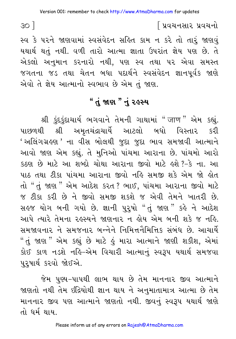સ્વ કે પરને જાણવામાં સ્વસંવેદન સહિત કામ ન કરે તો તારું જાણવું યથાર્થ થતું નથી. વળી તારો આત્મા જ્ઞાતા ઉપરાંત જ્ઞેય પણ છે. તે એકલો અનુમાન કરનારો નથી, પણ સ્વ તથા પર એવા સમસ્ત જગતના જડ તથા ચેતન બધા પદાર્થને સ્વસંવેદન જ્ઞાનપૂર્વક જાણે એવો તે જ્ઞેય આત્માનો સ્વભાવ છે એમ તું જાણ.

## " તું જાણ " નું ૨ઙસ્ય

શ્રી કુંદકુંદાચાર્ય ભગવાને તેમની ગાથામાં "जाण" એમ કહ્યું. પાછળથી શ્રી અમૃતચંદ્રાચાર્યે આટલો બધો વિસ્તાર કરી 'અલિંગગ્રહણ' ના વીસ બોલથી જુદા જુદા ભાવ સમજાવી આત્માને આવો જાણ એમ કહ્યું. તે મુનિઓ પાંચમા આરાના છે. પાંચમો આરો કઠણ છે માટે આ શબ્દો ચોથા આરાના જીવો માટે હશે ?–કે ના. આ પાઠ તથા ટીકા પાંચમા આરાના જીવો નહિ સમજી શકે એમ જો હોત તો "તું જાણ " એમ આદેશ કરત ? ભાઈ, પાંચમા આરાના જીવો માટે જ ટીકા કરી છે ને જીવો સમજી શકશે જ એવી તેમને ખાતરી છે. સહજ યોગ બની ગયો છે. જ્ઞાની પુરુષો "તું જાણ" કહે ને આદેશ આપે ત્યારે તેમના રહસ્યને જાણનાર ન હોય એમ બની શકે જ નહિ. સમજાવનાર ને સમજનાર બન્નેને નિમિત્તનૈમિત્તિક સંબંધ છે. આચાર્યે "તું જાણ " એમ કહ્યું છે માટે હું મારા આત્માને જાણી શકીશ, એમાં કોઈ કાળ નડશે નહિ-એમ વિચારી આત્માનું સ્વરૂપ યથાર્થ સમજવા ૫૨૫ાર્થ કરવો જોઈએ.

જેમ પુણ્ય–પાપથી લાભ થાય છે તેમ માનનાર જીવ આત્માને જાણતો નથી તેમ ઇંદ્રિયોથી જ્ઞાન થાય ને અનુમાતામાત્ર આત્મા છે તેમ માનનાર જીવ પણ આત્માને જાણતો નથી. જીવનું સ્વરૂપ યથાર્થ જાણે તો ધર્મ થાય.

 $30<sup>1</sup>$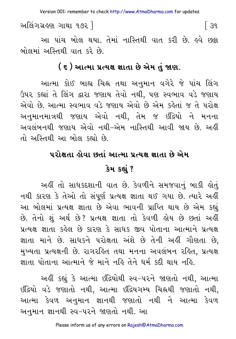Version 001: remember to check http://www.AtmaDharma.com for updates

અલિંગગ્રહણ ગાથા ૧૭૨ ] િ 34

આ પાંચ બોલ થયા. તેમાં નાસ્તિથી વાત કરી છે. હવે છક્રા બોલમાં અસ્તિથી વાત કરે છે.

#### ( ૬ ) આત્મા પ્રત્યક્ષ જ્ઞાતા છે એમ તું જાણ.

આત્મા કોઈ બાહ્ય ચિહ્ન તથા અનુમાન વગેરે જે પાંચ લિંગ ઉપર કહ્યાં તે લિંગ દ્વારા જણાય તેવો નથી, પણ સ્વભાવ વડે જણાય એવો છે. આત્મા સ્વભાવ વડે જણાય એવો છે એમ કહેતાં જ તે પરોક્ષ અનુમાનમાત્રથી જણાય એવો નથી, તેમ જ ઇંદ્રિયો ને મનના અવલંબનથી જણાય એવો નથી-એમ નાસ્તિથી આવી જાય છે. અહીં તો અસ્તિથી આ બોલ કહ્યો છે.

# પરોક્ષતા હોવા છતાં આત્મા પ્રત્યક્ષ જ્ઞાતા છે એમ કેમ કહ્યું ?

અહીં તો સાધકદશાની વાત છે. કેવળીને સમજવાનું બાકી હોતું નથી કારણ કે તેઓ તો સંપૂર્ણ પ્રત્યક્ષ જ્ઞાતા થઈ ગયા છે. ત્યારે અહીં આ બોલમાં પ્રત્યક્ષ જ્ઞાતા છે એવા ભાવની પ્રાપ્તિ થાય છે એમ કહ્યું છે. તેનો શં અર્થ છે? પ્રત્યક્ષ જ્ઞાતા તો કેવળી હોય છે છતાં અહીં પ્રત્યક્ષ જ્ઞાતા કહેલ છે કારણ કે સાધક જીવ પોતાના આત્માને પ્રત્યક્ષ જ્ઞાતા માને છે. સાધકને પરોક્ષતા અંશે છે તેની અહીં ગૌણતા છે. મુખ્યતા પ્રત્યક્ષની છે. રાગરહિત તથા મનના અવલંબન રહિત, પ્રત્યક્ષ જ્ઞાતા પોતાના આત્માને જે માને નહિ તેને ધર્મ કદી થાય નહિ.

અહીં કહ્યું કે આત્મા ઇંદ્રિયોથી સ્વ–પરને જાણતો નથી, આત્મા ઇંદ્રિયો વડે જણાતો નથી, આત્મા ઇંદ્રિયગમ્ય ચિહ્નથી જણાતો નથી, આત્મા કેવળ અનુમાન જ્ઞાનથી જણાતો નથી ને આત્મા કેવળ અનુમાન જ્ઞાનથી સ્વ-૫૨ને જાણતો નથી. આ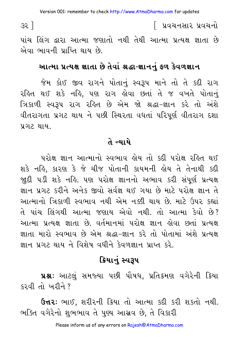$35$ ]

િ પ્રવચનસાર પ્રવચનો

પાંચ લિંગ દ્વારા આત્મા જણાતો નથી તેથી આત્મા પ્રત્યક્ષ જ્ઞાતા છે એવા ભાવની પ્રાપ્તિ થાય છે.

#### આત્મા પ્રત્યક્ષ જ્ઞાતા છે તેવાં શ્રદ્ધા-જ્ઞાનનું ફળ કેવળજ્ઞાન

જેમ કોઈ જીવ રાગને પોતાનું સ્વરૂપ માને તો તે કદી રાગ રહિત થઈ શકે નહિ, પણ રાગ હોવા છતાં તે જ વખતે પોતાનું ત્રિકાળી સ્વરૂપ રાગ રહિત છે એમ જો શ્રદ્ધા-જ્ઞાન કરે તો અંશે વીતરાગતા પ્રગટ થાય ને પછી સ્થિરતા વધતાં પરિપૂર્ણ વીતરાગ દશા પ્રગટ થાય.

#### તે ન્યાયે

પરોક્ષ જ્ઞાન આત્માનો સ્વભાવ લોય તો કદી પરોક્ષ રહિત થઈ શકે નહિ, કારણ કે જે ચીજ પોતાની કાયમની હોય તે તેનાથી કદી જાુદી ૫ડી શકે નહિ. ૫ણ ૫રોક્ષ જ્ઞાનનો અભાવ કરી સંપૂર્ણ પ્રત્યક્ષ ज्ञान પ્રગટ કરીને અનેક જીવો સર્વજ્ઞ થઈ ગયા છે માટે પરોક્ષ જ્ઞાન તે આત્માનો ત્રિકાળી સ્વભાવ નથી એમ નક્કી થાય છે. માટે ઉપર કહ્યાં તે પાંચ લિંગથી આત્મા જણાય એવો નથી. તો આત્મા કેવો છે? આત્મા પ્રત્યક્ષ જ્ઞાતા છે. વર્તમાનમાં પરોક્ષ જ્ઞાન હોવા છતાં પ્રત્યક્ષ જ્ઞાતા મારો સ્વભાવ છે એમ શ્રદ્ધા-જ્ઞાન કરે તો પોતામાં અંશે પ્રત્યક્ષ જ્ઞાન પગટ થાય ને વિશેષ વધીને કેવળજ્ઞાન પ્રાપ્ત કરે

## ક્રિયાનું સ્વરૂપ

પ્રશ્ન: આટલું સમજ્યા પછી પૌષધ, પ્રતિ*ક્ર*મણ વગેરેની ક્રિયા કરવી તો ખરીને ?

**ઉત્તર:** ભાઈ, શરીરની ક્રિયા તો આત્મા કદી કરી શકતો નથી. ભક્તિ વગેરેનો શુભભાવ તે પુણ્ય આસ્રવ છે, તે વિકારી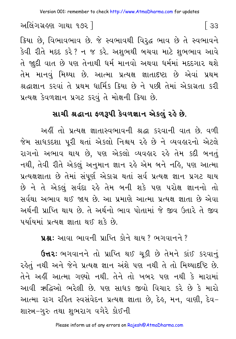અલિંગગ્રહણ ગાથા ૧૭૨ ]

ક્રિયા છે, વિભાવભાવ છે. જે સ્વભાવથી વિરૃદ્ધ ભાવ છે તે સ્વભાવને કેવી રીતે મદદ કરે ? ન જ કરે. અશુભથી બચવા માટે શુભભાવ આવે તે જાદી વાત છે પણ તેનાથી ધર્મ માનવો અથવા ધર્મમાં મદદગાર થશે તેમ માનવું મિથ્યા છે. આત્મા પ્રત્યક્ષ જ્ઞાતાદષ્ટા છે એવાં પ્રથમ શ્રદ્ધાજ્ઞાન કરવાં તે પ્રથમ ધાર્મિક ક્રિયા છે ને પછી તેમાં એકાગ્રતા કરી પ્રત્યક્ષ કેવળજ્ઞાન પ્રગટ કરવું તે મોક્ષની ક્રિયા છે.

## સાચી શ્રદ્ધાના ફળરૂપી કેવળજ્ઞાન એકલું રહે છે.

અહીં તો પ્રત્યક્ષ જ્ઞાતાસ્વભાવની શ્રદ્ધા કરવાની વાત છે. વળી જેમ સાધકદશા પરી થતાં એકલો નિશ્ચય રહે છે ને વ્યવહારનો એટલે રાગનો અભાવ થાય છે, પણ એકલો વ્યવહાર રહે તેમ કદી બનતું નથી, તેવી રીતે એકલું અનુમાન જ્ઞાન રહે એમ બને નહિ, પણ આત્મા પ્રત્યક્ષજ્ઞાતા છે તેમાં સંપૂર્ણ એકાગ્ર થતાં સર્વ પ્રત્યક્ષ જ્ઞાન પ્રગટ થાય છે ને તે એકલું સર્વદા રહે તેમ બની શકે પણ પરોક્ષ જ્ઞાનનો તો સર્વથા અભાવ થઈ જાય છે. આ પ્રમાણે આત્મા પ્રત્યક્ષ જ્ઞાતા છે એવા અર્થની પ્રાપ્તિ થાય છે. તે અર્થનો ભાવ પોતામાં જે જીવ ઉતારે તે જીવ પર્યાયમાં પ્રત્યક્ષ જ્ઞાતા થઈ શકે છે.

us: આવા ભાવની પ્રાપ્તિ કોને થાય ? ભગવાનને ?

ઉત્તર: ભગવાનને તો પ્રાપ્તિ થઈ ચૂકી છે તેમને કાંઈ કરવાનું રહેતું નથી અને જેને પ્રત્યક્ષ જ્ઞાન અંશે પણ નથી તે તો મિથ્યાદષ્ટિ છે. તેને અહીં આત્મા ગણ્યો નથી. તેને તો ખબર પણ નથી કે મારામાં આવી ઋદ્ધિઓ ભરેલી છે. પણ સાધક જીવો વિચાર કરે છે કે મારો આત્મા રાગ રહિત સ્વસંવેદન પ્રત્યક્ષ જ્ઞાતા છે. દેહ. મન. વાણી. દેવ– શાસ્ત્ર-ગુરુ તથા શુભરાગ વગેરે કોઈની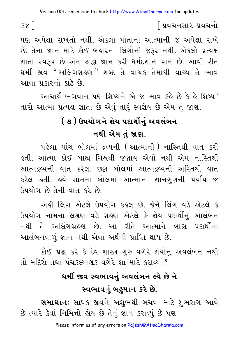પણ અપેક્ષા રાખતો નથી. એકલા પોતાના આત્માની જ અપેક્ષા રાખે છે. તેના જ્ઞાન માટે કોઈ બહારનાં લિંગોની જરૂર નથી. એકલો પ્રત્યક્ષ જ્ઞાતા સ્વરૂપ છે એમ શ્રદ્ધા-જ્ઞાન કરી ધર્મદશાને પામે છે. આવી રીતે ધર્મી જીવ "અલિંગગ્રહણ " શબ્દ તે વાચક તેમાંથી વાચ્ય તે ભાવ આવા પ્રકારનો કાઢે છે.

આચાર્ય ભગવાન પણ શિષ્યને એ જ ભાવ કરે છે કે રે શિષ્ય ! તારો આત્મા પ્રત્યક્ષ જ્ઞાતા છે એવું તારૂં સ્વજ્ઞેય છે એમ તું જાણ.

# ( ૭ ) ઉપયોગને જ્ઞેય પદાર્થોનું અવલંબન નથી એમ તું જાણ.

પહેલા પાંચ બોલમાં દ્રવ્યની (આત્માની) નાસ્તિથી વાત કરી <u>હતી. આત્મા કોઈ બાહ્ય ચિહ્નથી જણાય એવો નથી એમ નાસ્તિથી</u> આત્મદ્રવ્યની વાત કરેલ. છક્રા બોલમાં આત્મદ્રવ્યની અસ્તિથી વાત કરેલ હતી. હવે સાતમા બોલમાં આત્માના જ્ઞાનગુણની પર્યાય જે ઉપયોગ છે તેની વાત કરે છે

અહીં લિંગ એટલે ઉપયોગ કહેલ છે. જેને લિંગ વડે એટલે કે ઉપયોગ નામના લક્ષણ વડે ગ્રહણ એટલે કે જ્ઞેય પદાર્થોનું આલંબન નથી તે અલિંગગ્રહણ છે. આ રીતે આત્માને બાહ્ય પદાર્થોના આલંબનવાળું જ્ઞાન નથી એવા અર્થની પ્રાપ્તિ થાય છે.

કોઈ પ્રશ્ન કરે કે દેવ-શાસ્ત્ર-ગુરુ વગેરે જ્ઞેયોનું અવલંબન નથી તો મંદિરો તથા પંચકલ્યાણક વગેરે શા માટે કરાવ્યાં ?

# ઘર્મી જીવ સ્વભાવનું અવલંબન લ્યે છે ને સ્વભાવનું બહુમાન કરે છે.

**સમાધાનઃ** સાધક જીવને અશુભથી બચવા માટે શુભરાગ આવે છે ત્યારે કેવાં નિમિત્તો હોય છે તેનું જ્ઞાન કરાવ્યું છે પણ

 $38$ ]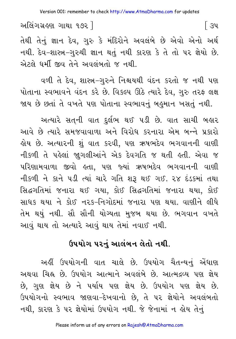અલિંગગ્રહણ ગાથા ૧૭૨ ]

તેથી તેનું જ્ઞાન દેવ, ગુરુ કે મંદિરોને અવલંબે છે એવો એનો અર્થ નથી. દેવ-શાસ્ત્ર-ગુરુથી જ્ઞાન થતું નથી કારણ કે તે તો ૫૨ જ્ઞેયો છે. એટલે ધર્મી જીવ તેને અવલંબતો જ નથી.

વળી તે દેવ. શાસ્ત્ર-ગુરુને નિશ્ચયથી વંદન કરતો જ નથી પણ પોતાના સ્વભાવને વંદન કરે છે. વિકલ્પ ઊઠે ત્યારે દેવ, ગુરુ તરફ લક્ષ જાય છે છતાં તે વખતે પણ પોતાના સ્વભાવનું બહુમાન ખસતું નથી.

અત્યારે સત્ની વાત દુર્લભ થઈ ૫ડી છે. વાત સાચી બહાર આવે છે ત્યારે સમજવાવાળા અને વિરોધ કરનારા એમ બન્ને પ્રકારો હોય છે. અત્યારની શું વાત કરવી, પણ ઋષભદેવ ભગવાનની વાણી નીકળી તે પહેલાં જાગલીઆંને એક દેવગતિ જ થતી હતી. એવા જ પરિણામવાળા જીવો હતા. પણ જ્યાં ઋષભદેવ ભગવાનની વાણી નીકળી ને કાને પડી ત્યાં ચારે ગતિ શરૂ થઈ ગઈ. ૨૪ દંડકમાં તથા સિદ્ધગતિમાં જનારા થઈ ગયા, કોઈ સિદ્ધગતિમાં જનારા થયા, કોઈ સાધક થયા ને કોઈ નરક-નિગોદમાં જનારા પણ થયા. વાણીને લીધે તેમ થયું નથી. સૌ સૌની યોગ્યતા મુજબ થયા છે. ભગવાન વખતે આવું થાય તો અત્યારે આવું થાય તેમાં નવાઈ નથી.

## ઉપયોગ પરનં આલંબન લેતો નથી.

અહીં ઉપયોગની વાત ચાલે છે. ઉપયોગ ચૈતન્યનું એંધાણ અથવા ચિહ્ન છે. ઉપયોગ આત્માને અવલંબે છે. આત્મદ્રવ્ય પણ જ્ઞેય છે. ગુણ જ્ઞેય છે ને પર્યાય પણ જ્ઞેય છે. ઉપયોગ પણ જ્ઞેય છે. ઉપયોગનો સ્વભાવ જાણવા–દેખવાનો છે, તે પર જ્ઞેયોને અવલંબતો નથી, કારણ કે પર જ્ઞેયોમાં ઉપયોગ નથી. જે જેનામાં ન હોય તેનું

િ ૩૫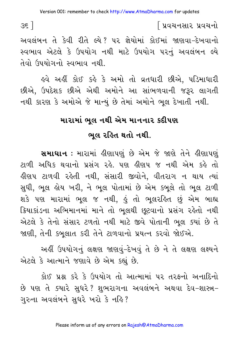$35$ ]

∫ પ્રવચનસાર પ્રવચનો

અવલંબન તે કેવી રીતે લ્યે? પર જ્ઞેયોમાં કોઈમાં જાણવા-દેખવાનો સ્વભાવ એટલે કે ઉપયોગ નથી માટે ઉપયોગ પરનું અવલંબન લ્યે તેવો ઉપયોગનો સ્વભાવ નથી.

ઙવે અહીં કોઈ કહે કે અમો તો વ્રતધારી છીએ, પડિમાધારી છીએ, ઉપદેશક છીએ એથી અમોને આ સાંભળવાની જરૂર લાગતી નથી કારણ કે અમોએ જે માન્યું છે તેમાં અમોને ભૂલ દેખાતી નથી.

#### મારામાં ભૂલ નથી એમ માનનાર કદીપણ

#### ભલ રહિત થતો નથી.

સમાઘાન : મારામાં હીણાપણું છે એમ જે જાણે તેને હીણાપણું ટાળી અધિક થવાનો પ્રસંગ રહે. પણ હીણપ જ નથી એમ કહે તો ડીણપ ટાળવી રહેતી નથી. સંસારી જીવોને. વીતરાગ ન થાય ત્યાં સુધી, ભુલ હોય ખરી, ને ભુલ પોતામાં છે એમ કબુલે તો ભુલ ટાળી શકે પણ મારામાં ભૂલ જ નથી, હું તો ભૂલરહિત છું એમ બાહ્ય ક્રિયાકાંડના અભિમાનમાં માને તો ભલથી છુટવાનો પ્રસંગ રહેતો નથી એટલે કે તેનો સંસાર ટળતો નથી માટે જીવે પોતાની ભૂલ ક્યાં છે તે જાણી, તેની કબુલાત કરી તેને ટાળવાનો પ્રયત્ન કરવો જોઈએ.

અહીં ઉપયોગનું લક્ષણ જાણવું-દેખવું તે છે ને તે લક્ષણ લક્ષ્યને એટલે કે આત્માને જણાવે છે એમ કહ્યું છે.

કોઈ પ્રશ્ન કરે કે ઉપયોગ તો આત્મામાં પર તરફનો અનાદિનો છે પણ તે ક્યારે સુધરે? શુભરાગના અવલંબને અથવા દેવ-શાસ્ત્ર-ગુરુના અવલંબને સુધરે ખરો કે નહિ?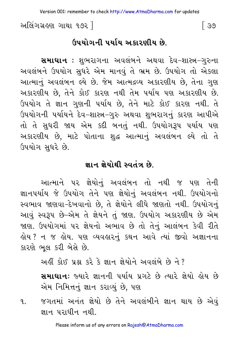અલિંગગ્રહણ ગાથા ૧૭૨ ી

િ ૩૭

#### ઉપયોગની પર્યાય અકારણીય છે

**સમાધાન :** શુભરાગના અવલંબને અથવા દેવ–શાસ્ત્ર–ગુરુના અવલંબને ઉપયોગ સુધરે એમ માનવું તે ભ્રમ છે. ઉપયોગ તો એકલા આત્માનું અવલંબન લ્યે છે. જેમ આત્મદ્રવ્ય અકારણીય છે. તેના ગણ અકારણીય છે, તેને કોઈ કારણ નથી તેમ પર્યાય પણ અકારણીય છે. ઉપયોગ તે જ્ઞાન ગુણની પર્યાય છે, તેને માટે કોઈ કારણ નથી. તે ઉપયોગની પર્યાયને દેવ-શાસ્ત્ર-ગુરુ અથવા શભરાગનું કારણ આપીએ તો તે સુધરી જાય એમ કદી બનતું નથી. ઉપયોગરૂપ પર્યાય પણ અકારણીય છે, માટે પોતાના શુદ્ધ આત્માનું અવલંબન લ્યે તો તે ઉપયોગ સઘરે છે.

#### જ્ઞાન જ્ઞેયોથી સ્વતંત્ર છે.

આત્માને પર જ્ઞેયોનું અવલંબન તો નથી જ પણ તેની જ્ઞાનપર્યાય જે ઉપયોગ તેને પણ જ્ઞેયોનું અવલંબન નથી. ઉપયોગનો સ્વભાવ જાણવા-દેખવાનો છે, તે જ્ઞેયોને લીધે જાણતો નથી. ઉપયોગનું આવું સ્વરૂપ છે-એમ તે જ્ઞેયને તું જાણ. ઉપયોગ અકારણીય છે એમ જાણ. ઉપયોગમાં ૫૨ જ્ઞેયનો અભાવ છે તો તેનું આલંબન કેવી રીતે લોય ? ન જ લોય. પણ વ્યવહારનું કથન આવે ત્યાં જીવો અજ્ઞાનના કારણે ભૂલ કરી બેસે છે.

અહીં કોઈ પ્રશ્ન કરે કે જ્ઞાન જ્ઞેયોને અવલંબે છે ને ?

**સમાધાન**: જ્યારે જ્ઞાનની પર્યાય પ્રગટે છે ત્યારે જ્ઞેયો હોય છે એમ નિમિત્તનું જ્ઞાન કરાવ્યું છે, પણ

જગતમાં અનંત જ્ઞેયો છે તેને અવલંબીને જ્ઞાન થાય છે એવં  $\mathbf{q}$ જ્ઞાન પરાધીન નથી.

Please inform us of any errors on Rajesh@AtmaDharma.com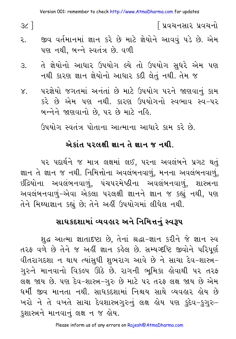$3c$ ]

િપ્રવચનસાર પ્રવચનો

- જીવ વર્તમાનમાં જ્ઞાન કરે છે માટે જ્ઞેયોને આવવું ૫ડે છે. એમ ર. પણ નથી, બન્ને સ્વતંત્ર છે. વળી
- તે જ્ઞેયોનો આધાર ઉપયોગ લ્યે તો ઉપયોગ સુધરે એમ પણ З. નથી કારણ જ્ઞાન જ્ઞેયોનો આધાર કદી લેતું નથી. તેમ જ
- પરજ્ઞેયો જગતમાં અનંતાં છે માટે ઉપયોગ પરને જાણવાનું કામ  $\mathsf{X}_{\cdot}$ કરે છે એમ પણ નથી. કારણ ઉપયોગનો સ્વભાવ સ્વ−પર બન્નેને જાણવાનો છે. ૫૨ છે માટે નહિ.

ઉપયોગ સ્વતંત્ર પોતાના આત્માના આધારે કામ કરે છે.

#### એકાંત પરલક્ષી જ્ઞાન તે જ્ઞાન જ નથી

પર પદાર્થને જ માત્ર લક્ષમાં લઈ, પરના અવલંબને પ્રગટ થતું જ્ઞાન તે જ્ઞાન જ નથી. નિમિત્તોના અવલંબનવાળું, મનના અવલંબનવાળું, ઇંદ્રિયોના અવલંબનવાળું, પંચપરમેષ્ઠીના અવલંબનવાળું, શાસ્ત્રના અવલંબનવાળું-એવા એકલા પરલક્ષી જ્ઞાનને જ્ઞાન જ કહ્યું નથી, પણ તેને મિથ્યાજ્ઞાન કહ્યું છે; તેને અહીં ઉપયોગમાં લીધેલ નથી.

### સાધકદશામાં વ્યવહાર અને નિમિત્તનું સ્વરૂપ

શુદ્ધ આત્મા જ્ઞાતાદષ્ટા છે, તેનાં શ્રદ્ધા-જ્ઞાન કરીને જે જ્ઞાન સ્વ તરફ વળે છે તેને જ અહીં જ્ઞાન કહેલ છે. સમ્યગ્દષ્ટિ જીવોને પરિપૂર્ણ વીતરાગદશા ન થાય ત્યાંસુધી શુભરાગ આવે છે ને સાચા દેવ−શાસ્ત્ર− ગુરુને માનવાનો વિકલ્પ ઊઠે છે. રાગની ભૂમિકા હોવાથી પર તરફ લક્ષ જાય છે. પણ દેવ-શાસ્ત્ર-ગુરુ છે માટે પર તરફ લક્ષ જાય છે એમ ધર્મી જીવ માનતા નથી. સાધકદશામાં નિશ્ચય સાથે વ્યવહાર હોય છે ખરો ને તે વખતે સાચા દેવશાસ્ત્રગુરુનું લક્ષ હોય પણ કુદેવ-કુગુરુ-કુશાસ્ત્રને માનવાનું લક્ષ ન જ હોય.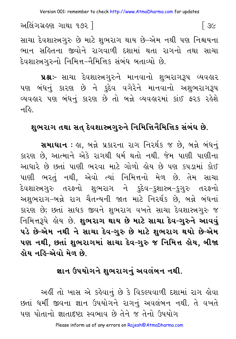અલિંગગ્રહણ ગાથા ૧૭૨ ]  $\sqrt{3}$ 

સાચા દેવશાસ્ત્રગુરુ છે માટે શુભરાગ થાય છે–એમ નથી પણ નિશ્ચયના ભાન સહિતના જીવોને રાગવાળી દશામાં થતા રાગનો તથા સાચા દેવશાસ્ત્રગુરુનો નિમિત્ત−નૈમિત્તિક સંબંધ બતાવ્યો છે.

**પ્રશ્નઃ** સાચા દેવશાસ્ત્રગુરુને માનવાનો શુભરાગરૂપ વ્યવહાર પણ બંધનું કારણ છે ને કુદેવ વગેરેને માનવાનો અશુભરાગરૂપ વ્યવહાર પણ બંધનું કારણ છે તો બન્ને વ્યવહારમાં કાંઈ ફરક રહેશે નહિ.

## શુભરાગ તથા સત્ દેવશાસ્ત્રગુરુને નિમિત્તિનૈમિત્તિક સંબંધ છે.

**સમાઘાન** : હા, બન્ને પ્રકારના રાગ નિરર્થક જ છે, બન્ને બંધનું કારણ છે. આત્માને એકે રાગથી ધર્મ થતો નથી. જેમ પાણી પાણીના આધારે છે છતાં પાણી ભરવા માટે ગોળો હોય છે પણ કપડામાં કોઈ પાણી ભરતું નથી, એવો ત્યાં નિમિત્તનો મેળ છે. તેમ સાચા દેવશાસ્ત્રગુરુ તરફનો શુભરાગ ને કુદેવ−કુશાસ્ત્ર−કુગુરુ તરફનો અશુભરાગ-બન્ને રાગ ચૈતન્યની જાત માટે નિરર્થક છે, બન્ને બંધનાં કારણ છે; છતાં સાધક જીવને શુભરાગ વખતે સાચા દેવશાસ્ત્રગુરુ જ નિમિત્તરૂપે હોય છે. શુભરાગ થાય છે માટે સાચા દેવ-ગુરુને આવવું પડે છે-એમ નથી ને સાચા દેવ-ગુરુ છે માટે શુભરાગ થયો છે-એમ પણ નથી, છતાં શુભરાગમાં સાચા દેવ-ગુરુ જ નિમિત્ત હોય, બીજા લોય નહિ-એવો મેળ છે.

#### જ્ઞાન ઉપયોગને શભરાગનં અવલંબન નથી.

અહીં તો ખાસ એ કહેવાનું છે કે વિકલ્પવાળી દશામાં રાગ હોવા છતાં ધર્મી જીવના જ્ઞાન ઉપયોગને રાગનું અવલંબન નથી. તે વખતે ૫ણ પોતાનો જ્ઞાતાદષ્ટા સ્વભાવ છે તેને જ તેનો ઉપયોગ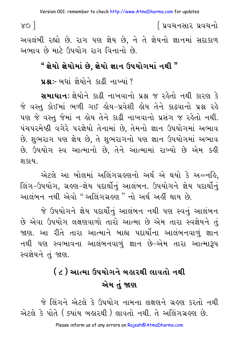$\gamma$ o ]

અવલંબી રહ્યો છે. રાગ પણ જ્ઞેય છે, ને તે જ્ઞેયનો જ્ઞાનમાં સદાકાળ અભાવ છે માટે ઉપયોગ રાગ વિનાનો છે.

## " જ્ઞેયો જ્ઞેયોમાં છે. જ્ઞેયો જ્ઞાન ઉપયોગમાં નથી "

पश्च :- अधां ज़ेयोने अढ़ी नाज्यां ?

**સમાધાનઃ** જ્ઞેયોને કાઢી નાખવાનો પ્રશ્ન જ રહેતો નથી કારણ કે જે વસ્ત કોઈમાં ભળી ગઈ લેય-પ્રવેશી લોય તેને કાઢવાનો પ્રશ્ન રહે પણ જે વસ્તુ જેમાં ન હોય તેને કાઢી નાખવાનો પ્રસંગ જ રહેતો નથી. પંચપરમેષ્ઠી વગેરે પરજ્ઞેયો તેનામાં છે, તેમનો જ્ઞાન ઉપયોગમાં અભાવ છે. શુભરાગ પણ જ્ઞેય છે, તે શુભરાગનો પણ જ્ઞાન ઉપયોગમાં અભાવ છે. ઉપયોગ સ્વ આત્માનો છે, તેને આત્મામાં રાખ્યો છે એમ કહી શકાય.

એટલે આ બોલમાં અલિંગગ્રહણનો અર્થ એ થયો કે અ=નહિ, લિંગ-ઉપયોગ, ગ્રહણ-જ્ઞેય પદાર્થોનું આલંબન. ઉપયોગને જ્ઞેય પદાર્થોનું આલંબન નથી એવો "અલિંગગ્રહણ " નો અર્થ અહીં થાય છે.

જે ઉપયોગને જ્ઞેય પદાર્થીનું આલંબન નથી પણ સ્વનું આલંબન છે એવા ઉપયોગ લક્ષણવાળો તારો આત્મા છે એમ તારા સ્વજ્ઞેયને તું જાણ. આ રીતે તારા આત્માને બાહ્ય પદાર્થોના આલંબનવાળું જ્ઞાન નથી પણ સ્વભાવના આલંબનવાળું જ્ઞાન છે–એમ તારા આત્મારૂપ સ્વજ્ઞેયને તું જાણ.

# ( ૮ ) આત્મા ઉપયોગને બહારથી લાવતો નથી એમ તું જાણ

જે લિંગને એટલે કે ઉપયોગ નામના લક્ષણને ગ્રહણ કરતો નથી એટલે કે પોતે ( ક્યાંય બહારથી ) લાવતો નથી. તે અલિંગગ્રહણ છે.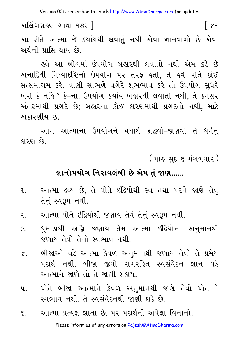Version 001: remember to check http://www.AtmaDharma.com for updates

અલિંગગ્રહણ ગાથા ૧૭૨ 1  $\lceil 8d \rceil$ આ રીતે આત્મા જે ક્યાંયથી લવાતું નથી એવા જ્ઞાનવાળો છે એવા અર્થની પ્રાપ્તિ થાય છે.

ઢવે આ બોલમાં ઉપયોગ બહારથી લવાતો નથી એમ કહે છે અનાદિથી મિથ્યાદષ્ટિનો ઉપયોગ પર તરફ ક્રતો, તે કવે પોતે કાંઈ સત્સમાગમ કરે, વાણી સાંભળે વગેરે શુભભાવ કરે તો ઉપયોગ સુધરે ખરો કે નહિ? કે–ના. ઉપયોગ ક્યાંય બહારથી લવાતો નથી, તે ક્રમસર અંતરમાંથી પ્રગટે છે; બહારના કોઈ કારણમાંથી પ્રગટતો નથી, માટે અકારણીય છે.

આમ આત્માના ઉપયોગને યથાર્થ શ્રદ્ધવો-જાણવો તે ધર્મનં કારણ છે.

( માહ સુદ ૬ મંગળવાર )

#### જ્ઞાનોપયોગ નિરાવલંબી છે એમ તું જાણ......

- આત્મા દ્રવ્ય છે, તે પોતે ઇંદ્રિયોથી સ્વ તથા પરને જાણે તેવું  $9.1$ તેનું સ્વરૂપ નથી.
- આત્મા પોતે ઇંદ્રિયોથી જણાય તેવું તેનું સ્વરૂપ નથી. २.
- ધમાડાથી અગ્નિ જણાય તેમ આત્મા ઇંદ્રિયોના અનમાનથી  $\mathcal{S}_{\cdot}$ જણાય તેવો તેનો સ્વભાવ નથી.
- બીજાઓ વડે આત્મા કેવળ અનુમાનથી જણાય તેવો તે પ્રમેય  $X_{-}$ પદાર્થ નથી. બીજા જીવો રાગરહિત સ્વસંવેદન જ્ઞાન વડે આત્માને જાણે તો તે જાણી શકાય.
- પોતે બીજા આત્માને કેવળ અનુમાનથી જાણે તેવો પોતાનો  $\mathbf{u}$ . સ્વભાવ નથી, તે સ્વસંવેદનથી જાણી શકે છે.
- આત્મા પ્રત્યક્ષ જ્ઞાતા છે. ૫૨ પદાર્થની અપેક્ષા વિનાનો.  $\xi$ . Please inform us of any errors on Rajesh@AtmaDharma.com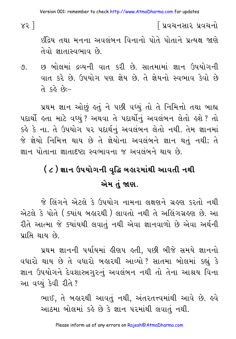$x3$ ]

∫ પ્રવચનસાર પ્રવચનો

ઇંદ્રિય તથા મનના અવલંબન વિનાનો પોતે પોતાને પ્રત્યક્ષ જાણે તેવો જ્ઞાતાસ્વભાવ છે.

છ બોલમાં દ્રવ્યની વાત કરી છે. સાતમામાં જ્ઞાન ઉપયોગની ৩. વાત કરે છે. ઉપયોગ પણ જ્ઞેય છે. તે જ્ઞેયનો સ્વભાવ કેવો છે  $-:\!63$   $68$   $-$ 

પ્રથમ જ્ઞાન ઓછું હતું ને પછી વધ્યું તો તે નિમિત્તો તથા બાહ્ય પદાર્થી હતા માટે વધ્યું ? અથવા તે પદાર્થીનું અવલંબન લેતો હશે ? તો કર્લ્ડ કે ના. તે ઉપયોગ પર પદાર્થનું અવલંબન લેતો નથી. તેમ જ્ઞાનમાં જે જ્ઞેયો નિમિત્ત થાય છે તે જ્ઞેયોના અવલંબને જ્ઞાન થતું નથી; તે જ્ઞાન પોતાના જ્ઞાતાદષ્ટા સ્વભાવના જ અવલંબને થાય છે.

# ( ૮ ) જ્ઞાન ઉપયોગની વૃદ્ધિ બહારમાંથી આવતી નથી એમ તં જાણ.

જે લિંગને એટલે કે ઉપયોગ નામના લક્ષણને ગ્રહણ કરતો નથી એટલે કે પોતે ( ક્યાંય બહારથી ) લાવતો નથી તે અલિંગગ્રહણ છે. આ રીતે આત્મા જે ક્યાંયથી લવાતું નથી એવા જ્ઞાનવાળો છે એવા અર્થની પ્રાપ્તિ થાય છે.

પ્રથમ જ્ઞાનની પર્યાયમાં હીણપ હતી, પછી બીજે સમયે જ્ઞાનનો વધારો થાય છે તે વધારો બહારથી આવ્યો? સાતમા બોલમાં કહ્યું કે જ્ઞાન ઉપયોગને દેવશાસ્ત્રગુરુનું અવલંબન નથી તો તેના આશ્રય વિના આ વધ્યું કેવી રીતે ?

> ભાઈ, તે બહારથી આવતું નથી, અંતરતત્ત્વમાંથી આવે છે. હવે આઠમા બોલમાં કહે છે કે જ્ઞાન પરમાંથી લવાતું નથી.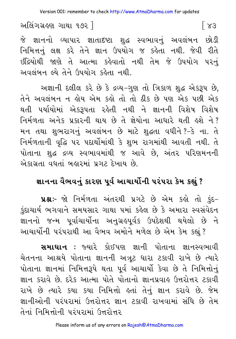Version 001: remember to check http://www.AtmaDharma.com for updates

અલિંગગ્રહણ ગાથા ૧૭૨ ]

જે જ્ઞાનનો વ્યાપાર જ્ઞાતાદષ્ટા શુદ્ધ સ્વભાવનું અવલંબન છોડી નિમિત્તનું લક્ષ કરે તેને જ્ઞાન ઉપયોગ જ કહેતા નથી. જેવી રીતે ઇંદ્રિયોથી જાણે તે આત્મા કહેવાતો નથી તેમ જે ઉપયોગ પરનું અવલંબન લ્યે તેને ઉપયોગ કહેતા નથી.

અજ્ઞાની દલીલ કરે છે કે દ્રવ્ય-ગુણ તો ત્રિકાળ શુદ્ધ એકરૂપ છે. તેને અવલંબન ન હોય એમ કહો તો તો ઠીક છે પણ એક પછી એક થતી પર્યાયોમાં એકરૂપતા રહેતી નથી ને જ્ઞાનની વિશેષ વિશેષ નિર્મળતા અનેક પ્રકારની થાય છે તે જ્ઞેયોના આધારે થતી હશે ને? મન તથા શુભરાગનું અવલંબન છે માટે શુદ્ધતા વધીને?-કે ના. તે નિર્મળતાની વૃદ્ધિ પર પદાર્થોમાંથી કે શુભ રાગમાંથી આવતી નથી. તે પોતાના શુદ્ધ દ્રવ્ય સ્વભાવમાંથી જ આવે છે, અંતર પરિણમનની એકાગ્રતા વધતાં બહારમાં પ્રગટ દેખાય છે.

## જ્ઞાનના વૈભવનું કારણ પૂર્વ આચાર્યોની પરંપરા કેમ કહ્યું ?

**પ્રશ્નઃ**- જો નિર્મળતા અંતરથી પ્રગટે છે એમ કહો તો કુંદ-કુંદાચાર્ય ભગવાને સમયસાર ગાથા ૫માં કહેલ છે કે અમારા સ્વસંવેદન જ્ઞાનનો જન્મ પૂર્વાચાર્યોના અનુગ્રહપૂર્વક ઉપદેશથી થયેલો છે ને આચાર્યોની પરંપરાથી આ વૈભવ અમોને મળેલ છે એમ કેમ કહ્યું ?

**સમાધાન :** જ્યારે કોઈપણ જ્ઞાની પોતાના જ્ઞાનસ્વભાવી ચેતનના આશ્રયે પોતાના જ્ઞાનની અત્રૂટ ધારા ટકાવી રાખે છે ત્યારે પોતાના જ્ઞાનમાં નિમિત્તરૂપે થતા પૂર્વ આચાર્યો કેવા છે તે નિમિત્તોનું જ્ઞાન કરાવે છે. દરેક આત્મા પોતે પોતાનો જ્ઞાનપ્રવાહ ઉત્તરોત્તર ટકાવી રાખે છે ત્યારે કયા કયા નિમિત્તો હતાં તેનું જ્ઞાન કરાવે છે. જેમ જ્ઞાનીઓની પરંપરામાં ઉત્તરોત્તર જ્ઞાન ટકાવી રાખવામાં સંધિ છે તેમ તેનાં નિમિત્તોની પરંપરામાં ઉત્તરોત્તર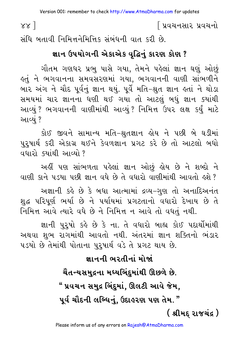Version 001: remember to check http://www.AtmaDharma.com for updates

િપ્રવચનસાર પ્રવચનો

સંધિ બતાવી નિમિત્તનેમિત્તિક સંબંધની વાત કરી છે.

 $88<sub>1</sub>$ 

#### જ્ઞાન ઉપયોગની એકાએક વૃદ્ધિનું કારણ કોણ ?

ગૌતમ ગણધર પ્રભુ પાસે ગયા, તેમને પહેલાં જ્ઞાન ઘણું ઓછું કુતું ને ભગવાનના સમવસરણમાં ગયા, ભગવાનની વાણી સાંભળીન<mark>ે</mark> બાર અંગ ને ચૌદ પૂર્વનું જ્ઞાન થયું. પૂર્વે મતિ-શ્રુત જ્ઞાન હતાં ને થોડા સમયમાં ચાર જ્ઞાનના ધણી થઈ ગયા તો આટલું બધું જ્ઞાન ક્યાંથી આવ્યું ? ભગવાનની વાણીમાંથી આવ્યું ? નિમિત્ત ઉપર લક્ષ કર્યું માટે આવ્યં ?

કોઈ જીવને સામાન્ય મતિ–શ્રુતજ્ઞાન હોય ને પછી બે ઘડીમાં પુરુષાર્થ કરી એકાગ્ર થઈને કેવળજ્ઞાન પ્રગટ કરે છે તો આટલો બધો  $qq|q$ 

અહીં પણ સાંભળતા પહેલાં જ્ઞાન ઓછં હોય છે ને શબ્દો ને વાણી કાને પડયા પછી જ્ઞાન વધે છે તે વધારો વાણીમાંથી આવતો હશે?

અજ્ઞાની કહે છે કે બધા આત્મામાં દ્રવ્ય-ગુણ તો અનાદિઅનંત શુદ્ધ પરિપૂર્ણ ભર્યા છે ને પર્યાયમાં પ્રગટતાનો વધારો દેખાય છે તે નિમિત્ત આવે ત્યારે વધે છે ને નિમિત્ત ન આવે તો વધતું નથી.

જ્ઞાની પુરૂષો કહે છે કે ના. તે વધારો બાહ્ય કોઈ પદાર્થોમાંથી અથવા શુભ રાગમાંથી આવતો નથી. અંતરમાં જ્ઞાન શક્તિનો ભંડાર પડયો છે તેમાંથી પોતાના પુરૂષાર્થ વડે તે પ્રગટ થાય છે.

# જ્ઞાનની ભરતીનાં મોજાં ચૈતન્યસમુદ્રના મધ્યબિંદમાંથી ઊછળે છે. " પ્રવચન સમુદ્ર બિંદુમાં, ઊલટી આવે જેમ, પૂર્વ ચૌદની લબ્ધિનું, ઉદાહરણ પણ તેમ. " ( શ્રીમદ રાજચંદ્ર )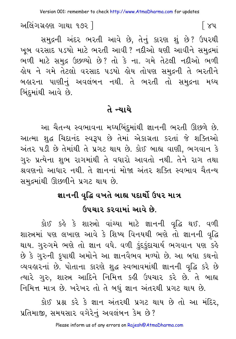અલિંગગ્રહણ ગાથા ૧૭૨ ]

સમદ્રની અંદર ભરતી આવે છે, તેનું કારણ શું છે? ઉપરથી ખૂબ વરસાદ પડયો માટે ભરતી આવી ? નદીઓ ઘણી આવીને સમુદ્રમાં ભળી માટે સમુદ્ર ઉછળ્યો છે? તો કે ના. ગમે તેટલી નદીઓ ભળી હોય ને ગમે તેટલો વરસાદ પડયો હોય તોપણ સમુદ્રની તે ભરતીને બહારના પાણીનું અવલંબન નથી. તે ભરતી તો સમુદ્રના મધ્ય બિંદમાંથી આવે છે.

### તે ન્યાયે

આ ચૈતન્ય સ્વભાવના મધ્યબિંદ્માંથી જ્ઞાનની ભરતી ઊછળે છે. આત્મા શુદ્ધ ચિદાનંદ સ્વરૂપ છે તેમાં એકાગ્રતા કરતાં જે શક્તિઓ અંતર ૫ડી છે તેમાંથી તે પ્રગટ થાય છે. કોઈ બાહ્ય વાણી, ભગવાન કે ગુરુ પ્રત્યેના શુભ રાગમાંથી તે વધારો આવતો નથી. તેને રાગ તથા શ્રવણનો આધાર નથી. તે જ્ઞાનનાં મોજા અંતર શક્તિ સ્વભાવ ચૈતન્ય સમુદ્રમાંથી ઊછળીને પ્રગટ થાય છે.

# જ્ઞાનની વૃદ્ધિ વખતે બાહ્ય પદાર્થો ઉપર માત્ર ઉપચાર કરવામાં આવે છે.

કોઈ કહે કે શાસ્ત્રો વાંચ્યા માટે જ્ઞાનની વૃદ્ધિ થઈ. વળી શાસ્ત્રમાં પણ લખાણ આવે કે શિષ્ય વિનયથી ભણે તો જ્ઞાનની વૃદ્ધિ થાય. ગુરુગમે ભણે તો જ્ઞાન વધે. વળી કુંદુકુંદાચાર્ય ભગવાન પણ કહે છે કે ગુરુની કૃપાથી અમોને આ જ્ઞાનવૈભવ મળ્યો છે. આ બધા કથનો વ્યવહારનાં છે. પોતાના કારણે શદ્ધ સ્વભાવમાંથી જ્ઞાનની વૃદ્ધિ કરે છે ત્યારે ગુરુ, શાસ્ત્ર આદિને નિમિત્ત કહી ઉપચાર કરે છે. તે બાહ્ય નિમિત્ત માત્ર છે. ખરેખર તો તે બધું જ્ઞાન અંતરથી પ્રગટ થાય છે.

કોઈ પ્રશ્ન કરે કે જ્ઞાન અંતરથી પ્રગટ થાય છે તો આ મંદિર, પ્રતિમાજી, સમયસાર વગેરેનું અવલંબન કેમ છે?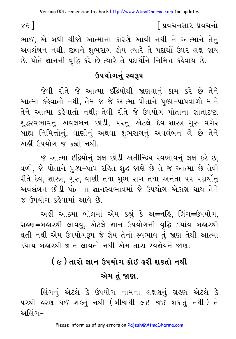$x \in 1$ 

ભાઈ, એ બધી ચીજો આત્માના કારણે આવી નથી ને આત્માને તેનું અવલંબન નથી. જીવને શુભરાગ હોય ત્યારે તે પદાર્થો ઉપર લક્ષ જાય છે. પોતે જ્ઞાનની વૃદ્ધિ કરે છે ત્યારે તે પદાર્થોને નિમિત્ત કહેવાય છે.

### ઉપયોગનું સ્વરૂપ

જેવી રીતે જે આત્મા ઇંદ્રિયોથી જાણવાનું કામ કરે છે તેને આત્મા કહેવાતો નથી. તેમ જ જે આત્મા પોતાને પણ્ય-પાપવાળો માને તેને આત્મા કહેવાતો નથી; તેવી રીતે જે ઉપયોગ પોતાના જ્ઞાતાદષ્ટા શુદ્ધસ્વભાવનું અવલંબન છોડી, પરનું એટલે દેવ-શાસ્ત્ર-ગુરુ વગેરે બાહ્ય નિમિત્તોનું, વાણીનું અથવા શુભરાગનું અવલંબન લે છે તેને અહીં ઉપયોગ જ કહ્યો નથી.

જે આત્મા ઇંદ્રિયોનું લક્ષ છોડી અતીન્દ્રિય સ્વભાવનું લક્ષ કરે છે, વળી, જે પોતાને પુણ્ય-પાપ રહિત શુદ્ધ જાણે છે તે જ આત્મા છે તેવી રીતે દેવ, શાસ્ત્ર, ગુરુ, વાણી તથા શુભ રાગ તથા અનંતા પર પદાર્થોનું અવલંબન છોડી પોતાના જ્ઞાનસ્વભાવમાં જે ઉપયોગ એકાગ્ર થાય તેને જ ઉપયોગ કહેવામાં આવે છે.

અહીં આઠમા બોલમાં એમ કહ્યું કે અ=નહિ, લિંગ=ઉપયોગ, ગ્રહણ=બહારથી લાવવું, એટલે જ્ઞાન ઉપયોગની વૃદ્ધિ ક્યાંય બહારથી થતી નથી એમ ઉપયોગરૂપ જે જ્ઞેય તેનો સ્વભાવ તું જાણ તેથી આત્મા ક્યાંય બહારથી જ્ઞાન લાવતો નથી એમ તારા સ્વજ્ઞેયને જાણ.

# ( ૯ ) તારો જ્ઞાન-ઉપયોગ કોઈ હરી શકતો નથી એમ તું જાણ.

લિંગનું એટલે કે ઉપયોગ નામના લક્ષણનું ગ્રહણ એટલે કે પરથી હરણ થઈ શકતું નથી (બીજાથી લઈ જઈ શકાતું નથી) તે અલિંગ–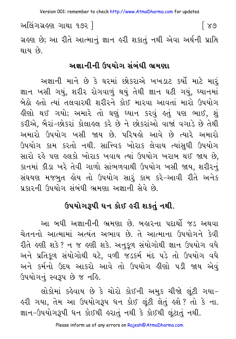Version 001: remember to check http://www.AtmaDharma.com for updates

અલિંગગ્રહણ ગાથા ૧૭૨ 1 [ ୪७ ગ્રહણ છે; આ રીતે આત્માનું જ્ઞાન હરી શકાતું નથી એવા અર્થની પ્રાપ્તિ થાય છે.

#### અજ્ઞાનીની ઉપયોગ સંબંધી ભ્રમણા

અજ્ઞાની માને છે કે ઘરમાં છોકરાએ ખખડાટ કર્યો માટે મારં જ્ઞાન ખસી ગયું, શરીર રોગવાળું થયું તેથી જ્ઞાન ઘટી ગયું, ઘ્યાનમાં બેઠો હતો ત્યાં તલવારથી શરીરને કોઈ મારવા આવતાં મારો ઉપયોગ હીણો થઈ ગયો; અમારે તો ઘણું ધ્યાન કરવું હતું પણ ભાઈ, શું કરીએ, બૈરાં-છોકરાં કોલાહલ કરે છે ને છોકરાંઓ વાજાં વગાડે છે તેથી અમારો ઉપયોગ ખસી જાય છે. પરિષહો આવે છે ત્યારે અમારો ઉપયોગ કામ કરતો નથી. સાત્ત્વિક ખોરાક લેવાય ત્યાંસધી ઉપયોગ સારો રહે પણ હલકો ખોરાક ખવાય ત્યાં ઉપયોગ ખરાબ થઈ જાય છે. કાનમાં કીડા ખરે તેવી ગાળો સાંભળવાથી ઉપયોગ ખસી જાય, શરીરનું સંઘયણ મજબુત હોય તો ઉપયોગ સારૂં કામ કરે-આવી રીતે અનેક પ્રકારની ઉપયોગ સંબંધી ભ્રમણા અજ્ઞાની સેવે છે.

## ઉપયોગરૂપી ધન કોઈ હરી શકતું નથી.

આ બધી અજ્ઞાનીની ભ્રમણા છે. બહારના પદાર્થો જડ અથવા ચેતનનો આત્મામાં અત્યંત અભાવ છે. તે આત્માના ઉપયોગને કેવી રીતે હણી શકે? ન જ હણી શકે. અનુકૂળ સંયોગોથી જ્ઞાન ઉપયોગ વધે અને પ્રતિકુળ સંયોગોથી ઘટે, વળી જડકર્મ મંદ પડે તો ઉપયોગ વધે અને કર્મનો ઉદય આકરો આવે તો ઉપયોગ હીણો પડી જાય એવું ઉપયોગનું સ્વરૂપ છે જ નહિ.

લોકોમાં કહેવાય છે કે ચોરો કોઈની અમુક ચીજો લુંટી ગયા– ફરી ગયા, તેમ આ ઉપયોગરૂપ ધન કોઈ લુંટી લેતું ફશે? તો કે ના. જ્ઞાન-ઉપયોગરૂપી ધન કોઈથી હરાતું નથી કે કોઈથી લુંટાતું નથી.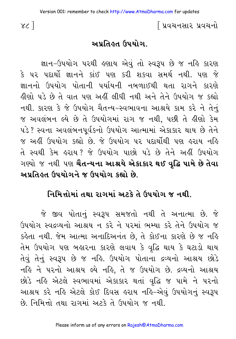#### અપ્રતિહ્ત ઉપયોગ.

જ્ઞાન-ઉપયોગ પરથી હણાય એવું તો સ્વરૂપ છે જ નહિ કારણ કે પર પદાર્થો જ્ઞાનને કાંઈ પણ કરી શકવા સમર્થ નથી. પણ જે જ્ઞાનનો ઉપયોગ પોતાની પર્યાયની નબળાઈથી થતા રાગને કારણે <u>ઢીણો પડે છે તે વાત પણ અહીં લીધી નથી અને તેને ઉપયોગ જ કહ્યો</u> નથી. કારણ કે જે ઉપયોગ ચૈતન્ય-સ્વભાવના આશ્રયે કામ કરે ને તેનું જ અવલંબન લ્યે છે તે ઉપયોગમાં રાગ જ નથી, પછી તે હીણો કેમ પડે ? સ્વના અવલંબનપૂર્વકનો ઉપયોગ આત્મામાં એકાકાર થાય છે તેને જ અહીં ઉપયોગ કહ્યો છે. જે ઉપયોગ પર પદાર્થોથી પણ હરાય નહિ તે સ્વથી કેમ હરાય? જે ઉપયોગ પાછો પડે છે તેને અહીં ઉપયોગ ગણ્યો *જ* નથી પણ **ચૈતન્યના આશ્રયે એકાકાર થઈ વૃદ્ધિ પામે છે તેવા** અપ્રતિહ્ન ઉપયોગને જ ઉપયોગ કહ્યો છે.

### નિમિત્તોમાં તથા રાગમાં અટકે તે ઉપયોગ જ નથી.

જે જીવ પોતાનું સ્વરૂપ સમજતો નથી તે અનાત્મા છે. જે ઉપયોગ સ્વદવ્યનો આશ્રય ન કરે ને પરમાં ભમ્યા કરે તેને ઉપયોગ જ કહેતા નથી. જેમ આત્મા અનાદિઅનંત છે, તે કોઈના કારણે છે જ નહિ તેમ ઉપયોગ પણ બહારના કારણે લવાય કે વૃદ્ધિ થાય કે ઘટાડો થાય તેવું તેનું સ્વરૂપ છે જ નહિ. ઉપયોગ પોતાના દ્રવ્યનો આશ્રય છોડે નહિ ને પરનો આશ્રય લ્યે નહિ, તે જ ઉપયોગ છે. દ્રવ્યનો આશ્રય છોડે નહિ એટલે સ્વભાવમાં એકાકાર થતાં વૃદ્ધિ જ પામે ને પરનો આશ્રય કરે નહિ એટલે કોઈ દિવસ હરાય નહિ–એવું ઉપયોગનું સ્વરૂપ છે. નિમિત્તો તથા રાગમાં અટકે તે ઉપયોગ જ નથી.

 $\chi$  $\sim$   $\sim$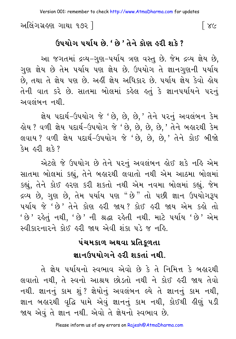અલિંગગ્રહણ ગાથા ૧૭૨ ]  $\lceil \ \times c$ 

#### <u> ઉપયોગ પર્યાય છે. ' છે ' તેને કોણ હરી શકે ?</u>

આ જગતમાં દ્રવ્ય–ગુણ–પર્યાય ત્રણ વસ્તુ છે. જેમ દ્રવ્ય જ્ઞેય છે, ગુણ જ્ઞેય છે તેમ પર્યાય પણ જ્ઞેય છે. ઉપયોગ તે જ્ઞાનગુણની પર્યાય છે, તથા તે જ્ઞેય પણ છે. અહીં જ્ઞેય અધિકાર છે. ૫ર્યાય જ્ઞેય કેવો હોય તેની વાત કરે છે. સાતમા બોલમાં કહેલ હતું કે જ્ઞાનપર્યાયને પરનું અવલંબન નથી

જ્ઞેય પદાર્થ-ઉપયોગ જે 'છે, છે, છે, ' તેને પરનું અવલંબન કેમ હોય ? વળી જ્ઞેય પદાર્થ-ઉપયોગ જે 'છે, છે, છે, છે, ' તેને બહારથી કેમ લવાય? વળી જ્ઞેય પદાર્થ-ઉપયોગ જે 'છે, છે, છે, તેને કોઈ બીજો કેમ હરી શકે?

એટલે જે ઉપયોગ છે તેને પરનું અવલંબન લોઈ શકે નહિ એમ સાતમા બોલમાં કહ્યું, તેને બહારથી લવાતો નથી એમ આઠમા બોલમાં કહ્યું, તેને કોઈ હરણ કરી શકતો નથી એમ નવમા બોલમાં કહ્યું. જેમ દ્રવ્ય છે, ગુણ છે, તેમ પર્યાય પણ "છે" તો પછી જ્ઞાન ઉપયોગરૂપ ૫ર્યાય જે 'છે' તેને કોણ કરી જાય? કોઈ કરી જાય એમ કક્રો તો ' છે ' રહેતું નથી, ' છે ' ની શ્રદ્ધા રહેતી નથી. માટે પર્યાય ' છે ' એમ સ્વીકારનારને કોઈ હરી જાય એવી શંકા પડે જ નહિ.

## પંચમકાળ અથવા પ્રતિકુળતા જ્ઞાનઉપયોગને હરી શકતાં નથી.

તે જ્ઞેય પર્યાયનો સ્વભાવ એવો છે કે તે નિમિત્ત કે બહારથી લવાતો નથી, તે સ્વનો આશ્રય છોડતો નથી ને કોઈ હરી જાય તેવો નથી. જ્ઞાનનું કામ શું ? જ્ઞેયોનું અવલંબન લ્યે તે જ્ઞાનનું કામ નથી, જ્ઞાન બહારથી વૃદ્ધિ પામે એવું જ્ઞાનનું કામ નથી, કોઈથી હીણું પડી જાય એવું તે જ્ઞાન નથી. એવો તે જ્ઞેયનો સ્વભાવ છે.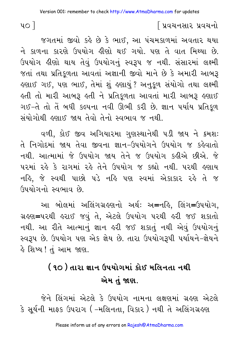જગતમાં જીવો કહે છે કે ભાઈ, આ પંચમકાળમાં અવતાર થયા ને કાળના કારણે ઉપયોગ ઢીણો થઈ ગયો. પણ તે વાત મિથ્યા છે. ઉપયોગ હીણો થાય તેવું ઉપયોગનું સ્વરૂપ જ નથી. સંસારમાં લક્ષ્મી જતાં તથા પ્રતિકળતા આવતાં અજ્ઞાની જીવો માને છે કે અમારી આબરૂ લ્ણાઈ ગઈ, પણ ભાઈ, તેમાં શું લ્ણાયું ? અનુકૂળ સંયોગો તથા લક્ષ્મી કતી તો મારી આબરૂ કતી ને પ્રતિકળતા આવતાં મારી આબરૂ *ક*ણાઈ ગઈ-તે તો તેં બધી કલ્પના નવી ઊભી કરી છે. જ્ઞાન પર્યાય પ્રતિકળ સંયોગોથી હણાઈ જાય તેવો તેનો સ્વભાવ જ નથી.

વળી, કોઈ જીવ અગિયારમા ગુણસ્થાનેથી ૫ડી જાય ને ક્રમશઃ તે નિગોદમાં જાય તેવા જીવના જ્ઞાન–ઉપયોગને ઉપયોગ જ કહેવાતો નથી. આત્મામાં જે ઉપયોગ જાય તેને જ ઉપયોગ કઢીએ છીએ. જે પરમાં રહે કે રાગમાં રહે તેને ઉપયોગ જ કહ્યો નથી. પરથી હણાય નહિ, જે સ્વથી પાછો પડે નહિ પણ સ્વમાં એકાકાર રહે તે જ ઉપયોગનો સ્વભાવ છે.

આ બોલમાં અલિંગગ્રહણનો અર્થ: અ=નહિ, લિંગ=ઉપયોગ, ગ્રહણ=પરથી હરાઈ જવું તે, એટલે ઉપયોગ પરથી હરી જઈ શકાતો નથી. આ રીતે આત્માનું જ્ઞાન હરી જઈ શકાતું નથી એવું ઉપયોગનું સ્વરૂપ છે. ઉપયોગ પણ એક જ્ઞેય છે. તારા ઉપયોગરૂપી પર્યાયને-જ્ઞેયને હે શિષ્ય ! તું આમ જાણ.

# ( ૧૦ ) તારા જ્ઞાન ઉપયોગમાં કોઈ મલિનતા નથી એમ તું જાણ.

જેને લિંગમાં એટલે કે ઉપયોગ નામના લક્ષણમાં ગ્રહણ એટલે કે સૂર્યની માફક ઉપરાગ ( –મલિનતા, વિકાર ) નથી તે અલિંગગ્રહણ

 $40<sub>1</sub>$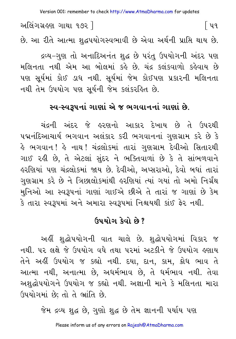Version 001: remember to check http://www.AtmaDharma.com for updates

અલિંગગ્રહણ ગાથા ૧૭૨ ]  $\lceil$  49. છે. આ રીતે આત્મા શદ્ધપયોગસ્વભાવી છે એવા અર્થની પ્રાપ્તિ થાય છે.

દ્રવ્ય-ગુણ તો અનાદિઅનંત શુદ્ધ છે પરંતુ ઉપયોગની અંદર પણ મલિનતા નથી એમ આ બોલમાં કહે છે. ચંદ્ર કલંકવાળો કહેવાય છે પણ સુર્યમાં કોઈ ડાધ નથી. સુર્યમાં જેમ કોઈપણ પ્રકારની મલિનતા નથી તેમ ઉપયોગ પણ સૂર્યની જેમ કલંકરહિત છે.

#### સ્વ-સ્વરૂપનાં ગાણાં એ જ ભગવાનનાં ગાણાં છે.

ચંદ્રની અંદર જે હરણનો આકાર દેખાય છે તે ઉપરથી પદ્મનંદિઆચાર્ય ભગવાન અલંકાર કરી ભગવાનનાં ગુણગ્રામ કરે છે કે હે ભગવાન! હે નાથ! ચંદ્રલોકમાં તારાં ગુણગ્રામ દેવીઓ સિતારથી ગાઈ રહી છે, તે એટલાં સુંદર ને ભક્તિવાળાં છે કે તે સાંભળવાને હરણિયાં પણ ચંદ્રલોકમાં જાય છે. દેવીઓ, અપ્સરાઓ, દેવો બધાં તારાં ગુણગ્રામ કરે છે ને ત્રિછાલોકમાંથી લ્રગણિયાં ત્યાં ગયાં તો અમો નિર્ગ્રંથ મુનિઓ આ સ્વરૂપનાં ગાણાં ગાઈએ છીએ તે તારાં જ ગાણાં છે કેમ કે તારા સ્વરૂપમાં અને અમારા સ્વરૂપમાં નિશ્ચયથી કાંઈ ફેર નથી.

#### ઉપયોગ કેવો છે?

અહીં શુદ્ધોપયોગની વાત ચાલે છે. શુદ્ધોપયોગમાં વિકાર જ નથી. પર લક્ષે જે ઉપયોગ વધે તથા પરમાં અટકીને જે ઉપયોગ હણાય તેને અહીં ઉપયોગ જ કહ્યો નથી. દયા, દાન, કામ, ક્રોધ ભાવ તે આત્મા નથી, અનાત્મા છે, અધર્મભાવ છે, તે ધર્મભાવ નથી. તેવા અશુદ્ધોપયોગને ઉપયોગ જ કહ્યો નથી. અજ્ઞાની માને કે મલિનતા મારા ઉપયોગમાં છે; તો તે ભ્રાંતિ છે.

જેમ દ્રવ્ય શુદ્ધ છે, ગુણો શુદ્ધ છે તેમ જ્ઞાનની પર્યાય પણ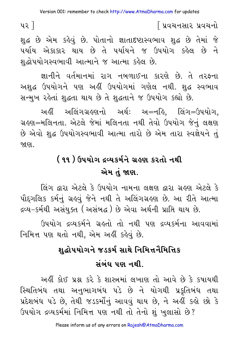પર 1

∫ પ્રવચનસાર પ્રવચનો

શુદ્ધ છે એમ કહેવું છે. પોતાનો જ્ઞાતાદષ્ટાસ્વભાવ શુદ્ધ છે તેમાં જે ૫ર્યાય એકાકાર થાય છે તે ૫ર્યાયને જ ઉપયોગ કહેલ છે ને શદ્ધોપયોગસ્વભાવી આત્માને જ આત્મા કહેલ છે.

जानीने वर्तमानमां राग नललाઈना કારણે છે. તે તરફના અશદ્ધ ઉપયોગને પણ અહીં ઉપયોગમાં ગણેલ નથી. શદ્ધ સ્વભાવ સન્મુખ રહેતાં શુદ્ધતા થાય છે તે શુદ્ધતાને જ ઉપયોગ કહ્યો છે.

અહીં અલિંગગ્રહણનો અર્થ: અ=નહિ, લિંગ=ઉપયોગ, ગ્રહણ=મલિનતા. એટલે જેમાં મલિનતા નથી તેવો ઉપયોગ જેનું લક્ષણ છે એવો શુદ્ધ ઉપયોગસ્વભાવી આત્મા તારો છે એમ તારા સ્વજ્ઞેયને તું જાણ.

# ( ૧૧ ) ઉપયોગ દવ્યકર્મને ગ્રહણ કરતો નથી એમ તં જાણ.

લિંગ દ્વારા એટલે કે ઉપયોગ નામના લક્ષણ દ્વારા ગ્રહણ એટલે કે પૌદ્દગલિક કર્મનું ગ્રહવું જેને નથી તે અલિંગગ્રહણ છે. આ રીતે આત્મા દ્રવ્ય-કર્મથી અસંયુક્ત (અસંબદ્ધ ) છે એવા અર્થની પ્રાપ્તિ થાય છે.

ઉપયોગ દ્રવ્યકર્મને ગ્રહતો તો નથી પણ દ્રવ્યકર્મના આવવામાં નિમિત્ત પણ થતો નથી, એમ અહીં કહેવું છે.

# શુદ્ધોપયોગને જડકર્મ સાથે નિમિત્તનૈમિત્તિક સંબંધ પણ નથી.

અહીં કોઈ પ્રશ્ન કરે કે શાસ્ત્રમાં લખાણ તો આવે છે કે કપાયથી સ્થિતિબંધ તથા અનુભાગબંધ ૫ડે છે ને યોગથી પ્રકુતિબંધ તથા પ્રદેશબંધ પડે છે, તેથી જડકર્મોનું આવવું થાય છે, ને અહીં કહો છો કે ઉપયોગ દ્રવ્યકર્મમાં નિમિત્ત પણ નથી તો તેનો શું ખુલાસો છે?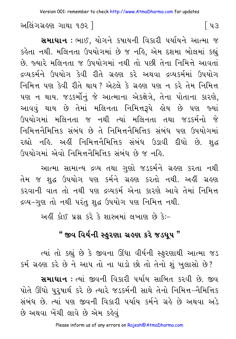અલિંગગ્રહણ ગાથા ૧૭૨ ]

**સમાધાન :** ભાઈ, યોગને કષાયની વિકારી પર્યાયને આત્મા જ કહેતા નથી. મલિનતા ઉપયોગમાં છે જ નહિ, એમ દશમા બોલમાં કહ્યું છે. જ્યારે મલિનતા જ ઉપયોગમાં નથી તો પછી તેના નિમિત્તે આવતાં દ્રવ્યકર્મને ઉપયોગ કેવી રીતે ગ્રહણ કરે અથવા દ્રવ્યકર્મમાં ઉપયોગ નિમિત્ત પણ કેવી રીતે થાય ? એટલે કે ગ્રહણ પણ ન કરે તેમ નિમિત્ત પણ ન થાય. જડકર્મોનું જે આત્માના એકક્ષેત્રે, તેના પોતાના કારણે, આવવું થાય છે તેમાં મલિનતા નિમિત્તરૂપે હોય છે પણ જ્યાં ઉપયોગમાં મલિનતા જ નથી ત્યાં મલિનતા તથા જડકર્મનો જે નિમિત્તનૈમિત્તિક સંબંધ છે તે નિમિત્તનૈમિત્તિક સંબંધ પણ ઉપયોગમાં રહ્યો નહિ. અહીં નિમિત્તનૈમિત્તિક સંબંધ ઉડાવી દીધો છે. શદ્ધ ઉપયોગમાં એવો નિમિત્તનૈમિત્તિક સંબંધ છે જ નહિ.

આત્મા સામાન્ય દ્રવ્ય તથા ગુણો જડકર્મને ગ્રહણ કરતા નથી તેમ જ શુદ્ધ ઉપયોગ પણ કર્મને ગ્રહણ કરતો નથી. અહીં ગ્રહણ કરવાની વાત તો નથી પણ દ્રવ્યકર્મ એના કારણે આવે તેમાં નિમિત્ત દ્રવ્ય−ગુણ તો નથી પરંતુ શુદ્ધ ઉપયોગ પણ નિમિત્ત નથી.

અહીં કોઈ પ્રશ્ન કરે કે શાસ્ત્રમાં લખાણ છે કે:-

## " જીવ વિર્યની સ્ફરણા ગ્રહણ કરે જડધપ "

ત્યાં તો કહ્યું છે કે જીવના ઊંધા વીર્યની સ્ફરણાથી આત્મા જડ કર્મ ગ્રહણ કરે છે ને આપ તો ના પાડો છો તો તેનો શું ખુલાસો છે?

**સમાધાન** : ત્યાં જીવની વિકારી પર્યાય સાબિત કરવી છે. જીવ પોતે ઊંઘો પુરૂષાર્થ કરે છે ત્યારે જડકર્મની સાથે તેનો નિમિત્ત-નૈમિત્તિક સંબંધ છે. ત્યાં પણ જીવની વિકારી પર્યાય કર્મને ગ્રહે છે અથવા અડે છે અથવા ખેંચી લાવે છે એમ કહેવું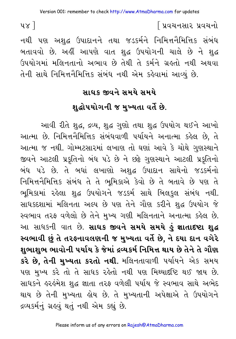નથી પણ અશુદ્ધ ઉપાદાનને તથા જડકર્મને નિમિત્તનૈમિત્તિક સંબંધ બતાવવો છે. અહીં આપણે વાત શદ્ધ ઉપયોગની ચાલે છે ને શદ્ધ ઉપયોગમાં મલિનતાનો અભાવ છે તેથી તે કર્મને ગ્રહતો નથી અથવા તેની સાથે નિમિત્તનૈમિત્તિક સંબંધ નથી એમ કહેવામાં આવ્યું છે.

#### સાધક જીવને સમયે સમયે

#### શુદ્ધોપયોગની જ મુખ્યતા વર્તે છે.

આવી રીતે શહુ, દ્રવ્ય, શહુ ગુણો તથા શહુ ઉપયોગ થઈને આખો આત્મા છે. નિમિત્તનૈમિત્તિક સંબંધવાળી પર્યાયને અનાત્મા કહેલ છે, તે આત્મા જ નથી. ગોમ્મટસારમાં લખાણ તો ઘણાં આવે કે ચોથે ગુણસ્થાને જીવને આટલી પ્રકૃતિનો બંધ પડે છે ને છકે ગુણસ્થાને આટલી પ્રકૃતિનો બંધ પડે છે. તે બધાં લખાણો અશુદ્ધ ઉપાદાન સાથેનો જડકર્મનો નિમિત્તનૈમિત્તિક સંબંધ તે તે ભુમિકાએ કેવો છે તે બતાવે છે પણ તે ભૂમિકામાં રહેલા શુદ્ધ ઉપયોગને જડકર્મ સાથે બિલફુલ સંબંધ નથી. સાધકદશામાં મલિનતા અલ્પ છે પણ તેને ગૌણ કરીને શુદ્ધ ઉપયોગ જે સ્વભાવ તરફ વળેલો છે તેને મુખ્ય ગણી મલિનતાને અનાત્મા કહેલ છે. આ સાધકની વાત છે. **સાધક જીવને સમયે સમયે કું જ્ઞાતાદષ્ટા શુદ્ધ** સ્વભાવી છું તે તરફનાવલણની જ મુખ્યતા વર્તે છે. ને દયા દાન વગેરે શુભાશુભ ભાવોની પર્યાય કે જેમાં દ્રવ્યકર્મ નિમિત્ત થાય છે તેને તે ગૌણ **કરે છે. તેની મુખ્યતા કરતો નથી**. મલિનતાવાળી પર્યાયને એક સમય પણ મુખ્ય કરે તો તે સાધક રહેતો નથી પણ મિથ્યાદષ્ટિ થઈ જાય છે. સાધકને હરહંમેશ શુદ્ધ જ્ઞાતા તરફ વળેલી પર્યાય જે સ્વભાવ સાથે અભેદ થાય છે તેની મુખ્યતા કોય છે. તે મુખ્યતાની અપેક્ષાએ તે ઉપયોગને દ્રવ્યકર્મનું ગ્રહવું થતું નથી એમ કહ્યું છે.

 $yz$ ]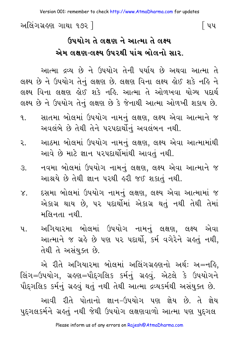Version 001: remember to check<http://www.AtmaDharma.com>for updates

અલિંગગ્રહણ ગાથા ૧૭૨ | સ્વાસ્થા કરવા માટે આ બિપ

## **\_pyog te lÙ` ne AaTma te l"y** <u>એમ લક્ષણ-લક્ષ્ય ઉપરથી પાંચ બોલનો સાર.</u>

આત્મા દ્રવ્ય છે ને ઉપયોગ તેની પર્યાય છે અથવા આત્મા તે લક્ષ્ય છે ને ઉપયોગ તેનું લક્ષણ છે. લક્ષણ વિના લક્ષ્ય હોઈ શકે નહિ ને લક્ષ્ય વિના લક્ષણ ક્ષેઈ શકે નહિ. આત્મા તે ઓળખવા યોગ્ય પદાર્થ લક્ષ્ય છે ને ઉપયોગ તેનું લક્ષણ છે કે જેનાથી આત્મા ઓળખી શકાય છે.

- ૧. સાતમા બોલમાં ઉપયોગ નામનું લક્ષણ, લક્ષ્ય એવા આત્માને જ અવલંબે છે તેથી તેને પરપદાર્થોનું અવલંબન નથી.
- ૨. આઠમા બોલમાં ઉપયોગ નામનું લક્ષણ, લક્ષ્ય એવા આત્મામાંથી આવે છે માટે જ્ઞાન પરપદાર્થોમાંથી આવતું નથી.
- ૩. નવમા બોલમાં ઉપયોગ નામનું લક્ષણ, લક્ષ્ય એવા આત્માને જ આશ્રયે છે તેથી જ્ઞાન પરથી હરી જઈ શકાતું નથી.
- ૪. દસમા બોલમાં ઉપયોગ નામનું લક્ષણ, લક્ષ્ય એવા આત્મામાં જ એકાગ્ર થાય છે. ૫૨ પદાર્થોમાં એકાગ્ર થતું નથી તેથી તેમાં મલિનતા નથી.
- પ. અગિયારમા બોલમાં ઉપયોગ નામનં લક્ષણ. લક્ષ્ય એવા આત્માને જ ગ્રહે છે પણ પર પદાર્થો, કર્મ વગેરેને ગ્રહતું નથી, તેથી તે અસંયુક્ત છે.

એ રીતે અગિયારમા બોલમાં અલિંગગ્રહણનો અર્થ: અ=નહિ, લિંગ=ઉપયોગ, ગ્રહણ=પૌદગલિક કર્મનું ગ્રહવું. એટલે કે ઉપયોગને પૌદ્દગલિક કર્મનું ગ્રહવું થતું નથી તેથી આત્મા દ્રવ્યકર્મથી અસંયુક્ત છે. આવી રીતે પોતાનો જ્ઞાન–ઉપયોગ પણ જ્ઞેય છે. તે જ્ઞેય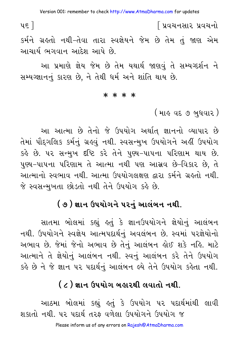$\nu$ ε $\overline{a}$ ∫ પ્રવચનસાર પ્રવચનો કર્મને ગ્રહતો નથી-તેવા તારા સ્વજ્ઞેયને જેમ છે તેમ તું જાણ એમ આચાર્ય ભગવાન આદેશ આપે છે.

આ પ્રમાણે જ્ઞેય જેમ છે તેમ યથાર્થ જાણવું તે સમ્યગ્દર્શન ને સમ્યગ્જ્ઞાનનું કારણ છે, ને તેથી ધર્મ અને શાંતિ થાય છે.

#### \* \* \* \*

( માહ વદ ૭ બુધવાર )

આ આત્મા છે તેનો જે ઉપયોગ અર્થાત જ્ઞાનનો વ્યાપાર છે તેમાં પૌદગલિક કર્મનું ગ્રહવું નથી. સ્વસન્મુખ ઉપયોગને અહીં ઉપયોગ કહે છે. ૫૨ સન્મખ દૃષ્ટિ કરે તેને પુણ્ય-પાપના પરિણામ થાય છે. પુણ્ય-પાપના પરિણામ તે આત્મા નથી પણ આસ્રવ છે-વિકાર છે. તે આત્માનો સ્વભાવ નથી. આત્મા ઉપયોગલક્ષણ દ્વારા કર્મને ગ્રહતો નથી. જે સ્વસન્મખતા છોડતો નથી તેને ઉપયોગ કહે છે.

### ( ૭ ) જ્ઞાન ઉપયોગને ૫૨નું આલંબન નથી.

સાતમા બોલમાં કહ્યું કતું કે જ્ઞાનઉપયોગને જ્ઞેયોનું આલંબન નથી. ઉપયોગને સ્વજ્ઞેય આત્મપદાર્થનું અવલંબન છે. સ્વમાં પરજ્ઞેયોનો અભાવ છે. જેમાં જેનો અભાવ છે તેનું આલંબન હોઈ શકે નહિ. માટે આત્માને તે જ્ઞેયોનું આલંબન નથી. સ્વનું આલંબન કરે તેને ઉપયોગ કહે છે ને જે જ્ઞાન ૫૨ ૫દાર્થનું આલંબન લ્યે તેને ઉપયોગ કહેતા નથી.

### ( ૮ ) જ્ઞાન ઉપયોગ બહારથી લવાતો નથી.

આઠમા બોલમાં કહ્યું હતું કે ઉપયોગ પર પદાર્થમાંથી લાવી શકાતો નથી. પર પદાર્થ તરફ વળેલા ઉપયોગને ઉપયોગ જ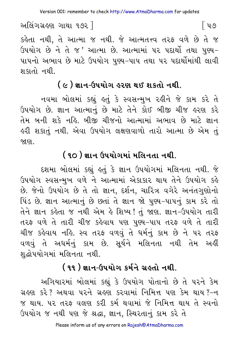િપ૭

અલિંગગ્રહણ ગાથા ૧૭૨ ]

કહેતા નથી, તે આત્મા જ નથી. જે આત્મતત્ત્વ તરફ વળે છે તે જ ઉપયોગ છે ને તે જ 'આત્મા છે. આત્મામાં ૫૨ પદાર્થી તથા પુણ્ય-પાપનો અભાવ છે માટે ઉપયોગ પુણ્ય–પાપ તથા પર પદાર્થોમાંથી લાવી શકાતો નથી.

## ( ૯ ) જ્ઞાન-ઉપયોગ હરણ થઈ શકતો નથી.

નવમા બોલમાં કહ્યું હતું કે સ્વસન્મુખ રહીને જે કામ કરે તે ઉપયોગ છે. જ્ઞાન આત્માનું છે માટે તેને કોઈ બીજી ચીજ હરણ કરે તેમ બની શકે નહિ. બીજી ચીજનો આત્મામાં અભાવ છે માટે જ્ઞાન ઙરી શકાતું નથી. એવા ઉપયોગ લક્ષણવાળો તારો આત્મા છે એમ તું જાણ.

# ( ૧૦ ) જ્ઞાન ઉપયોગમાં મલિનતા નથી.

દશમા બોલમાં કહ્યું હતું કે જ્ઞાન ઉપયોગમાં મલિનતા નથી. જે ઉપયોગ સ્વસન્મુખ વળે ને આત્મામાં એકાકાર થાય તેને ઉપયોગ કહે છે. જેનો ઉપયોગ છે તે તો જ્ઞાન, દર્શન, ચારિત્ર વગેરે અનંતગુણોનો પિંડ છે. જ્ઞાન આત્માનું છે છતાં તે જ્ઞાન જો પુણ્ય-પાપનું કામ કરે તો તેને જ્ઞાન કહેતા જ નથી એમ હે શિષ્ય! તું જાણ. જ્ઞાન-ઉપયોગ તારી તરફ વળે તે તારી ચીજ કહેવાય પણ પુણ્ય-પાપ તરફ વળે તે તારી ચીજ કહેવાય નહિ. સ્વ તરફ વળવું તે ધર્મનું કામ છે ને ૫૨ તરફ વળવું તે અધર્મનું કામ છે. સુર્યને મલિનતા નથી તેમ અહીં શુદ્ધોપયોગમાં મલિનતા નથી.

## ( ૧૧ ) જ્ઞાન-ઉપયોગ કર્મને ગ્રહતો નથી.

અગિયારમાં બોલમાં કહ્યું કે ઉપયોગ પોતાનો છે તે પરને કેમ ગ્રહણ કરે? અથવા પરને ગ્રહણ કરવામાં નિમિત્ત પણ કેમ થાય?-ન જ થાય. ૫૨ તરફ વલણ કરી કર્મ થવામાં જે નિમિત્ત થાય તે સ્વનો ઉપયોગ જ નથી પણ જે શ્રદ્ધા, જ્ઞાન, સ્થિરતાનું કામ કરે તે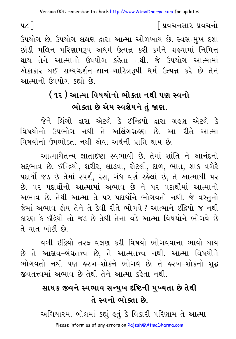$4c$ ]

િપ્રવચનસાર પ્રવચનો

ઉપયોગ છે. ઉપયોગ લક્ષણ દ્વારા આત્મા ઓળખાય છે. સ્વસન્મુખ દશા છોડી મલિન પરિણામરૂપ અધર્મ ઉત્પન્ન કરી કર્મને ગ્રહવામાં નિમિત્ત થાય તેને આત્માનો ઉપયોગ કહેતા નથી. જે ઉપયોગ આત્મામાં એકાકાર થઈ સમ્યગ્દર્શન-જ્ઞાન-ચારિત્રરૂપી ધર્મ ઉત્પન્ન કરે છે તેને આત્માનો ઉપયોગ કહ્યો છે

# ( ૧૨ ) આત્મા વિષયોનો ભોક્તા નથી પણ સ્વનો ભોક્તા છે એમ સ્વજ્ઞેયને તું જાણ.

જેને લિંગો દ્વારા એટલે કે ઈન્દ્રિયો દ્વારા ગ્રહણ એટલે કે વિષયોનો ઉપભોગ નથી તે અલિંગગ્રહણ છે. આ રીતે આત્મા વિષયોનો ઉપભોક્તા નથી એવા અર્થની પ્રાપ્તિ થાય છે.

આત્માચૈતન્ય જ્ઞાતાદષ્ટા સ્વભાવી છે. તેમાં શાંતિ ને આનંદનો સદ્દભાવ છે. ઈન્દ્રિયો, શરીર, લાડવા, રોટલી, દાળ, ભાત, શાક વગેરે પદાર્થો જડ છે તેમાં સ્પર્શ, રસ, ગંધ વર્ણ રહેલાં છે, તે આત્માથી પર છે. ૫૨ પદાર્થોનો આત્મામાં અભાવ છે ને ૫૨ પદાર્થોમાં આત્માનો અભાવ છે. તેથી આત્મા તે ૫૨ પદાર્થોને ભોગવતો નથી. જે વસ્તુનો જેમાં અભાવ હોય તેને તે કેવી રીતે ભોગવે ? આત્માને ઇંદ્રિયો જ નથી કારણ કે ઇંદ્રિયો તો જડ છે તેથી તેના વડે આત્મા વિષયોને ભોગવે છે તે વાત ખોટી છે.

વળી ઇંદિયો તરફ વલણ કરી વિષયો ભોગવવાના ભાવો થાય છે તે આસ્રવ-બંધતત્ત્વ છે, તે આત્મતત્ત્વ નથી. આત્મા વિષયોને ભોગવતો નથી પણ હરખ-શોકને ભોગવે છે. તે હરખ-શોકનો શુદ્ધ જીવતત્ત્વમાં અભાવ છે તેથી તેને આત્મા કહેતા નથી.

# સાધક જીવને સ્વભાવ સન્મુખ દંષ્ટિની મુખ્યતા છે તેથી તે સ્વનો ભોક્તા છે.

અગિયારમા બોલમાં કહ્યું હતું કે વિકારી પરિણામ તે આત્મા

Please inform us of any errors on Rajesh@AtmaDharma.com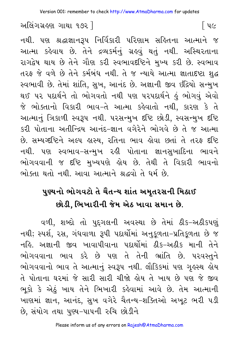િપ૯

અલિંગગ્રહણ ગાથા ૧૭૨ ી

નથી. પણ શ્રદ્ધાજ્ઞાન૩૫ નિર્વિકારી પરિણામ સહિતના આત્માને જ આત્મા કહેવાય છે. તેને દ્રવ્યકર્મનું ગ્રહવું થતું નથી. અસ્થિરતાના રાગદ્વેષ થાય છે તેને ગૌણ કરી સ્વભાવદષ્ટિને મુખ્ય કરી છે. સ્વભાવ તરફ જે વળે છે તેને કર્મબંધ નથી. તે જ ન્યાયે આત્મા જ્ઞાતાદષ્ટા શદ્ધ સ્વભાવી છે. તેમાં શાંતિ, સખ, આનંદ છે. અજ્ઞાની જીવ ઇંદ્રિયો સન્મખ થઈ પર પદાર્થને તો ભોગવતો નથી પણ પરપદાર્થને હું ભોગવું એવો જે ભોક્તાનો વિકારી ભાવ-તે આત્મા કહેવાતો નથી. કારણ કે તે આત્માનું ત્રિકાળી સ્વરૂપ નથી. પરસન્મુખ દૃષ્ટિ છોડી, સ્વસન્મુખ દૃષ્ટિ કરી પોતાના અતીન્દિય આનંદ-જ્ઞાન વગેરેને ભોગવે છે તે જ આત્મા છે. સમ્યગ્દષ્ટિને અલ્પ હાસ્ય, રતિના ભાવ હોવા છતાં તે તરફ દષ્ટિ નથી. પણ સ્વભાવ-સન્મુખ રહી પોતાના જ્ઞાનસુખાદિના ભાવને ભોગવવાની જ દૃષ્ટિ મુખ્યપણે હોય છે. તેથી તે વિકારી ભાવનો ભોક્તા થતો નથી. આવા આત્માને શ્રદ્ધવો તે ધર્મ છે.

# પુણ્યનો ભોગવટો તે ચૈતન્ય શાંત અમૃતરસની મિઠાઈ છોડી. ભિખારીની જેમ એઠ ખાવા સમાન છે.

વળી. શબ્દો તો પુદગલની અવસ્થા છે તેમાં ઠીક-અઠીકપણું નથી; સ્પર્શ, ૨સ, ગંધવાળા રૂપી પદાર્થોમાં અનુકળતા-પ્રતિકળતા છે જ નહિ. અજ્ઞાની જીવ ખાવાપીવાના પદાર્થોમાં ઠીક-અઠીક માની તેને ભોગવવાના ભાવ કરે છે પણ તે તેની ભ્રાંતિ છે. પરવસ્તુને ભોગવવાનો ભાવ તે આત્માનું સ્વરૂપ નથી. લૌકિકમાં પણ ગુહસ્થ હોય તે પોતાના ઘરમાં જે સારી સારી ચીજો હોય તે ખાય છે પણ જે જીવ ભૂકો કે એઠું ખાય તેને ભિખારી કહેવામાં આવે છે. તેમ આત્માની ખાણમાં જ્ઞાન, આનંદ, સુખ વગેરે ચૈતન્ય-શક્તિઓ અખટ ભરી પડી છે, સંયોગ તથા પુણ્ય-પાપની રુચિ છોડીને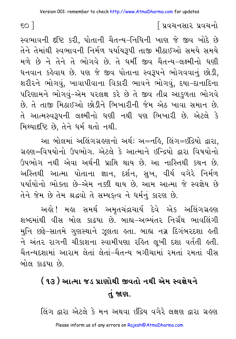સ્વભાવની દૃષ્ટિ કરી. પોતાની ચૈતન્ય-નિધિની ખાણ જે જીવ ખોદે છે તેને તેમાંથી સ્વભાવની નિર્મળ પર્યાયરૂપી તાજી મીઠાઈઓ સમયે સમયે મળે છે ને તેને તે ભોગવે છે. તે ધર્મી જીવ ચૈતન્ય-લક્ષ્મીનો ધણી ધનવાન કહેવાય છે. પણ જે જીવ પોતાના સ્વરૂપને ભોગવવાનું છોડી, શરીરને ભોગવું, ખાવાપીવાના વિકારી ભાવને ભોગવું, દયા-દાનાદિના પરિણામને ભોગવું–એમ પરલક્ષ કરે છે તે જીવ તીવ્ર આકુળતા ભોગવે છે. તે તાજી મિઠાઈઓ છોડીને ભિખારીની જેમ એઠ ખાવા સમાન છે. તે આત્મસ્વરૂપની લક્ષ્મીનો ધણી નથી પણ ભિખારી છે. એટલે કે મિથ્યાદષ્ટિ છે, તેને ધર્મ થતો નથી.

આ બોલમાં અલિંગગ્રહણનો અર્થઃ અ=નહિ, લિંગ=ઇંદ્રિયો દ્વારા, ગ્રહણ=વિષયોનો ઉપભોગ, એટલે કે આત્માને ઇન્દ્રિયો દ્વારા વિષયોનો ઉપભોગ નથી એવા અર્થની પ્રાપ્તિ થાય છે. આ નાસ્તિથી કથન છે. અસ્તિથી આત્મા પોતાના જ્ઞાન, દર્શન, સુખ, વીર્ય વગેરે નિર્મળ પર્યાયોનો ભોક્તા છે-એમ નક્કી થાય છે. આમ આત્મા જે સ્વજ્ઞેય છે તેને જેમ છે તેમ શ્રદ્ધવો તે સમ્યક્ત્વ ને ધર્મનું કારણ છે.

અલ્રો ! મલા સમર્થ અમૃતચંદ્રાચાર્ય દેવે એક અલિંગગ્રલ્ણ શબ્દમાંથી વીસ બોલ કાઢયા છે. બાહ્ય–અભ્યંતર નિર્ગ્રંથ ભાવલિંગી મુનિ છકે-સાતમે ગુણસ્થાને ઝૂલતા હતા. બાહ્ય નગ્ન દિગંબરદશા હતી ને અંતર રાગની ચીકાશના સ્વામીપણા રહિત લૂખી દશા વર્તતી હતી. ચૈતન્યદશામાં આરામ લેતાં લેતાં-ચૈતન્ય બગીચામાં રમતાં રમતાં વીસ બોલ કાઢયા છે.

# ( ૧૩ ) આત્મા જડ પ્રાણોથી જીવતો નથી એમ સ્વજ્ઞેયને તં જાણ.

લિંગ દ્વારા એટલે કે મન અથવા ઇંદ્રિય વગેરે લક્ષણ દ્વારા ગ્રહણ

 $\mathsf{so} \mathsf{I}$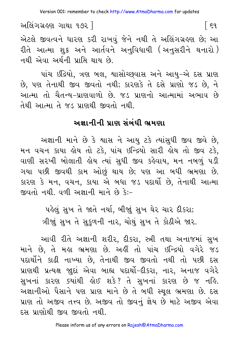િદવ

અલિંગગ્રહણ ગાથા ૧૭૨ ]

એટલે જીવત્વને ધારણ કરી રાખવું જેને નથી તે અલિંગગ્રહણ છે; આ રીતે આત્મા શુક્ર અને આર્તવને અનુવિધાયી (અનુસરીને થનારો) નથી એવા અર્થની પ્રાપ્તિ થાય છે.

પાંચ ઇંદ્રિયો, ત્રણ બલ, શ્વાસોચ્છવાસ અને આયુ–એ દસ પ્રાણ છે, પણ તેનાથી જીવ જીવતો નથી; કારણકે તે દસે પ્રાણો જડ છે, ને આત્મા તો ચૈતન્ય-પ્રાણવાળો છે. જડ પ્રાણનો આત્મામાં અભાવ છે તેથી આત્મા તે જડ પ્રાણથી જીવતો નથી.

#### અજ્ઞાનીની પ્રાણ સંબંધી ભ્રમણા

અજ્ઞાની માને છે કે શ્વાસ ને આયુ ટકે ત્યાંસુધી જીવ જીવે છે, મન વચન કાયા હોય તો ટકે, પાંચ ઇન્દ્રિયો સારી હોય તો જીવ ટકે, વાણી સરખી બોલાતી લોય ત્યાં સુધી જીવ કહેવાય, મન નબળું પડી ગયા પછી જીવથી કામ ઓછું થાય છે; પણ આ બધી ભ્રમણા છે. કારણ કે મન, વચન, કાયા એ બધા જડ પદાર્થો છે, તેનાથી આત્મા જીવતો નથી. વળી અજ્ઞાની માને છે કે:-

> પહેલું સખ તે જાતે નર્યા, બીજાં સખ ઘેર ચાર દીકરા; ત્રીજાં સુખ તે સુકુળની નાર, ચોથું સુખ તે કોઠીએ જાર.

આવી રીતે અજ્ઞાની શરીર, દીકરા, સ્ત્રી તથા અનાજમાં સુખ માને છે, તે મહા ભ્રમણા છે. અહીં તો પાંચ ઇન્દ્રિયો વગેરે જડ પદાર્થોને કાઢી નાખ્યા છે, તેનાથી જીવ જીવતો નથી તો પછી દસ પ્રાણથી પ્રત્યક્ષ જાદાં એવા બાહ્ય પદાર્થો-દીકરા. નાર. અનાજ વગેરે સુખનાં કારણ ક્યાંથી લોઈ શકે? તે સુખનાં કારણ છે જ નહિ. અજ્ઞાનીઓ પૈસાને પણ પ્રાણ માને છે તે બધી સ્થુલ ભ્રમણા છે. દસ પ્રાણ તો અજીવ તત્ત્વ છે. અજીવ તો જીવનું જ્ઞેય છે માટે અજીવ એવા દસ પ્રાણોથી જીવ જીવતો નથી.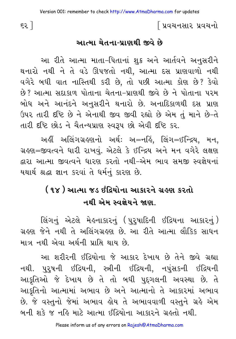#### આત્મા ચેતના-પાણથી જીવે છે

આ રીતે આત્મા માતા-પિતાનાં શુક્ર અને આર્તવને અનુસરીને થનારો નથી ને તે વડે ઊપજતો નથી, આત્મા દસ પ્રાણવાળો નથી વગેરે બધી વાત નાસ્તિથી કરી છે, તો પછી આત્મા કોણ છે? કેવો છે? આત્મા સદાકાળ પોતાના ચેતના-પ્રાણથી જીવે છે ને પોતાના પરમ બોધ અને આનંદને અનુસરીને થનારો છે. અનાદિકાળથી દસ પ્રાણ ઉપર તારી દષ્ટિ છે ને એનાથી જીવ જીવી રહ્યો છે એમ તું માને છે-તે તારી દષ્ટિ છોડ ને ચૈતન્યપ્રાણ સ્વરૂપ છો એવી દષ્ટિ કર.

અહીં અલિંગગ્રહણનો અર્થ: અ=નહિં. લિંગ=ઈન્દ્રિય. મન. ગ્રહણ=જીવત્વને ધારી રાખવં. એટલે કે ઈન્દ્રિય અને મન વગેરે લક્ષણ દ્વારા આત્મા જીવત્વને ધારણ કરતો નથી-એમ ભાવ સમજી સ્વજ્ઞેયનાં યથાર્થ શ્રદ્ધા જ્ઞાન કરવાં તે ધર્મનું કારણ છે.

## (૧૪) આત્મા જડ ઈંદ્રિયોના આકારને ગ્રહણ કરતો નથી એમ સ્વજ્ઞેયને જાણ

લિંગનું એટલે મેહનાકારનું (પુરુષાદિની ઈંદ્રિયના આકારનું) ગ્રહણ જેને નથી તે અલિંગગ્રહણ છે. આ રીતે આત્મા લૌકિક સાધન માત્ર નથી એવા અર્થની પ્રાપ્તિ થાય છે.

આ શરીરની ઈંદ્રિયોના જે આકાર દેખાય છે તેને જીવે ગ્રહ્યા નથી. પુરૂષની ઇંદ્રિયની, સ્ત્રીની ઇંદ્રિયની, નપુંસકની ઇંદ્રિયની આકૃતિઓ જે દેખાય છે તે તો બધી પુદ્ગલની અવસ્થા છે. તે આકૃતિનો આત્મામાં અભાવ છે અને આત્માનો તે આકારમાં અભાવ છે. જે વસ્તુનો જેમાં અભાવ હોય તે અભાવવાળી વસ્તુને ગ્રહે એમ બની શકે જ નહિ માટે આત્મા ઇંદિયોના આકારને ગ્રહતો નથી.

 $52$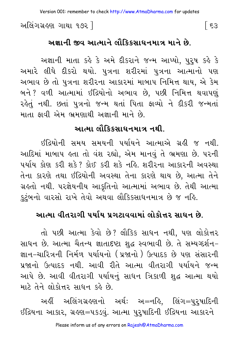અલિંગગ્રહણ ગાથા ૧૭૨ ]

## અજ્ઞાની જીવ આત્માને લૌકિકસાધનમાત્ર માને છે.

અજ્ઞાની માતા કહે કે અમે દીકરાને જન્મ આપ્યો, પુરૂષ કહે કે અમારે લીધે દીકરો થયો. પુત્રના શરીરમાં પુત્રના આત્માનો પણ અભાવ છે તો પુત્રના શરીરના આકારમાં માબાપ નિમિત્ત થાય, એ કેમ બને ? વળી આત્મામાં ઈંદ્રિયોનો અભાવ છે, પછી નિમિત્ત થવાપણું રહેતું નથી. છતાં પુત્રનો જન્મ થતાં પિતા ફાવ્યો ને દીકરી જન્મતાં માતા કાવી એમ ભ્રમણાથી અજ્ઞાની માને છે.

### આત્મા લૌકિકસાધનમાત્ર નથી.

ઇંદ્રિયોની સમય સમયની પર્યાયને આત્માએ ગ્રહી જ નથી. આદિમાં માબાપ હતા તો વંશ રહ્યો. એમ માનવું તે ભ્રમણા છે. પરની પર્યાય કોણ કરી શકે? કોઈ કરી શકે નહિ. શરીરના આકારની અવસ્થા તેના કારણે તથા ઈંદ્રિયોની અવસ્થા તેના કારણે થાય છે, આત્મા તેને ગ્રહતો નથી. પરજ્ઞેયનીય આકૃતિનો આત્મામાં અભાવ છે. તેથી આત્મા કુટુંબનો વારસો રાખે તેવો અથવા લૌકિકસાધનમાત્ર છે જ નહિ.

### આત્મા વીતરાગી પર્યાય પ્રગટાવવામાં લોકોત્તર સાધન છે.

તો પછી આત્મા કેવો છે? લૌકિક સાધન નથી, પણ લોકોત્તર સાધન છે. આત્મા ચૈતન્ય જ્ઞાતાદષ્ટા શદ્ધ સ્વભાવી છે. તે સમ્યગ્દર્શન– જ્ઞાન–ચારિત્રની નિર્મળ પર્યાયનો (પ્રજાનો ) ઉત્પાદક છે પણ સંસારની પ્રજાનો ઉત્પાદક નથી. આવી રીતે આત્મા વીતરાગી પર્યાયને જન્મ આપે છે. આવી વીતરાગી પર્યાયનું સાધન ત્રિકાળી શુદ્ધ આત્મા થયો માટે તેને લોકોત્તર સાધન કહે છે.

અહીં અલિંગગ્રહણનો અર્થ: અ=નહિ. લિંગ=પરપાદિની ઇંદ્રિયના આકાર, ગ્રહણ=પકડવું. આત્મા પુરૂષાદિની ઈંદ્રિયના આકારને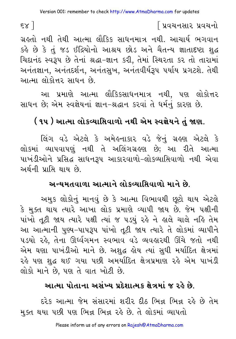ગ્રહતો નથી તેથી આત્મા લૌકિક સાધનમાત્ર નથી. આચાર્ય ભગવાન કર્લ્ડ છે કે તું જડ ઈંદ્રિયોનો આશ્રય છોડ અને ચૈતન્ય જ્ઞાતાદષ્ટા શુદ્ધ ચિદાનંદ સ્વરૂપ છે તેનાં શ્રદ્ધા-જ્ઞાન કરી, તેમાં સ્થિરતા કર તો તારામાં અનંતજ્ઞાન, અનંતદર્શન, અનંતસુખ, અનંતવીર્યરૂપ પર્યાય પ્રગટશે. તેથી આત્મા લોકોત્તર સાધન છે.

આ પ્રમાણે આત્મા લૌકિકસાધનમાત્ર નથી, પણ લોકોત્તર સાધન છે; એમ સ્વજ્ઞેયનાં જ્ઞાન-શ્રદ્ધાન કરવાં તે ધર્મનું કારણ છે.

## ( ૧૫ ) આત્મા લોકવ્યાસિવાળો નથી એમ સ્વજ્ઞેયને તું જાણ.

લિંગ વડે એટલે કે અમેહનાકાર વડે જેનું ગ્રહણ એટલે કે લોકમાં વ્યાપવાપણું નથી તે અલિંગગ્રહણ છે; આ રીતે આત્મા પાખંડીઓને પ્રસિદ્ધ સાધનરૂપ આકારવાળો-લોકવ્યાસિવાળો નથી એવા અર્થની પ્રાપ્તિ થાય છે.

#### અન્યમતવાળા આત્માને લોકવ્યાપ્તિવાળો માને છે.

અમુક લોકોનું માનવું છે કે આત્મા વિભાવથી છુટો થાય એટલે કે મુક્ત થાય ત્યારે આખા લોક પ્રમાણે વ્યાપી જાય છે. જેમ પક્ષીની પાંખો તૂટી જાય ત્યારે પક્ષી ત્યાં જ ૫ડયું રહે ને હાલે ચાલે નહિ તેમ આ આત્માની પુણ્ય-પાપરૂપ પાંખો તૂટી જાય ત્યારે તે લોકમાં વ્યાપીને ૫ડયો રહે, તેના ઊર્ધ્વગમન સ્વભાવ વડે વ્યવહારથી ઊંચે જતો નથી એમ ઘણા પાખંડીઓ માને છે. અશુદ્ધ હોય ત્યાં સુધી મર્યાદિત ક્ષેત્રમાં રહે પણ શુદ્ધ થઈ ગયા પછી અમર્યાદિત ક્ષેત્રપ્રમાણ રહે એમ પાખંડી લોકો માને છે, પણ તે વાત ખોટી છે.

#### આત્મા પોતાના અસંખ્ય પ્રદેશાત્મક ક્ષેત્રમાં જ રહે છે.

દરેક આત્મા જેમ સંસારમાં શરીર દીઠ ભિન્ન ભિન્ન રહે છે તેમ મુક્ત થયા પછી પણ ભિન્ન ભિન્ન રહે છે. તે લોકમાં વ્યાપતો

 $\epsilon$ sa J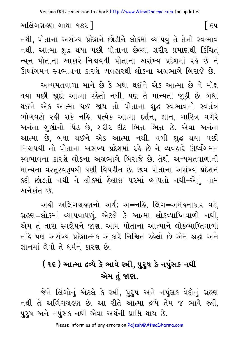િદપ

અલિંગગ્રહણ ગાથા ૧૭૨ ]

નથી, પોતાના અસંખ્ય પ્રદેશને છોડીને લોકમાં વ્યાપવું તે તેનો સ્વભાવ નથી. આત્મા શુદ્ધ થયા પછી પોતાના છેલ્લા શરીર પ્રમાણથી કિંચિત્ ન્યન પોતાના આકારે-નિશ્ચયથી પોતાના અસંખ્ય પ્રદેશમાં રહે છે ને ઊર્ધ્વગમન સ્વભાવના કારણે વ્યવહારથી લોકના અગ્રભાગે બિરાજે છે.

અન્યમતવાળા માને છે કે બધા થઈને એક આત્મા છે ને મોક્ષ થયા પછી જા઼દો આત્મા રહેતો નથી, પણ તે માન્યતા જા્ઠી છે. બધા થઈને એક આત્મા થઈ જાય તો પોતાના શુદ્ધ સ્વભાવનો સ્વતંત્ર ભોગવટો રહી શકે નહિ. પ્રત્યેક આત્મા દર્શન, જ્ઞાન, ચારિત્ર વગેરે અનંતા ગુણોનો પિંડ છે, શરીર દીઠ ભિન્ન ભિન્ન છે. એવા અનંતા આત્મા છે, બધા થઈને એક આત્મા નથી. વળી શુદ્ધ થયા પછી નિશ્ચયથી તો પોતાના અસંખ્ય પ્રદેશમાં રહે છે ને વ્યવહારે ઊર્ધ્વગમન સ્વભાવના કારણે લોકના અગ્રભાગે બિરાજે છે. તેથી અન્યમતવાળાની માન્યતા વસ્તુસ્વરૂપથી ઘણી વિપરીત છે. જીવ પોતાના અસંખ્ય પ્રદેશને કદી છોડતો નથી ને લોકમાં ફેલાઈ પરમાં વ્યાપતો નથી-એનું નામ અને કાંત છે.

અહીં અલિંગગ્રહણનો અર્થ; અ=નહિ, લિંગ=અમેહનાકાર વડે, ગ્રહણ=લોકમાં વ્યાપવાપણું. એટલે કે આત્મા લોકવ્યાપ્તિવાળો નથી, એમ તું તારા સ્વજ્ઞેયને જાણ. આમ પોતાના આત્માને લોકવ્યાપ્તિવાળો નહિ પણ અસંખ્ય પ્રદેશાત્મક આકારે નિશ્ચિત રહેલો છે-એમ શ્રદ્ધા અને જ્ઞાનમાં લેવો તે ધર્મનં કારણ છે.

## ( ૧૬ ) આત્મા દ્રવ્યે કે ભાવે સ્ત્રી. ૫૨૫ કે નપુંસક નથી એમ તું જાણ.

જેને લિંગોનું એટલે કે સ્ત્રી, પુરૂષ અને નપુંસક વેદોનું ગ્રહ્ણ નથી તે અલિંગગ્રહણ છે. આ રીતે આત્મા દ્રવ્યે તેમ જ ભાવે સ્ત્રી, પુરૂષ અને નપુંસક નથી એવા અર્થની પ્રાપ્તિ થાય છે.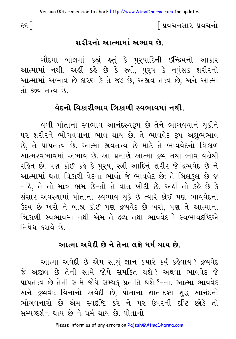∫ પ્રવચનસાર પ્રવચનો

#### શરીરનો આત્મામાં અભાવ છે.

ચૌદમા બોલમાં કહ્યું હતું કે પુરુષાદિની ઇન્દ્રિયનો આકાર આત્મામાં નથી. અહીં કહે છે કે સ્ત્રી, પુરુષ કે નપુંસક શરીરનો આત્મામાં અભાવ છે કારણ કે તે જડ છે. અજીવ તત્ત્વ છે. અને આત્મા  $\hat{p}$  and  $\hat{p}$ 

#### વેદનો વિકારીભાવ ત્રિકાળી સ્વભાવમાં નથી

વળી પોતાનો સ્વભાવ આનંદસ્વરૂપ છે તેને ભોગવવાનું ચૂકીને ૫૨ શરીરને ભોગવવાના ભાવ થાય છે. તે ભાવવેદ રૂપ અશુભભાવ છે. તે પાપતત્ત્વ છે. આત્મા જીવતત્ત્વ છે માટે તે ભાવવેદનો ત્રિકાળ આત્મસ્વભાવમાં અભાવ છે. આ પ્રમાણે આત્મા દ્રવ્ય તથા ભાવ વેદોથી રહિત છે. પણ કોઈ કહે કે પુરૂષ, સ્ત્રી આદિનું શરીર જે દ્રવ્યવેદ છે ને આત્મામાં થતા વિકારી વેદના ભાવો જે ભાવવેદ છે; તે બિલકુલ છે જ નહિ, તે તો માત્ર ભ્રમ છે-તો તે વાત ખોટી છે. અહીં તો કહે છે કે સંસાર અવસ્થામાં પોતાનો સ્વભાવ ચકે છે ત્યારે કોઈ પણ ભાવવેદનો ઉદય છે ખરો ને બાહ્ય કોઈ પણ દ્રવ્યવેદ છે ખરો. પણ તે આત્માના ત્રિકાળી સ્વભાવમાં નથી એમ તે દ્રવ્ય તથા ભાવવેદનો સ્વભાવદષ્ટિએ નિષેધ કરાવે છે.

#### આત્મા અવેદી છે ને તેના લક્ષે ઘર્મ થાય છે.

આત્મા અવેદી છે એમ સાચું જ્ઞાન ક્યારે કર્યું કહેવાય ? દ્રવ્યવેદ જે અજીવ છે તેની સામે જોયે સમક્તિ થશે? અથવા ભાવવેદ જે પાપતત્ત્વ છે તેની સામે જોયે સમ્યક પ્રતીતિ થશે ?-ના. આત્મા ભાવવેદ અને દ્રવ્યવેદ વિનાનો અવેદી છે. પોતાના જ્ઞાતાદષ્ટા શુદ્ધ આનંદનો ભોગવનારો છે એમ સ્વદૃષ્ટિ કરે ને પર ઉપરની દૃષ્ટિ છોડે તો भभ्यञ्छनि शाय छे ने धर्म शाय छे पोतानो

 $\epsilon$   $\epsilon$   $\bar{\epsilon}$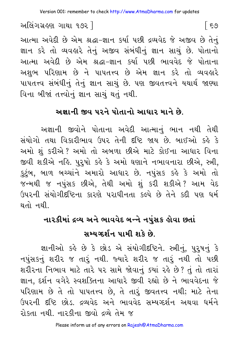આત્મા અવેદી છે એમ શ્રદ્ધા-જ્ઞાન કર્યા પછી દ્રવ્યવેદ જે અજીવ છે તેનં જ્ઞાન કરે તો વ્યવહારે તેનું અજીવ સંબંધીનું જ્ઞાન સાચું છે. પોતાનો આત્મા અવેદી છે એમ શ્રદ્ધા-જ્ઞાન કર્યા પછી ભાવવેદ જે પોતાના અશુભ પરિણામ છે ને પાપતત્ત્વ છે એમ જ્ઞાન કરે તો વ્યવહારે પાપતત્ત્વ સંબંધીનું તેનું જ્ઞાન સાચું છે. પણ જીવતત્ત્વને યથાર્થ જાણ્યા વિના બીજાં તત્ત્વોનું જ્ઞાન સાચું થતું નથી.

## અજ્ઞાની જીવ પરને પોતાનો આધાર માને છે.

અજ્ઞાની જીવોને પોતાના અવેદી આત્માનું ભાન નથી તેથી સંયોગો તથા વિકારીભાવ ઉપર તેની દષ્ટિ જાય છે. બાઈઓ કહે કે અમો શું કરીએ ? અમો તો અબળા છીએ માટે કોઈના આધાર વિના જીવી શકીએ નહિ. પુરૃષો કહે કે અમો ઘણાને નભાવનારા છીએ, સ્ત્રી, કુટુંબ, બાળ બચ્ચાંને અમારો આધાર છે. નપુંસક કહે કે અમો તો જન્મથી જ નપુસક છીએ, તેથી અમો શું કરી શકીએ? આમ વેદ ઉપરની સંયોગીદષ્ટિના કારણે પરાધીનતા કલ્પે છે તેને કદી પણ ધર્મ થતો નથી.

## નારકીમાં દ્રવ્ય અને ભાવવેદ બન્ને નપુંસક હોવા છતાં

## સમ્યગ્દર્શન પામી શકે છે.

જ્ઞાનીઓ કહે છે કે છોડ એ સંયોગીદષ્ટિને. સ્ત્રીનું, પુરૂષનું કે નપુંસકનું શરીર જ તારું નથી. જ્યારે શરીર જ તારું નથી તો પછી શરીરના નિભાવ માટે તારે પર સામે જોવાનું ક્યાં રહે છે? તું તો તારાં જ્ઞાન, દર્શન વગેરે સ્વશક્તિના આધારે જીવી રહ્યો છે ને ભાવવેદના જે પરિણામ છે તે તો પાપતત્ત્વ છે, તે તારૂં જીવતત્ત્વ નથી; માટે તેના ઉપરની દષ્ટિ છોડ. દ્રવ્યવેદ અને ભાવવેદ સમ્યગ્દર્શન અથવા ધર્મને રોકતા નથી. નારકીના જીવો દવ્યે તેમ જ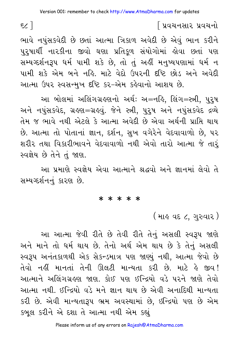#### િપ્રવચનસાર પ્રવચનો

ભાવે નપંસકવેદી છે છતાં આત્મા ત્રિકાળ અવેદી છે એવું ભાન કરીને પુરુષાર્થી નારકીના જીવો ઘણા પ્રતિકળ સંયોગોમાં હોવા છતાં પણ સમ્યગ્દર્શનરૂપ ધર્મ પામી શકે છે, તો તું અહીં મનુષ્યપણામાં ધર્મ ન પામી શકે એમ બને નહિ માટે વેદો ઉપરની દૃષ્ટિ છોડ અને અવેદી આત્મા ઉપર સ્વસન્મુખ દૃષ્ટિ કર-એમ કહેવાનો આશય છે.

આ બોલમાં અલિંગગ્રહણનો અર્થ: અ=નહિ, લિંગ=સ્ત્રી, પુરૂષ અને નપંસકવેદ, ગ્રહણ=ગ્રહવં. જેને સ્ત્રી, પુરૂષ અને નપંસકવેદ દ્રવ્યે તેમ જ ભાવે નથી એટલે કે આત્મા અવેદી છે એવા અર્થની પ્રાપ્તિ થાય છે. આત્મા તો પોતાનાં જ્ઞાન, દર્શન, સખ વગેરેને વેદવાવાળો છે, પર શરીર તથા વિકારીભાવને વેદવાવાળો નથી એવો તારો આત્મા જે તારૂં સ્વજ્ઞેય છે તેને તંજાણ.

આ પ્રમાણે સ્વજ્ઞેય એવા આત્માને શ્રદ્ધવો અને જ્ઞાનમાં લેવો તે સમ્યગ્દર્શનનં કારણ છે.

#### \* \* \* \* \*

( માહ વદ ૮, ગુરુવાર )

આ આત્મા જેવી રીતે છે તેવી રીતે તેનું અસલી સ્વરૂપ જાણે અને માને તો ધર્મ થાય છે. તેનો અર્થ એમ થાય છે કે તેનું અસલી સ્વરૂપ અનંતકાળથી એક સેકન્ડમાત્ર પણ જાણ્યું નથી. આત્મા જેવો છે તેવો નહીં માનતાં તેની ઊલટી માન્યતા કરી છે. માટે હે જીવ! આત્માને અલિંગગ્રહણ જાણ. કોઈ પણ ઈન્દ્રિયો વડે પરને જાણે તેવો આત્મા નથી. ઈન્દ્રિયો વડે મને જ્ઞાન થાય છે એવી અનાદિથી માન્યતા કરી છે. એવી માન્યતારૂપ ભ્રમ અવસ્થામાં છે. ઇન્દ્રિયો પણ છે એમ કબલ કરીને એ દશા તે આત્મા નથી એમ કહ્યું

**ε** Σ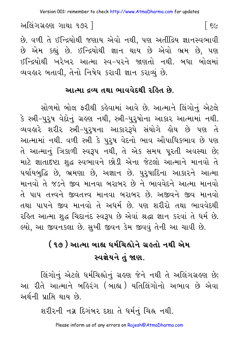છે. વળી તે ઈન્દ્રિયોથી જણાય એવો નથી, પણ અતીંદ્રિય જ્ઞાનસ્વભાવી છે એમ કહ્યું છે. ઈન્દ્રિયોથી જ્ઞાન થાય છે એવો ભ્રમ છે, પણ ઈન્દ્રિયોથી ખરેખર આત્મા સ્વ–પરને જાણતો નથી. બધા બોલમાં વ્યવહાર બતાવી, તેનો નિષેધ કરાવી જ્ઞાન કરાવ્યું છે.

#### આત્મા દવ્ય તથા ભાવવેદથી રહિત છે.

સોળમો બોલ ફરીથી કહેવામાં આવે છે. આત્માને લિંગોનું એટલે કે સ્ત્રી-પુરૂષ વેદોનું ગ્રહણ નથી, સ્ત્રી-પુરૃષોના આકાર આત્મામાં નથી. વ્યવહારે શરીર સ્ત્રી-પુરૃષના આકારરૂપે સંયોગે હોય છે પણ તે આત્મામાં નથી. વળી સ્ત્રી કે પુરૂષ વેદનો ભાવ ઔપાધિકભાવ છે પણ તે આત્માનું ત્રિકાળી સ્વરૂપ નથી, તે એક સમય પુરતી અવસ્થા છે; માટે જ્ઞાતાદષ્ટા શુદ્ધ સ્વભાવને છોડી એના જેટલો આત્માને માનવો તે પર્યાયબુદ્ધિ છે, ભ્રમણા છે, અજ્ઞાન છે. પુરુષાદિના આકારને આત્મા માનવો તે જડને જીવ માનવા બરાબર છે ને ભાવવેદને આત્મા માનવો તે પાપ તત્ત્વને જીવતત્ત્વ માનવા બરાબર છે. અજીવને જીવ માનવો તથા પાપને જીવ માનવો તે અધર્મ છે. પણ શરીરો તથા ભાવવેદથી રહિત આત્મા શુદ્ધ ચિદાનંદ સ્વરૂપ છે એવાં શ્રદ્ધા જ્ઞાન કરવાં તે ધર્મ છે. લ્યો, આ જીવનકલા છે. સુખી જીવન કેમ જીવવું તેની આ ચાવી છે.

## ( ૧૭ ) આત્મા બાહ્ય ધર્મચિહ્નોને ગ્રહતો નથી એમ સ્વજ્ઞેયને તું જાણ.

લિંગોનું એટલે ધર્મચિહ્નોનું ગ્રહણ જેને નથી તે અલિંગગ્રહણ છે; આ રીતે આત્માને બહિરંગ (બાહ્ય)યતિલિંગોનો અભાવ છે એવા અર્થની પ્રાપ્તિ થાય છે.

શરીરની નગ્ન દિગંબર દશા તે ધર્મનું ચિહ્ન નથી.

Please inform us of any errors on Rajesh@AtmaDharma.com

િ ૬૯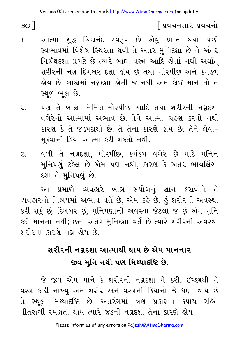$\circ$   $\circ$   $\circ$ 

## ∫ પ્રવચનસાર પ્રવચનો

- આત્મા શદ્ધ ચિદાનંદ સ્વરૂપ છે એવું ભાન થયા પછી  $\mathbf{q}$ સ્વભાવમાં વિશેષ સ્થિરતા થવી તે અંતર મુનિદશા છે ને અંતર નિર્ગ્રંથદશા પ્રગટે છે ત્યારે બાહ્ય વસ્ત્ર આદિ હોતાં નથી અર્થાત શરીરની નગ્ન દિગંબર દશા હોય છે તથા મોરપીછ અને કમંડળ લ્રોય છે. બાહ્યમાં નગ્નદશા લેતી જ નથી એમ કોઈ માને તો તે સ્થૂળ ભૂલ છે.
- પણ તે બાહ્ય નિમિત્ત-મોરપીંછ આદિ તથા શરીરની નગ્નદશા २ વગેરેનો આત્મામાં અભાવ છે. તેને આત્મા ગ્રહણ કરતો નથી કારણ કે તે જડપદાર્થો છે, તે તેના કારણે હોય છે. તેને લેવા-મકવાની ક્રિયા આત્મા કરી શકતો નથી.
- વળી તે નગ્નદશા, મોરપીંછ, કમંડળ વગેરે છે માટે મુનિનું  $\mathcal{R}$ મુનિપણું ટકેલ છે એમ પણ નથી, કારણ કે અંતર ભાવલિંગી દશા તે મુનિપણું છે.

આ પ્રમાણે વ્યવહારે બાહ્ય સંયોગનં જ્ઞાન કરાવીને તે વ્યવહારનો નિશ્ચયમાં અભાવ વર્તે છે. એમ કહે છે. હું શરીરની અવસ્થા કરી શકું છું, દિગંબર છું, મુનિપણાની અવસ્થા જેટલો જ છું એમ મુનિ કદી માનતા નથી; છતાં અંતર મુનિદશા વર્તે છે ત્યારે શરીરની અવસ્થા શરીરના કારણે નગ્ન લોય છે.

## શરીરની નગ્રદશા આત્માથી થાય છે એમ માનનાર જીવ મુનિ નથી પણ મિથ્યાદષ્ટિ છે.

જે જીવ એમ માને કે શરીરની નગ્નદશા મેં કરી, ઈચ્છાથી મે વસ્ત્ર કાઢી નાખ્યું-એમ શરીર અને વસ્ત્રની ક્રિયાનો જે ધણી થાય છે તે સ્થુલ મિથ્યાદષ્ટિ છે. અંતરંગમાં ત્રણ પ્રકારના કપાય રહિત વીતરાગી રમણતા થાય ત્યારે જડની નગ્રદશા તેના કારણે હોય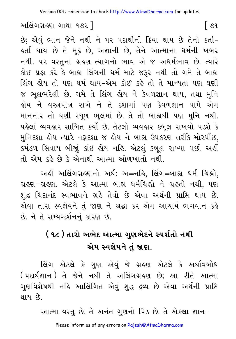છે; એવં ભાન જેને નથી ને પર પદાર્થોની ક્રિયા થાય છે તેનો કર્તા– કર્તા થાય છે તે મૃઢ છે, અજ્ઞાની છે, તેને આત્માના ધર્મની ખબર નથી. ૫૨ વસ્તુનાં ગ્રહણ-ત્યાગનો ભાવ એ જ અધર્મભાવ છે. ત્યારે કોઈ પ્રશ્ન કરે કે બાહ્ય લિંગની ધર્મ માટે જરૂર નથી તો ગમે તે બાહ્ય લિંગ હોય તો પણ ધર્મ થાય-એમ કોઈ કહે તો તે માન્યતા પણ ઘણી જ ભૂલભરેલી છે. ગમે તે લિંગ હોય ને કેવળજ્ઞાન થાય, તથા મુનિ લોય ને વસ્ત્રપાત્ર રાખે ને તે દશામાં પણ કેવળજ્ઞાન પામે એમ માનનાર તો ઘણી સ્થળ ભુલમાં છે. તે તો બાહ્યથી પણ મુનિ નથી. પહેલાં વ્યવહાર સાબિત કર્યો છે. તેટલો વ્યવહાર કબૂલ રાખવો ૫ડશે કે મુનિદશા હોય ત્યારે નગ્નદશા જ હોય ને બાહ્ય ઉપકરણ તરીકે મોરપીંછ, કમંડળ સિવાય બીજાું કાંઇ હોય નહિ. એટલું કબુલ રાખ્યા પછી અહીં તો એમ કહે છે કે એનાથી આત્મા ઓળખાતો નથી.

અહીં અલિંગગ્રહણનો અર્થ: અ=નહિ, લિંગ=બાહ્ય ધર્મ ચિહ્નો, ગ્રહણ=ગ્રહણ. એટલે કે આત્મા બાહ્ય ધર્મચિહ્નો ને ગ્રહતો નથી, પણ શુદ્ધ ચિદાનંદ સ્વભાવને ગ્રહે તેવો છે એવા અર્થની પ્રાપ્તિ થાય છે. એવા તારા સ્વજ્ઞેયને તું જાણ ને શ્રદ્ધા કર એમ આચાર્ય ભગવાન કહે છે. ને તે સમ્યગ્દર્શનનું કારણ છે.

# ( ૧૮ ) તારો અભેદ આત્મા ગુણભેદને સ્પર્શતો નથી એમ સ્વજ્ઞેયને તું જાણ.

લિંગ એટલે કે ગુણ એવું જે ગ્રહણ એટલે કે અર્થાવબોધ ( પદાર્થજ્ઞાન ) તે જેને નથી તે અલિંગગ્રહણ છે; આ રીતે આત્મા ગુણવિશેષથી નહિ આલિંગિત એવું શુદ્ધ દ્રવ્ય છે એવા અર્થની પ્રાપ્તિ થાય છે.

આત્મા વસ્તુ છે. તે અનંત ગુણનો પિંડ છે. તે એકલા જ્ઞાન–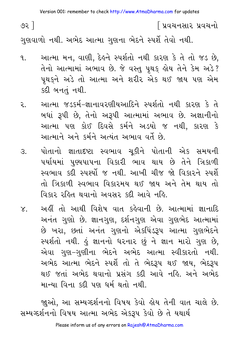Version 001: remember to check http://www.AtmaDharma.com for updates

૭૨ ]

∫ પ્રવચનસાર પ્રવચનો

ગુણવાળો નથી. અભેદ આત્મા ગુણના ભેદને સ્પર્શે તેવો નથી.

- આત્મા મન, વાણી, દેહને સ્પર્શતો નથી કારણ કે તે તો જડ છે,  $\mathbf{q}$ તેનો આત્મામાં અભાવ છે. જે વસ્તુ પૃથકુ હોય તેને કેમ અડે? પૃથકુને અડે તો આત્મા અને શરીર એક થઈ જાય પણ એમ કદી બનતું નથી.
- આત્મા જડકર્મ-જ્ઞાનાવરણીયઆદિને સ્પર્શતો નથી કારણ કે તે ર. બધાં રૂપી છે, તેનો અરૂપી આત્મામાં અભાવ છે. અજ્ઞાનીનો આત્મા પણ કોઈ દિવસે કર્મને અડયો જ નથી, કારણ કે આત્માને અને કર્મને અત્યંત અભાવ વર્તે છે.
- પોતાનો જ્ઞાતાદષ્ટા સ્વભાવ ચૂકીને પોતાની એક સમયની  $\mathcal{E}$ . પર્યાયમાં પુણ્યપાપના વિકારી ભાવ થાય છે તેને ત્રિકાળી સ્વભાવ કદી સ્પર્શ્યો જ નથી. આખી ચીજ જો વિકારને સ્પર્શે તો ત્રિકાળી સ્વભાવ વિકારમય થઈ જાય અને તેમ થાય તો વિકાર રહિત થવાનો અવસર કદી આવે નહિ.
- અહીં તો આથી વિશેષ વાત કહેવાની છે. આત્મામાં જ્ઞાનાદિ  $X_{\cdot}$ અનંત ગુણો છે. જ્ઞાનગુણ, દર્શનગુણ એવા ગુણભેદ આત્મામાં છે ખરા, છતાં અનંત ગુણનો એકપિંડરૂપ આત્મા ગુણભેદને સ્પર્શતો નથી. હું જ્ઞાનનો ધરનાર છું ને જ્ઞાન મારો ગુણ છે, એવા ગુણ–ગુણીના ભેદને અભેદ આત્મા સ્વીકારતો નથી. અભેદ આત્મા ભેદને સ્પર્શે તો તે ભેદરૂપ થઈ જાય, ભેદરૂપ થઈ જતાં અભેદ થવાનો પ્રસંગ કદી આવે નહિ. અને અભેદ માન્યા વિના કદી પણ ધર્મ થતો નથી.

જાુઓ, આ સમ્યગ્દર્શનનો વિષય કેવો હોય તેની વાત ચાલે છે. સમ્યગ્દર્શનનો વિષય આત્મા અભેદ એકરૂપ કેવો છે તે યથાર્થ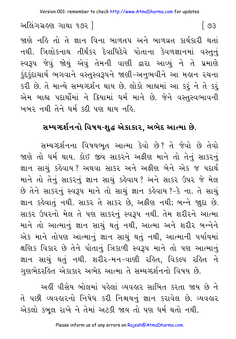જાણે નહિ તો તે જ્ઞાન વિના બાળતપ અને બાળવ્રત કાર્યકારી થતાં નથી. ત્રિલોકનાથ તીર્થંકર દેવાધિદેવે પોતાના કેવળજ્ઞાનમાં વસ્તુનું સ્વરૂપ જેવું જોયું એવું તેમની વાણી દ્વારા આવ્યું ને તે પ્રમાણે કુંદુકુંદાચાર્ય ભગવાને વસ્તુસ્વરૂપને જાણી-અનુભવીને આ મહાન રચના કરી છે. તે માન્યે સમ્યગ્દર્શન થાય છે. લોકો બાહ્યમાં આ કરૂં ને તે કરૂં એમ બાહ્ય પદાર્થોમાં ને ક્રિયામાં ધર્મ માને છે. જેને વસ્તુસ્વભાવની ખબર નથી તેને ધર્મ કદી પણ થાય નહિ.

## સમ્યગ્દર્શનનો વિષય-શુદ્ધ એકાકાર, અભેદ આત્મા છે.

સમ્યગ્દર્શનના વિષયભત આત્મા કેવો છે? તે જેવો છે તેવો જાણે તો ધર્મ થાય. કોઈ જીવ સાકરને અફીણ માને તો તેનું સાકરનું જ્ઞાન સાચું કહેવાય? અથવા સાકર અને અફીણ બેને એક જ પદાર્થ માને તો તેનું સાકરનું જ્ઞાન સાચું કહેવાય? અને સાકર ઉપર જે મેલ છે તેને સાકરનું સ્વરૂપ માને તો સાચું જ્ઞાન કહેવાય ?-કે ના. તે સાચું જ્ઞાન કહેવાતું નથી. સાકર તે સાકર છે, અફીણ નથી; બન્ને જાૂદા છે. સાકર ઉપરનો મેલ તે પણ સાકરનું સ્વરૂપ નથી. તેમ શરીરને આત્મા માને તો આત્માનું જ્ઞાન સાચું થતું નથી, આત્મા અને શરીર બન્નેને એક માને તોપણ આત્માનું જ્ઞાન સાચું થતું નથી, આત્માની પર્યાયમાં ક્ષણિક વિકાર છે તેને પોતાનું ત્રિકાળી સ્વરૂપ માને તો પણ આત્માનું જ્ઞાન સાચું થતું નથી. શરીર-મન-વાણી રહિત, વિકલ્પ રહિત ને ગુણભેદરહિત એકાકાર અભેદ આત્મા તે સમ્યગ્દર્શનનો વિષય છે.

અહીં વીસેય બોલમાં પહેલાં વ્યવહાર સાબિત કરતા જાય છે ને તે પછી વ્યવહારનો નિષેધ કરી નિશ્ચયનું જ્ઞાન કરાવેલ છે. વ્યવહાર એકલો કબલ રાખે ને તેમાં અટકી જાય તો પણ ધર્મ થતો નથી.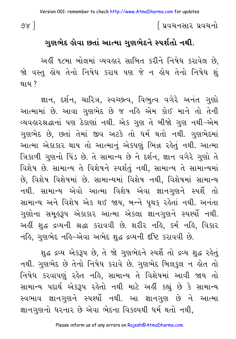$88<sup>1</sup>$ 

#### ∫ પ્રવચનસાર પ્રવચનો

#### ગુણભેદ હોવા છતાં આત્મા ગુણભેદને સ્પર્શતો નથી.

અહીં ૧૮મા બોલમાં વ્યવહાર સાબિત કરીને નિષેધ કરાવેલ છે. જો વસ્તુ હોય તેનો નિષેધ કરાય પણ જે ન હોય તેનો નિષેધ શું થાય ?

જ્ઞાન, દર્શન, ચારિત્ર, સ્વચ્છત્વ, વિભુત્વ વગેરે અનંત ગુણો આત્મામાં છે. આવા ગુણભેદ છે જ નહિ એમ કોઈ માને તો તેની વ્યવહારશ્રદ્ધાનાં પણ ઠેકાણાં નથી. એક ગુણ તે બીજો ગુણ નથી-એમ ગુણભેદ છે, છતાં તેમાં જીવ અટકે તો ધર્મ થતો નથી. ગુણભેદમાં આત્મા એકાકાર થાય તો આત્માનું એકપણું ભિન્ન રહેતું નથી. આત્મા ત્રિકાળી ગુણનો પિંડ છે. તે સામાન્ય છે ને દર્શન, જ્ઞાન વગેરે ગુણો તે વિશેષ છે. સામાન્ય તે વિશેષને સ્પર્શતું નથી, સામાન્ય તે સામાન્યમાં છે, વિશેષ વિશેષમાં છે. સામાન્યમાં વિશેષ નથી, વિશેષમાં સામાન્ય નથી. સામાન્ય એવો આત્મા વિશેષ એવા જ્ઞાનગુણને સ્પર્શે તો સામાન્ય અને વિશેષ એક થઈ જાય, બન્ને પૃથક રહેતાં નથી. અનંતા ગુણોના સમુહરૂપ એકાકાર આત્મા એકલા જ્ઞાનગુણને સ્પર્શ્યો નથી. અહીં શુદ્ધ દ્રવ્યની શ્રદ્ધા કરાવવી છે. શરીર નહિ, કર્મ નહિ, વિકાર નહિ, ગુણભેદ નહિ-એવા અભેદ શુદ્ધ દ્રવ્યની દષ્ટિ કરાવવી છે.

શુદ્ધ દ્રવ્ય એકરૂપ છે, તે જો ગુણભેદને સ્પર્શે તો દ્રવ્ય શુદ્ધ રહેતું નથી. ગુણભેદ છે તેનો નિષેધ કરાવે છે. ગુણભેદ બિલકુલ ન હોત તો નિષેધ કરવાપણું રહેત નહિ, સામાન્ય તે વિશેષમાં આવી જાય તો સામાન્ય પદાર્થ એકરૂપ રહેતો નથી માટે અહીં કહ્યું છે કે સામાન્ય સ્વભાવ જ્ઞાનગુણને સ્પર્થ્યો નથી. આ જ્ઞાનગુણ છે ને આત્મા જ્ઞાનગુણનો ધરનાર છે એવા ભેદના વિકલ્પથી ધર્મ થતો નથી.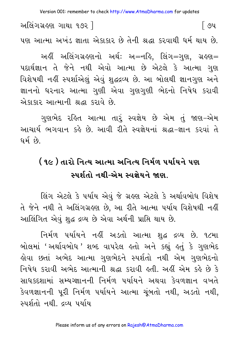Version 001: remember to check http://www.AtmaDharma.com for updates

અલિંગગ્રહણ ગાથા ૧૭૨ ] િ૭૫ પણ આત્મા અખંડ જ્ઞાતા એકાકાર છે તેની શ્રદ્ધા કરવાથી ધર્મ થાય છે.

અહીં અલિંગગ્રહણનો અર્થ: અ=નહિ, લિંગ=ગુણ, ગ્રહણ= પદાર્થજ્ઞાન તે જેને નથી એવો આત્મા છે એટલે કે આત્મા ગુણ વિશેષથી નહીં સ્પર્શાએલું એવું શુદ્ધદ્રવ્ય છે. આ બોલથી જ્ઞાનગુણ અને જ્ઞાનનો ધરનાર આત્મા ગણી એવા ગુણગણી ભેદનો નિષેધ કરાવી એકાકાર આત્માની શ્રદ્ધા કરાવે છે.

ગુણભેદ રહિત આત્મા તારૂં સ્વજ્ઞેય છે એમ તું જાણ-એમ આચાર્ય ભગવાન કહે છે. આવી રીતે સ્વજ્ઞેયનાં શ્રદ્ધા-જ્ઞાન કરવાં તે ધર્મ છે.

# ( ૧૯ ) તારો નિત્ય આત્મા અનિત્ય નિર્મળ ૫ર્યાયને ૫ણ સ્પર્શતો નથી-એમ સ્વજ્ઞેયને જાણ

લિંગ એટલે કે પર્યાય એવં જે ગ્રહણ એટલે કે અર્થાવબોધ વિશેષ તે જેને નથી તે અલિંગગ્રહણ છે, આ રીતે આત્મા પર્યાય વિશેષથી નહીં આલિંગિત એવું શુદ્ધ દ્રવ્ય છે એવા અર્થની પ્રાપ્તિ થાય છે.

નિર્મળ પર્યાયને નહીં અડતો આત્મા શુદ્ધ દ્રવ્ય છે. ૧૮મા બોલમાં 'અર્થાવબોધ 'શબ્દ વાપરેલ હતો અને કહ્યું હતું કે ગુણભેદ હોવા છતાં અભેદ આત્મા ગુણભેદને સ્પર્શતો નથી એમ ગુણભેદનો નિષેધ કરાવી અભેદ આત્માની શ્રદ્ધા કરાવી હતી. અહીં એમ કહે છે કે સાધ કદશામાં સમ્યગ્જ્ઞાનની નિર્મળ પર્યાયને અથવા કેવળજ્ઞાન વખતે કેવળજ્ઞાનની પુરી નિર્મળ પર્યાયને આત્મા ચુંબતો નથી, અડતો નથી, સ્પર્શતો નથી. દ્રવ્ય પર્યાય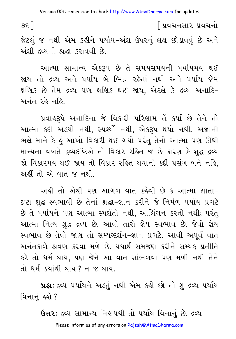િપ્રવચનસાર પ્રવચનો

७६ ]

જેટલું જ નથી એમ કહીને પર્યાય-અંશ ઉપરનું લક્ષ છોડાવવું છે અને અંશી દવ્યની શ્રદ્ધા કરાવવી છે.

આત્મા સામાન્ય એકરૂપ છે તે સમયસમયની પર્યાયમય થઈ જાય તો દ્રવ્ય અને પર્યાય બે ભિન્ન રહેતાં નથી અને પર્યાય જેમ ક્ષણિક છે તેમ દ્રવ્ય પણ ક્ષણિક થઈ જાય, એટલે કે દ્રવ્ય અનાદિ-અનંત રહે નહિ.

પ્રવાહરૂપે અનાદિના જે વિકારી પરિણામ તેં કર્યા છે તેને તો આત્મા કદી અડયો નથી, સ્પર્શ્યો નથી, એકરૂપ થયો નથી. અજ્ઞાની ભલે માને કે કું આખો વિકારી થઈ ગયો પરંતુ તેનો આત્મા પણ ઊંઘી માન્યતા વખતે દ્રવ્યદષ્ટિએ તો વિકાર રહિત જ છે કારણ કે શુદ્ધ દ્રવ્ય જો વિકારમય થઈ જાય તો વિકાર રહિત થવાનો કદી પ્રસંગ બને નહિ, અહીં તો એ વાત જ નથી.

અહીં તો એથી પણ આગળ વાત કહેવી છે કે આત્મા જ્ઞાતા-દષ્ટા શદ્ધ સ્વભાવી છે તેનાં શ્રદ્ધા-જ્ઞાન કરીને જે નિર્મળ પર્યાય પ્રગટે છે તે પર્યાયને પણ આત્મા સ્પર્શતો નથી. આલિંગન કરતો નથી; પરંત આત્મા નિત્ય શદ્ધ દ્રવ્ય છે. આવો તારો જ્ઞેય સ્વભાવ છે. જેવો જ્ઞેય સ્વભાવ છે તેવો જાણ તો સમ્યગ્દર્શન-જ્ઞાન પ્રગટે. આવી અપર્વ વાત અનંતકાળે શ્રવણ કરવા મળે છે. યથાર્થ સમજણ કરીને સમ્યક પ્રતીતિ કરે તો ધર્મ થાય. પણ જેને આ વાત સાંભળવા પણ મળી નથી તેને તો ધર્મ સ્યાંથી થાય  $?$  ન જ થાય

**પ્રશ્નઃ** દ્રવ્ય પર્યાયને અડતું નથી એમ કહો છો તો શું દ્રવ્ય પર્યાય વિનાનં હશે ?

**ઉત્તરઃ** દ્રવ્ય સામાન્ય નિશ્ચયથી તો પર્યાય વિનાનું છે. દ્રવ્ય

Please inform us of any errors on Rajesh@AtmaDharma.com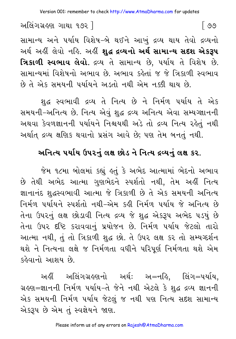સામાન્ય અને પર્યાય વિશેષ-બે થઈને આખું દ્રવ્ય થાય તેવો દ્રવ્યનો અર્થ અહીં લેવો નહિ. અહીં **શહ્ર દ્રવ્યનો અર્થ સામાન્ય સદશ એકરૂપ** ત્રિકાળી સ્વભાવ લેવો. દ્રવ્ય તે સામાન્ય છે. પર્યાય તે વિશેષ છે. સામાન્યમાં વિશેષનો અભાવ છે અભાવ કહેતાં જ જે ત્રિકાળી સ્વભાવ છે તે એક સમયની પર્યાયને અડતો નથી એમ નક્કી થાય છે.

શુદ્ધ સ્વભાવી દ્રવ્ય તે નિત્ય છે ને નિર્મળ પર્યાય તે એક સમયની-અનિત્ય છે. નિત્ય એવું શુદ્ધ દ્રવ્ય અનિત્ય એવા સમ્યગ્જ્ઞાનની અથવા કેવળજ્ઞાનની પર્યાયને નિશ્ચયથી અડે તો દ્રવ્ય નિત્ય રહેતું નથી અર્થાત દ્રવ્ય ક્ષણિક થવાનો પ્રસંગ આવે છે; પણ તેમ બનતું નથી.

## અનિત્ય ૫ર્યાય ઉપ૨નું લક્ષ છોડ ને નિત્ય દ્રવ્યનું લક્ષ ક૨.

જેમ ૧૮મા બોલમાં કહ્યું હતું કે અભેદ આત્મામાં ભેદનો અભાવ છે તેથી અભેદ આત્મા ગુણભેદને સ્પર્શતો નથી, તેમ અહીં નિત્ય જ્ઞાનાનંદ શુદ્ધસ્વભાવી આત્મા જે ત્રિકાળી છે તે એક સમયની અનિત્ય નિર્મળ પર્યાયને સ્પર્શતો નથી-એમ કહી નિર્મળ પર્યાય જે અનિત્ય છે તેના ઉપરનું લક્ષ છોડાવી નિત્ય દ્રવ્ય જે શુદ્ધ એકરૂપ અભેદ ૫ડયું છે તેના ઉપર દષ્ટિ કરાવવાનું પ્રયોજન છે. નિર્મળ પર્યાય જેટલો તારો આત્મા નથી, તું તો ત્રિકાળી શુદ્ધ છો. તે ઉપર લક્ષ કર તો સમ્યગ્દર્શન થશે ને નિત્યના લક્ષે જ નિર્મળતા વધીને પરિપૂર્ણ નિર્મળતા થશે એમ કહેવાનો આશય છે.

અહીં અલિંગગ્રહણનો અર્થ: અ=નહિ, લિંગ=પર્યાય, ગ્રહણ=જ્ઞાનની નિર્મળ પર્યાય-તે જેને નથી એટલે કે શુદ્ધ દ્રવ્ય જ્ઞાનની એક સમયની નિર્મળ પર્યાય જેટલું જ નથી પણ નિત્ય સદશ સામાન્ય એકરૂપ છે એમ તું સ્વજ્ઞેયને જાણ.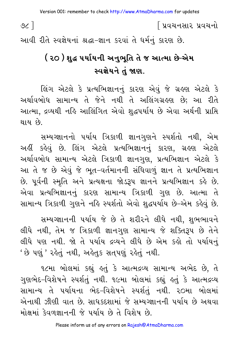७८ ]

∫ પ્રવચનસાર પ્રવચનો

આવી રીતે સ્વજ્ઞેયનાં શ્રદ્ધા-જ્ઞાન કરવાં તે ધર્મનું કારણ છે.

# ( ૨૦ ) શહ્ર ૫ર્યાયની અનુભુતિ તે જ આત્મા છે-એમ સ્વજ્ઞેયને તં જાણ.

લિંગ એટલે કે પ્રત્યભિજ્ઞાનનું કારણ એવું જે ગ્રહણ એટલે કે અર્થાવબોધ સામાન્ય તે જેને નથી તે અલિંગગ્રહણ છે: આ રીતે આત્મા, દ્રવ્યથી નહિ આલિંગિત એવો શદ્ધપર્યાય છે એવા અર્થની પ્રાપ્તિ થાય છે.

સમ્યગ્જ્ઞાનનો પર્યાય ત્રિકાળી જ્ઞાનગુણને સ્પર્શતો નથી. એમ અહીં કહેવું છે. લિંગ એટલે પ્રત્યભિજ્ઞાનનું કારણ. ગ્રહણ એટલે અર્થાવબોધ સામાન્ય એટલે ત્રિકાળી જ્ઞાનગણ, પ્રત્યભિજ્ઞાન એટલે કે આ તે જ છે એવું જે ભૂત-વર્તમાનની સંધિવાળું જ્ઞાન તે પ્રત્યભિજ્ઞાન છે. પૂર્વની સ્મૃતિ અને પ્રત્યક્ષના જોડરૂપ જ્ઞાનને પ્રત્યભિજ્ઞાન કહે છે. એવા પ્રત્યભિજ્ઞાનનું કારણ સામાન્ય ત્રિકાળી ગુણ છે. આત્મા તે સામાન્ય ત્રિકાળી ગુણને નહિ સ્પર્શતો એવો શદ્ધપર્યાય છે-એમ કહેવું છે.

સમ્યગ્જ્ઞાનની પર્યાય જે છે તે શરીરને લીધે નથી, શુભભાવને લીધે નથી, તેમ જ ત્રિકાળી જ્ઞાનગુણ સામાન્ય જે શક્તિરૂપ છે તેને લીધે પણ નથી. જો તે પર્યાય દ્રવ્યને લીધે છે એમ કહો તો પર્યાયનં ' છે પણું ' રહેતું નથી, અહેતુક સતપણું રહેતું નથી.

૧૮મા બોલમાં કહ્યું હતું કે આત્મદ્રવ્ય સામાન્ય અભેદ છે. તે ગુણભેદ-વિશેષને સ્પર્શતું નથી. ૧૯મા બોલમાં કહ્યું હતું કે આત્મદ્રવ્ય સામાન્ય તે પર્યાયના ભેદ-વિશેષને સ્પર્શતું નથી. ૨૦મા બોલમાં એનાથી ઝીણી વાત છે. સાધકદશામાં જે સમ્યગ્જ્ઞાનની પર્યાય છે અથવા મોક્ષમાં કેવળજ્ઞાનની જે પર્યાય છે તે વિશેષ છે.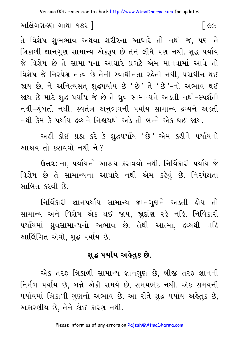। ७८

અલિંગગ્રહણ ગાથા ૧૭૨ ]

તે વિશેષ શુભભાવ અથવા શરીરના આધારે તો નથી જ, પણ તે ત્રિકાળી જ્ઞાનગુણ સામાન્ય એકરૂપ છે તેને લીધે પણ નથી. શુદ્ધ પર્યાય જે વિશેષ છે તે સામાન્યના આધારે પ્રગટે એમ માનવામાં આવે તો વિશેષ જે નિરપેક્ષ તત્ત્વ છે તેની સ્વાધીનતા રહેતી નથી, પરાધીન થઈ જાય છે, ને અનિત્યસત શુદ્ધપર્યાય છે 'છે' તે 'છે'-નો અભાવ થઈ જાય છે માટે શદ્ધ પર્યાય જે છે તે ઘ્રવ સામાન્યને અડતી નથી-સ્પર્શતી નથી-ચુંબતી નથી. સ્વતંત્ર અનુભવની પર્યાય સામાન્ય દ્રવ્યને અડતી નથી કેમ કે પર્યાય દ્રવ્યને નિશ્ચયથી અડે તો બન્ને એક થઈ જાય.

અહીં કોઈ પ્રશ્ન કરે કે શુદ્ધપર્યાય 'છે' એમ કહીને પર્યાયનો આશ્રય તો કરાવવો નથી ને?

**ઉત્તરઃ** ના, પર્યાયનો આશ્રય કરાવવો નથી. નિર્વિકારી પર્યાય જે વિશેષ છે તે સામાન્યના આધારે નથી એમ કહેવું છે. નિરપેક્ષતા સાબિત કરવી છે.

નિર્વિકારી જ્ઞાનપર્યાય સામાન્ય જ્ઞાનગુણને અડતી હોય તો સામાન્ય અને વિશેષ એક થઈ જાય, જાદાંણ રહે નહિ. નિર્વિકારી પર્યાયમાં ધ્રુવસામાન્યનો અભાવ છે. તેથી આત્મા, દ્રવ્યથી નહિ આલિંગિત એવો, શુદ્ધ પર્યાય છે.

#### શહ્ન પર્યાય અહેતક છે.

એક તરફ ત્રિકાળી સામાન્ય જ્ઞાનગુણ છે, બીજી તરફ જ્ઞાનની નિર્મળ પર્યાય છે, બન્ને એકી સમયે છે, સમયભેદ નથી. એક સમયની પર્યાયમાં ત્રિકાળી ગુણનો અભાવ છે. આ રીતે શદ્ધ પર્યાય અહેતક છે. અકારણીય છે. તેને કોઈ કારણ નથી.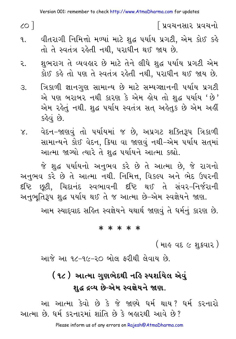$\circ$   $\circ$   $\circ$ 

∫ પ્રવચનસાર પ્રવચનો

- વીતરાગી નિમિત્તો મળ્યાં માટે શુદ્ધ પર્યાય પ્રગટી, એમ કોઈ કહે ٩. તો તે સ્વતંત્ર રહેતી નથી, પરાધીન થઈ જાય છે.
- શુભરાગ તે વ્યવહાર છે માટે તેને લીધે શુદ્ધ પર્યાય પ્રગટી એમ ર. કોઈ કહે તો પણ તે સ્વતંત્ર રહેતી નથી, પરાધીન થઈ જાય છે.
- ત્રિકાળી જ્ઞાનગુણ સામાન્ય છે માટે સમ્યગ્જ્ઞાનની પર્યાય પ્રગટી З. એ પણ બરાબર નથી કારણ કે એમ હોય તો શુદ્ધ પર્યાય 'છે' એમ રહેતું નથી. શુદ્ધ પર્યાય સ્વતંત્ર સત અહેતુક છે એમ અહીં કહેવું છે.
- ં વેદન−જાણવું તો પર્યાયમાં જ છે, અપ્રગટ શક્તિરૂપ ત્રિકાળી  $\chi$ . સામાન્યને કોઈ વેદન, ક્રિયા વા જાણવું નથી-એમ પર્યાય સતમાં આત્મા જાગ્યો ત્યારે તે શુદ્ધ પર્યાયને આત્મા કહ્યો.

જે શુદ્ધ પર્યાયનો અનુભવ કરે છે તે આત્મા છે, જે રાગનો અનુભવ કરે છે તે આત્મા નથી. નિમિત્ત, વિકલ્પ અને ભેદ ઉપરની દષ્ટિ છૂટી, ચિદાનંદ સ્વભાવની દષ્ટિ થઈ તે સંવર–નિર્જરાની અનુભૂતિરૂપ શુદ્ધ પર્યાય થઈ તે જ આત્મા છે–એમ સ્વજ્ઞેયને જાણ.

આમ સ્યાદ્દવાદ સહિત સ્વજ્ઞેયને યથાર્થ જાણવું તે ધર્મનું કારણ છે.

#### \* \* \* \* \*

( માહ વદ ૯ શુક્રવાર )

આજે આ ૧૮-૧૯-૨૦ બોલ ફરીથી લેવાય છે.

# ( ૧૮ ) આત્મા ગુણભેદથી નહિ સ્પર્શાયેલ એવું શહ દ્રવ્ય છે-એમ સ્વજ્ઞેયને જાણ.

આ આત્મા કેવો છે કે જે જાણ્યે ધર્મ થાય? ધર્મ કરનારો આત્મા છે. ધર્મ કરનારમાં શાંતિ છે કે બહારથી આવે છે?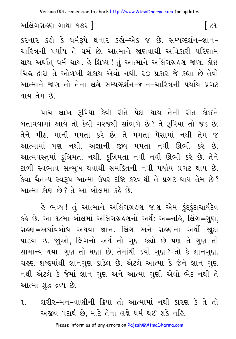Version 001: remember to check http://www.AtmaDharma.com for updates

અલિંગગ્રહણ ગાથા ૧૭૨ 1

કરનાર કહો કે ધર્મરૂપે થનાર કહો-એક જ છે. સમ્યગ્દર્શન-જ્ઞાન-ચારિત્રની પર્યાય તે ધર્મ છે. આત્માને જાણવાથી અવિકારી પરિણામ થાય અર્થાત ધર્મ થાય. કે શિષ્ય ! તું આત્માને અલિંગગ્રહણ જાણ. કોઈ ચિહ્ન દ્વારા તે ઓળખી શકાય એવો નથી. ૨૦ પ્રકાર જે કહ્યા છે તેવો આત્માને જાણ તો તેના લક્ષે સમ્યગ્દર્શન-જ્ઞાન-ચારિત્રની પર્યાય પ્રગટ થાય તેમ છે.

પાંચ લાખ રૂપિયા કેવી રીતે પેદા થાય તેની રીત કોઈને બતાવવામાં આવે તો કેવી ગરજથી સાંભળે છે? તે રૂપિયા તો જડ છે. તેને મીઠા માની મમતા કરે છે. તે મમતા પૈસામાં નથી તેમ જ આત્મામાં પણ નથી. અજ્ઞાની જીવ મમતા નવી ઊભી કરે છે. આત્મવસ્તુમાં કૃત્રિમતા નથી, કૃત્રિમતા નવી નવી ઊભી કરે છે. તેને ટાળી સ્વભાવ સન્મુખ થવાથી સમકિતની નવી પર્યાય પ્રગટ થાય છે. કેવા ચૈતન્ય સ્વરૂપ આત્મા ઉપર દષ્ટિ કરવાથી તે પ્રગટ થાય તેમ છે? આત્મા કોણ છે? તે આ બોલમાં કહે છે.

હે ભવ્ય ! તું આત્માને અલિંગગ્રહણ જાણ એમ <u>ફંદકું</u>દાચાર્યદેવ કર્લ્ડ છે. આ ૧૮મા બોલમાં અલિંગગ્રહણનો અર્થ: અ=નહિ, લિંગ=ગુણ, ગ્રહણ=અર્થાવબોધ અથવા જ્ઞાન. લિંગ અને ગ્રહણના અર્થો જાદા પાડયા છે. જાૂઓ, લિંગનો અર્થ તો ગુણ કહ્યો છે પણ તે ગુણ તો સામાન્ય થયા. ગુણ તો ઘણા છે, તેમાંથી ક્યો ગુણ ?-તો કે જ્ઞાનગુણ. ગ્રહણ શબ્દમાંથી જ્ઞાનગુણ કાઢેલ છે. એટલે આત્મા કે જેને જ્ઞાન ગુણ નથી એટલે કે જેમાં જ્ઞાન ગુણ અને આત્મા ગુણી એવો ભેદ નથી તે આત્મા શુદ્ધ દ્રવ્ય છે.

શરીર-મન-વાણીની ક્રિયા તો આત્મામાં નથી કારણ કે તે તો  $\mathbf{q}$ અજીવ પદાર્થ છે, માટે તેના લક્ષે ધર્મ થઈ શકે નહિ.

 $\lceil c_9 \rceil$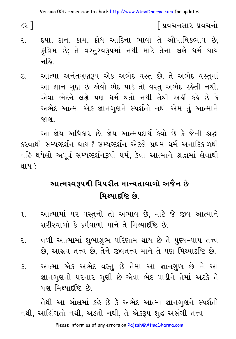$c<sub>2</sub>$ ]

∫ પ્રવચનસાર પ્રવચનો

- દયા, દાન, કામ, ક્રોધ આદિના ભાવો તે ઔપાધિકભાવ છે, ૨. કુત્રિમ છે; તે વસ્તુસ્વરૂપમાં નથી માટે તેના લક્ષે ધર્મ થાય નહિ.
- આત્મા અનંતગણરૂપ એક અભેદ વસ્ત છે. તે અભેદ વસ્તમાં  $3.$ આ જ્ઞાન ગુણ છે એવો ભેદ પાડે તો વસ્તુ અભેદ રહેતી નથી. એવા ભેદને લક્ષે પણ ધર્મ થતો નથી તેથી અહીં કહે છે કે અભેદ આત્મા એક જ્ઞાનગુણને સ્પર્શતો નથી એમ તું આત્માને જાણ .

આ જ્ઞેય અધિકાર છે. જ્ઞેય આત્મપદાર્થ કેવો છે કે જેની શ્રદ્ધા કરવાથી સમ્યગ્દર્શન થાય ? સમ્યગ્દર્શન એટલે પ્રથમ ધર્મ અનાદિકાળથી નહિ થયેલો અપૂર્વ સમ્યગ્દર્શનરૂપી ધર્મ, કેવા આત્માને શ્રદ્ધામાં લેવાથી થાય ?

## આત્મસ્વરૂપથી વિપરીત માન્યતાવાળો અજૈન છે મિથ્યાદષ્ટિ છે.

- આત્મામાં ૫૨ વસ્તુનો તો અભાવ છે, માટે જે જીવ આત્માને ٩. શરીરવાળો કે કર્મવાળો માને તે મિથ્યાદષ્ટિ છે.
- વળી આત્મામાં શભાશભ પરિણામ થાય છે તે પણ્ય-પાપ તત્ત્વ २ છે, આસ્રવ તત્ત્વ છે, તેને જીવતત્ત્વ માને તે પણ મિથ્યાદષ્ટિ છે.
- આત્મા એક અભેદ વસ્તુ છે તેમાં આ જ્ઞાનગુણ છે ને આ З. જ્ઞાનગુણનો ધરનાર ગુણી છે એવા ભેદ પાડીને તેમાં અટકે તે પણ મિથ્યાદ્દષ્ટિ છે.

તેથી આ બોલમાં કહે છે કે અભેદ આત્મા જ્ઞાનગુણને સ્પર્શતો નથી, આલિંગતો નથી, અડતો નથી, તે એકરૂપ શુદ્ધ અસંગી તત્ત્વ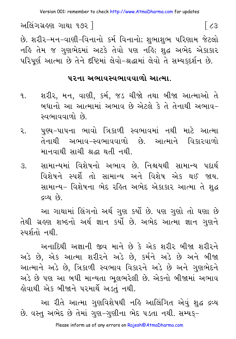અલિંગગ્રહણ ગાથા ૧૭૨ ]  $\lceil$   $\zeta$ 3 છે. શરીર-મન-વાણી-વિનાનો કર્મ વિનાનો; શુભાશુભ પરિણામ જેટલો નહિ તેમ જ ગુણભેદમાં અટકે તેવો પણ નહિ; શુદ્ધ અભેદ એકાકાર પરિપર્ણ આત્મા છે તેને દષ્ટિમાં લેવો-શ્રદ્ધામાં લેવો તે સમ્યકદર્શન છે.

#### પરના અભાવસ્વભાવવાળો આત્મા

- શરીર, મન, વાણી, કર્મ, જડ ચીજો તથા બીજા આત્માઓ તે  $9.1$ બધાનો આ આત્મામાં અભાવ છે એટલે કે તે તેનાથી અભાવ– સ્વભાવવાળો છે.
- પુણ્ય-પાપના ભાવો ત્રિકાળી સ્વભાવમાં નથી માટે આત્મા ર. તેનાથી અભાવ-સ્વભાવવાળો છે. આત્માને વિકારવાળો मानवाथी साथी श्रद्धा थती नथी.
- સામાન્યમાં વિશેષનો અભાવ છે. નિશ્ચયથી સામાન્ય પદાર્થ  $\mathcal{S}$ . વિશેષને સ્પર્શે તો સામાન્ય અને વિશેષ એક થઈ જાય. સામાન્ય- વિશેષના ભેદ રહિત અભેદ એકાકાર આત્મા તે શુદ્ધ દ્રવ્ય છે.

આ ગાથામાં લિંગનો અર્થ ગણ કર્યો છે. પણ ગણો તો ઘણા છે તેથી ગ્રહણ શબ્દનો અર્થ જ્ઞાન કર્યો છે. અભેદ આત્મા જ્ઞાન ગુણને સ્પર્શતો નથી.

અનાદિથી અજ્ઞાની જીવ માને છે કે એક શરીર બીજા શરીરને અડે છે, એક આત્મા શરીરને અડે છે, કર્મને અડે છે અને બીજા આત્માને અડે છે, ત્રિકાળી સ્વભાવ વિકારને અડે છે અને ગુણભેદને અડે છે પણ આ બધી માન્યતા ભલભરેલી છે. એકનો બીજામાં અભાવ હોવાથી એક બીજાને પરમાર્થે અડતં નથી.

આ રીતે આત્મા ગુણવિશેષથી નહિ આલિંગિત એવું શુદ્ધ દ્રવ્ય છે. વસ્તુ અભેદ છે તેમાં ગુણ–ગુણીના ભેદ ૫ડતા નથી. સમ્યક્−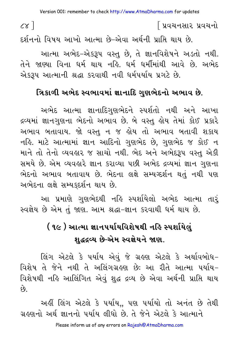$cx<sup>1</sup>$ 

∫ પ્રવચનસાર પ્રવચનો

દર્શનનો વિષય આખો આત્મા છે–એવા અર્થની પ્રાપ્તિ થાય છે. આત્મા અભેદ-એકરૂપ વસ્તુ છે, તે જ્ઞાનવિશેષને અડતો નથી. તેને જાણ્યા વિના ધર્મ થાય નહિ. ધર્મ ધર્મીમાંથી આવે છે. અભેદ એકરૂપ આત્માની શ્રદ્ધા કરવાથી નવી ધર્મપર્યાય પ્રગટે છે.

### ત્રિકાળી અભેદ સ્વભાવમાં જ્ઞાનાદિ ગણભેદનો અભાવ છે.

અભેદ આત્મા જ્ઞાનાદિગુણભેદને સ્પર્શતો નથી અને આખા દ્રવ્યમાં જ્ઞાનગુણના ભેદનો અભાવ છે. બે વસ્તુ હોય તેમાં કોઈ પ્રકારે અભાવ બતાવાય. જો વસ્તુ ન જ હોય તો અભાવ બતાવી શકાય નહિ. માટે આત્મામાં જ્ઞાન આદિનો ગુણભેદ છે, ગુણભેદ જ કોઈ ન માને તો તેનો વ્યવહાર જ સાચો નથી. ભેદ અને અભેદરૂપ વસ્તુ એકી સમયે છે. એમ વ્યવહારે જ્ઞાન કરાવ્યા પછી અભેદ દ્રવ્યમાં જ્ઞાન ગુણના ભેદનો અભાવ બતાવાય છે. ભેદના લક્ષે સમ્યગ્દર્શન થતું નથી પણ અભેદના લક્ષે સમ્યકદર્શન થાય છે.

આ પ્રમાણે ગુણભેદથી નહિ સ્પર્શાયેલો અભેદ આત્મા તારૂં સ્વજ્ઞેય છે એમ તું જાણ. આમ શ્રદ્ધા-જ્ઞાન કરવાથી ધર્મ થાય છે.

# ( ૧૯ ) આત્મા જ્ઞાનપર્યાયવિશેષથી નહિ સ્પર્શાયેલું શહ્રદ્રવ્ય છે-એમ સ્વજ્ઞેયને જાણ.

લિંગ એટલે કે પર્યાય એવું જે ગ્રહણ એટલે કે અર્થાવબોધ– વિશેષ તે જેને નથી તે અલિંગગ્રહણ છેઃ આ રીતે આત્મા પર્યાય-વિશેષથી નહિ આલિંગિત એવું શુદ્ધ દ્રવ્ય છે એવા અર્થની પ્રાપ્તિ થાય  $\hat{g}$ 

અહીં લિંગ એટલે કે પર્યાય,, પણ પર્યાયો તો અનંત છે તેથી ગ્રહણનો અર્થ જ્ઞાનનો પર્યાય લીધો છે. તે જેને એટલે કે આત્માને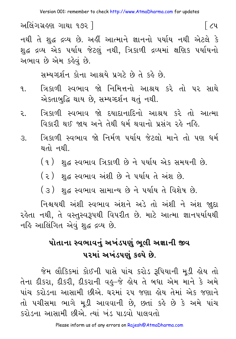નથી તે શુદ્ધ દ્રવ્ય છે. અહીં આત્માને જ્ઞાનનો પર્યાય નથી એટલે કે શુદ્ધ દ્રવ્ય એક ૫ર્યાય જેટલું નથી, ત્રિકાળી દ્રવ્યમાં ક્ષણિક ૫ર્યાયનો અભાવ છે એમ કહેવું છે.

િટપ

સમ્યગ્દર્શન કોના આશ્રયે પ્રગટે છે તે કહે છે.

- ત્રિકાળી સ્વભાવ જો નિમિત્તનો આશ્રય કરે તો પર સાથે  $\mathbf{q}$ એકતાબુદ્ધિ થાય છે, સમ્યગ્દર્શન થતું નથી.
- ત્રિકાળી સ્વભાવ જો દયાદાનાદિનો આશ્રય કરે તો આત્મા ૨. વિકારી થઈ જાય અને તેથી ધર્મ થવાનો પ્રસંગ રહે નહિ.
- ત્રિકાળી સ્વભાવ જો નિર્મળ પર્યાય જેટલો માને તો પણ ધર્મ  $\mathcal{S}_{\cdot}$ થતો નથી.
	- (૧) -શુદ્ધ સ્વભાવ ત્રિકાળી છે ને પર્યાય એક સમયની છે.
	- (૨) -શુદ્ધ સ્વભાવ અંશી છે ને પર્યાય તે અંશ છે.
	- (૩) શુદ્ધ સ્વભાવ સામાન્ય છે ને પર્યાય તે વિશેષ છે.

નિશ્ચયથી અંશી સ્વભાવ અંશને અડે તો અંશી ને અંશ જાુદા રહેતા નથી, તે વસ્તુસ્વરૂપથી વિપરીત છે. માટે આત્મા જ્ઞાનપર્યાયથી નહિ આલિંગિત એવું શુદ્ધ દ્રવ્ય છે.

## પોતાના સ્વભાવનું અખંડપણું ભુલી અજ્ઞાની જીવ પરમાં અખંડપણું કલ્પે છે.

જેમ લૌકિકમાં કોઈની પાસે પાંચ કરોડ રૂપિયાની મડી લોય તો તેના દીકરા, દીકરી, દીકરાની વહુ–જે હોય તે બધા એમ માને કે અમે પાંચ કરોડના આસામી છીએ. ઘરમાં ૨૫ જણા હોય તેમાં એક જણાને તો પચીસમા ભાગે મૂડી આવવાની છે, છતાં કહે છે કે અમે પાંચ કરોડના આસામી છીએ. ત્યાં ખંડ પાડવો પાલવતો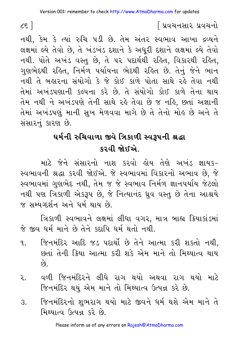### િપ્રવચનસાર પ્રવચનો

નથી, કેમ કે ત્યાં રુચિ ૫ડી છે. તેમ અંતર સ્વભાવ આખા દ્રવ્યને લક્ષમાં લ્યે તેવો છે, તે ખંડખંડ દશાને કે અધુરી દશાને લક્ષમાં લ્યે તેવો નથી. પોતે અખંડ વસ્તુ છે, તે પર પદાર્થથી રહિત, વિકારથી રહિત, ગણભેદથી રહિત. નિર્મળ પર્યાયના ભેદથી રહિત છે. તેનું જેને ભાન નથી તે બહારના સંયોગો કે જે કોઈ કાળે પોતા સાથે રહે તેવા નથી તેમાં અખંડપણાની કલ્પના કરે છે. તે સંયોગો કોઈ કાળે તેના થાય તેમ નથી ને અખંડપણે તેની સાથે રહે તેવા છે જ નહિ, છતાં અજ્ઞાની તેમાં અખંડપણું માની સુખ મેળવવા માગે છે તે તેનો મોઢ છે અને તે સંસારનું કારણ છે.

## ઘર્મની રુચિવાળા જીવે ત્રિકાળી સ્વરૂપની શ્રદ્ધા કરવી જોઈએ.

માટે જેને સંસારનો નાશ કરવો લોય તેણે અખંડ જ્ઞાયક-સ્વભાવની શ્રદ્ધા કરવી જોઈએ. જે સ્વભાવમાં વિકારનો અભાવ છે, જે સ્વભાવમાં ગણભેદ નથી. તેમ જ જે સ્વભાવ નિર્મળ જ્ઞાનપર્યાય જેટલો નથી પણ ત્રિકાળી એકરૂપ છે. જે નિત્યાનંદ ધ્રવ વસ્ત છે તેના આશ્રયે જ સમ્યગ્દર્શન અને ધર્મ થાય છે.

ત્રિકાળી સ્વભાવને લક્ષમાં લીધા વગર, માત્ર બાહ્ય ક્રિયાકાંડમાં જે જીવ ધર્મ માને છે તેને કદાપિ ધર્મ થતો નથી.

- જિનમંદિર આદિ જડ પદાર્થો છે તેને આત્મા કરી શકતો નથી.  $\mathbf{q}$ છતાં તેની ક્રિયા આત્મા કરી શકે એમ માને તો મિશ્યાત્વ થાય  $\hat{g}$
- વળી જિનમંદિરને લીધે રાગ થયો અથવા રાગ થયો માટે ર. જિનમંદિર થયું એમ માને તો મિથ્યાત્વ ઉત્પન્ન કરે છે.
- જિનમંદિરનો શુભરાગ થયો માટે જીવને ધર્મ થશે એમ માને તે З. મિશ્યાત્વ ઉત્પન્ન કરે છે.

Please inform us of any errors on Rajesh@AtmaDharma.com

 $\zeta$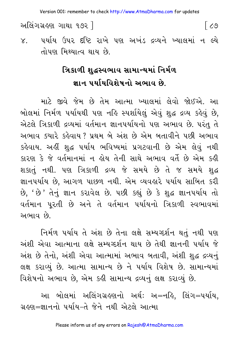Version 001: remember to check http://www.AtmaDharma.com for updates

અલિંગગ્રહણ ગાથા ૧૭૨ ]

୮ ८७

્પર્યાય ઉપર દષ્ટિ રાખે પણ અખંડ દ્રવ્યને ખ્યાલમાં ન લ્યે  $X_{1}$ તોપણ મિથ્યાત્વ થાય છે.

# ત્રિકાળી શહ્રસ્વભાવ સામાન્યમાં નિર્મળ જ્ઞાન પર્યાયવિશેષનો અભાવ છે.

માટે જીવે જેમ છે તેમ આત્મા ખ્યાલમાં લેવો જોઈએ. આ બોલમાં નિર્મળ ૫ર્યાયથી ૫ણ નહિ સ્પર્શાયેલં એવં શદ્ધ દ્રવ્ય કહેવં છે. એટલે ત્રિકાળી દ્રવ્યમાં વર્તમાન જ્ઞાનપર્યાયનો પણ અભાવ છે. પરંતુ તે અભાવ ક્યારે કહેવાય ? પ્રથમ બે અંશ છે એમ બતાવીને પછી અભાવ કહેવાય. અહીં શદ્ધ પર્યાય ભવિષ્યમાં પ્રગટવાની છે એમ લેવું નથી કારણ કે જે વર્તમાનમાં ન હોય તેની સાથે અભાવ વર્તે છે એમ કહી શકાતું નથી. પણ ત્રિકાળી દ્રવ્ય જે સમયે છે તે જ સમયે શુદ્ધ જ્ઞાનપર્યાય છે. આગળ પાછળ નથી. એમ વ્યવહારે પર્યાય સાબિત કરી છે, 'છે' તેનું જ્ઞાન કરાવેલ છે. ૫છી કહ્યું છે કે શુદ્ધ જ્ઞાન૫ર્યાય તો વર્તમાન પૂરતી છે અને તે વર્તમાન પર્યાયનો ત્રિકાળી સ્વભાવમાં અભાવ છે.

નિર્મળ પર્યાય તે અંશ છે તેના લક્ષે સમ્યગ્દર્શન થતું નથી પણ અંશી એવા આત્માના લક્ષે સમ્યગ્દર્શન થાય છે તેથી જ્ઞાનની પર્યાય જે અંશ છે તેનો, અંશી એવા આત્મામાં અભાવ બતાવી, અંશી શુદ્ધ દ્રવ્યનું લક્ષ કરાવ્યું છે. આત્મા સામાન્ય છે ને પર્યાય વિશેષ છે. સામાન્યમાં વિશેષનો અભાવ છે. એમ કહી સામાન્ય દ્રવ્યનું લક્ષ કરાવ્યું છે.

આ બોલમાં અલિંગગ્રહણનો અર્થઃ અ=નહિ, લિંગ=પર્યાય, ગ્રહણ=જ્ઞાનનો પર્યાય−તે જેને નથી એટલે આત્મા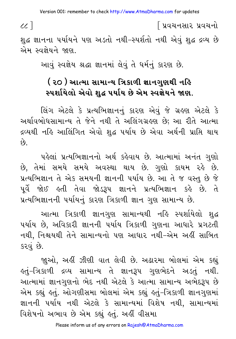$cc$ ]

શુદ્ધ જ્ઞાનના પર્યાયને પણ અડતો નથી-સ્પર્શતો નથી એવં શદ્ધ દ્રવ્ય છે એમ સ્વજેયને જાણ

। प्रवयनसार प्रवयनो

આવું સ્વજ્ઞેય શ્રદ્ધા જ્ઞાનમાં લેવું તે ધર્મનું કારણ છે.

## ( ૨૦ ) આત્મા સામાન્ય ત્રિકાળી જ્ઞાનગુણથી નહિ સ્પર્શાયેલો એવો શુદ્ધ પર્યાય છે એમ સ્વજ્ઞેયને જાણ.

લિંગ એટલે કે પ્રત્યભિજ્ઞાનનં કારણ એવં જે ગ્રહણ એટલે કે અર્થાવબોધસામાન્ય તે જેને નથી તે અલિંગગ્રહણ છે; આ રીતે આત્મા દ્રવ્યથી નહિ આલિંગિત એવો શુદ્ધ પર્યાય છે એવા અર્થની પ્રાપ્તિ થાય  $\hat{\rho}$ 

પહેલાં પ્રત્યભિજ્ઞાનનો અર્થ કહેવાય છે. આત્મામાં અનંત ગુણો છે, તેમાં સમયે સમયે અવસ્થા થાય છે. ગુણો કાયમ રહે છે. પ્રત્યભિજ્ઞાન તે એક સમયની જ્ઞાનની પર્યાય છે. આ તે જ વસ્તુ છે જે પૂર્વે જોઈ હતી તેવા જોડરૂપ જ્ઞાનને પ્રત્યભિજ્ઞાન કહે છે. તે પ્રત્યભિજ્ઞાનની પર્યાયનું કારણ ત્રિકાળી જ્ઞાન ગુણ સામાન્ય છે.

આત્મા ત્રિકાળી જ્ઞાનગુણ સામાન્યથી નહિ સ્પર્શાયેલો શદ્ધ પર્યાય છે. અવિકારી જ્ઞાનની પર્યાય ત્રિકાળી ગણના આધારે પ્રગટતી નથી, નિશ્ચયથી તેને સામાન્યનો પણ આધાર નથી-એમ અહીં સાબિત કરવું છે.

જાૂઓ, અહીં ઝીણી વાત લેવી છે. અઢારમા બોલમાં એમ કહ્યું કતું-ત્રિકાળી દ્રવ્ય સામાન્ય તે જ્ઞાનરૂપ ગુણભેદને અડતું નથી. આત્મામાં જ્ઞાનગુણનો ભેદ નથી એટલે કે આત્મા સામાન્ય અભેદરૂપ છે એમ કહ્યું હતું. ઓગણીસમા બોલમાં એમ કહ્યું હતું–ત્રિકાળી જ્ઞાનગુણમાં જ્ઞાનની પર્યાય નથી એટલે કે સામાન્યમાં વિશેષ નથી, સામાન્યમાં વિશેષનો અભાવ છે એમ કહ્યું હતું. અહીં વીસમા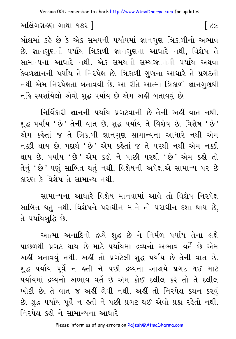બોલમાં કહે છે કે એક સમયની પર્યાયમાં જ્ઞાનગુણ ત્રિકાળીનો અભાવ છે. જ્ઞાનગુણની પર્યાય ત્રિકાળી જ્ઞાનગુણના આધારે નથી, વિશેષ તે સામાન્યના આધારે નથી. એક સમયની સમ્યગ્જ્ઞાનની પર્યાય અથવા કેવળજ્ઞાનની પર્યાય તે નિરપેક્ષ છે. ત્રિકાળી ગુણના આધારે તે પ્રગટતી નથી એમ નિરપેક્ષતા બતાવવી છે. આ રીતે આત્મા ત્રિકાળી જ્ઞાનગુણથી નહિ સ્પર્શાયેલો એવો શુદ્ધ પર્યાય છે એમ અહીં બતાવવું છે.

નિર્વિકારી જ્ઞાનની પર્યાય પ્રગટવાની છે તેની અહીં વાત નથી. શુદ્ધ પર્યાય 'છે' તેની વાત છે. શુદ્ધ પર્યાય તે વિશેષ છે. વિશેષ 'છે' એમ કહેતાં જ તે ત્રિકાળી જ્ઞાનગુણ સામાન્યના આધારે નથી એમ નક્કી થાય છે. પદાર્થ 'છે' એમ કહેતાં જ તે પરથી નથી એમ નક્કી થાય છે. ૫ર્યાય 'છે' એમ કહ્યે ને પાછી ૫૨થી 'છે' એમ કહ્યે તો તેનું ' છે ' પણું સાબિત થતું નથી. વિશેષની અપેક્ષાએ સામાન્ય પર છે કારણ કે વિશેષ તે સામાન્ય નથી.

સામાન્યના આધારે વિશેષ માનવામાં આવે તો વિશેષ નિરપેક્ષ સાબિત થતું નથી. વિશેષને પરાધીન માને તો પરાધીન દશા થાય છે, તે પર્યાયબુદ્ધિ છે.

આત્મા અનાદિનો દ્રવ્યે શદ્ધ છે ને નિર્મળ પર્યાય તેના લક્ષે પાછળથી પ્રગટ થાય છે માટે પર્યાયમાં દ્રવ્યનો અભાવ વર્તે છે એમ અહીં બતાવવું નથી. અહીં તો પ્રગટેલી શદ્ધ પર્યાય છે તેની વાત છે. શદ્ધ પર્યાય પર્વે ન હતી ને પછી દ્રવ્યના આશ્રયે પ્રગટ થઈ માટે પર્યાયમાં દ્રવ્યનો અભાવ વર્તે છે એમ કોઈ દલીલ કરે તો તે દલીલ ખોટી છે. તે વાત જ અહીં લેવી નથી. અહીં તો નિરપેક્ષ કથન કરવં છે. શુદ્ધ પર્યાય પૂર્વે ન હતી ને પછી પ્રગટ થઈ એવો પ્રશ્ન રહેતો નથી. નિરૂપેક્ષ કહો ને સામાન્યના આધારે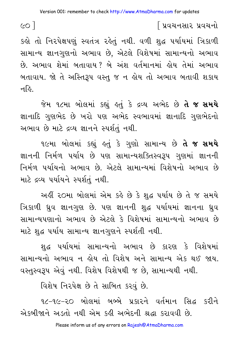$\epsilon$ ol

િપ્રવચનસાર પ્રવચનો

કહો તો નિરપેક્ષપણું સ્વતંત્ર રહેતું નથી. વળી શુદ્ધ પર્યાયમાં ત્રિકાળી સામાન્ય જ્ઞાનગુણનો અભાવ છે, એટલે વિશેષમાં સામાન્યનો અભાવ છે. અભાવ શેમાં બતાવાય? બે અંશ વર્તમાનમાં હોય તેમાં અભાવ બતાવાય. જો તે અસ્તિરૂપ વસ્તુ જ ન હોય તો અભાવ બતાવી શકાય નહિ.

જેમ ૧૮મા બોલમાં કહ્યું હતું કે દ્રવ્ય અભેદ છે **તે જ સમયે** જ્ઞાનાદિ ગુણભેદ છે ખરો પણ અભેદ સ્વભાવમાં જ્ઞાનાદિ ગુણભેદનો અભાવ છે માટે દ્રવ્ય જ્ઞાનને સ્પર્શતું નથી.

૧૯મા બોલમાં કહ્યું હતું કે ગુણો સામાન્ય છે **તે જ સમયે** જ્ઞાનની નિર્મળ પર્યાય છે પણ સામાન્યશક્તિસ્વરૂપ ગુણમાં જ્ઞાનની નિર્મળ પર્યાયનો અભાવ છે. એટલે સામાન્યમાં વિશેષનો અભાવ છે માટે દ્રવ્ય પર્યાયને સ્પર્શતું નથી.

અહીં ૨૦મા બોલમાં એમ કહે છે કે શુદ્ધ પર્યાય છે તે જ સમયે ત્રિકાળી ધ્રુવ જ્ઞાનગુણ છે. પણ જ્ઞાનની શુદ્ધ પર્યાયમાં જ્ઞાનના ધ્રુવ સામાન્યપણાનો અભાવ છે એટલે કે વિશેષમાં સામાન્યનો અભાવ છે માટે શુદ્ધ પર્યાય સામાન્ય જ્ઞાનગુણને સ્પર્શતી નથી.

શુદ્ધ પર્યાયમાં સામાન્યનો અભાવ છે કારણ કે વિશેષમાં સામાન્યનો અભાવ ન હોય તો વિશેષ અને સામાન્ય એક થઈ જાય. વસ્તુસ્વરૂપ એવું નથી. વિશેષ વિશેષથી જ છે, સામાન્યથી નથી.

વિશેષ નિરપેક્ષ છે તે સાબિત કરવું છે.

૧૮-૧૯-૨૦ બોલમાં બબ્બે પ્રકારને વર્તમાન સિદ્ધ કરીને એકબીજાને અડતો નથી એમ કહી અભેદની શ્રદ્ધા કરાવવી છે.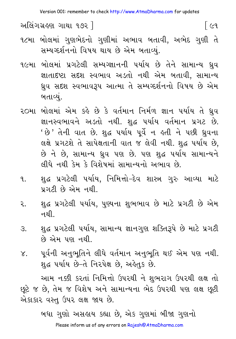Version 001: remember to check http://www.AtmaDharma.com for updates

િલ્લ

અલિંગગ્રહણ ગાથા ૧૭૨ ]

- ૧૮મા બોલમાં ગુણભેદનો ગુણીમાં અભાવ બતાવી, અભેદ ગુણી તે સમ્યગ્દર્શનનો વિષય થાય છે એમ બતાવ્યં.
- ૧૯મા બોલમાં પ્રગટેલી સમ્યગ્જ્ઞાનની પર્યાય છે તેને સામાન્ય ઘ્રુવ જ્ઞાતાદષ્ટા સદશ સ્વભાવ અડતો નથી એમ બતાવી, સામાન્ય ઘ્રુવ સદશ સ્વભાવરૂપ આત્મા તે સમ્યગ્દર્શનનો વિષય છે એમ બતાવ્યું.
- ૨૦મા બોલમાં એમ કહે છે કે વર્તમાન નિર્મળ જ્ઞાન પર્યાય તે ઘ્રુવ જ્ઞાનસ્વભાવને અડતો નથી. શુદ્ધ પર્યાય વર્તમાન પ્રગટ છે. ' છે 'તેની વાત છે. શુદ્ધ પર્યાય પૂર્વે ન હતી ને પછી ધ્રુવના લક્ષે પ્રગટશે તે સાપેક્ષતાની વાત જ લેવી નથી. શુદ્ધ પર્યાય છે, છે ને છે, સામાન્ય ઘ્રુવ પણ છે. પણ શુદ્ધ પર્યાય સામાન્યને લીધે નથી કેમ કે વિશેષમાં સામાન્યનો અભાવ છે.
- શુદ્ધ પ્રગટેલી પર્યાય, નિમિત્તો–દેવ શાસ્ત્ર ગુરુ આવ્યા માટે  $9.1$ પ્રગટી છે એમ નથી.
- શદ્ધ પ્રગટેલી પર્યાય. પુષ્યના શભભાવ છે માટે પ્રગટી છે એમ २. નથી
- શુદ્ધ પ્રગટેલી પર્યાય, સામાન્ય જ્ઞાનગુણ શક્તિરૂપે છે માટે પ્રગટી  $\mathcal{S}$ . છે એમ પણ નથી.
- પૂર્વની અનુભૂતિને લીધે વર્તમાન અનુભૂતિ થઈ એમ પણ નથી.  $\chi$ . શુદ્ધ પર્યાય છે−તે નિરપેક્ષ છે, અર્લ્ડેતુક છે.

આમ નક્કી કરતાં નિમિત્તો ઉપરથી ને શુભરાગ ઉપરથી લક્ષ તો છૂટે જ છે, તેમ જ વિશેષ અને સામાન્યના ભેદ ઉપરથી પણ લક્ષ છૂટી એકાકાર વસ્તુ ઉપર લક્ષ જાય છે.

> બધા ગુણો અસહાય કહ્યા છે, એક ગુણમાં બીજા ગુણનો Please inform us of any errors on Rajesh@AtmaDharma.com